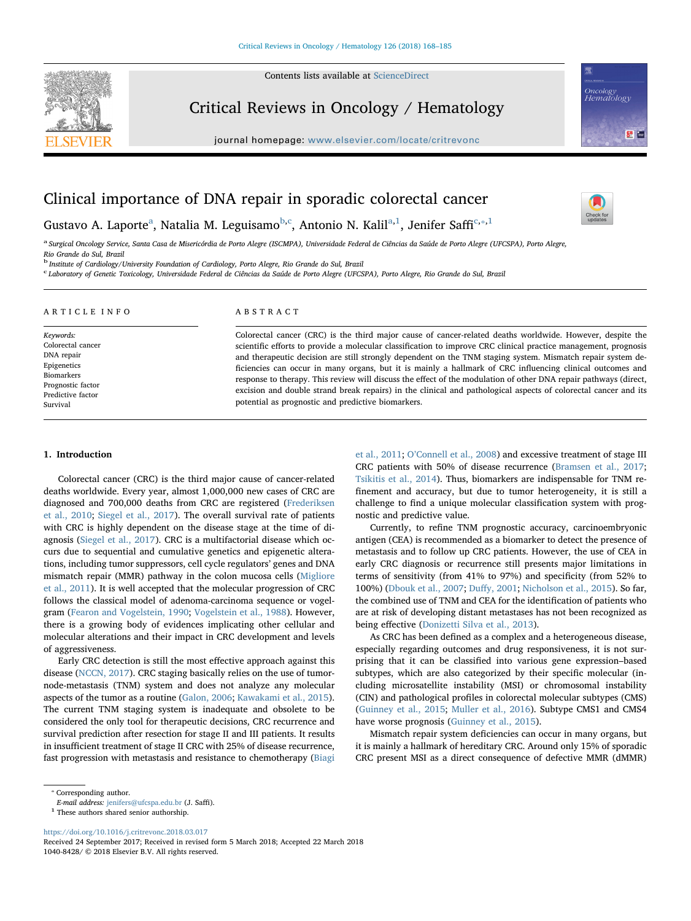Contents lists available at [ScienceDirect](http://www.sciencedirect.com/science/journal/10408428)



# Critical Reviews in Oncology / Hematology

journal homepage: [www.elsevier.com/locate/critrevonc](https://www.elsevier.com/locate/critrevonc)



[T](http://crossmark.crossref.org/dialog/?doi=10.1016/j.critrevonc.2018.03.017&domain=pdf)

# Clinical importance of DNA repair in sporadic colorectal cancer

Gust[a](#page-0-0)vo A. Laporte<sup>a</sup>, Natalia M. Leguisamo<sup>[b,](#page-0-1)[c](#page-0-2)</sup>, Antonio N. Kalil<sup>[a,](#page-0-0)[1](#page-0-3)</sup>, Jenifer Saffi<sup>c,\*,1</sup>

<span id="page-0-0"></span>a Surgical Oncology Service, Santa Casa de Misericórdia de Porto Alegre (ISCMPA), Universidade Federal de Ciências da Saúde de Porto Alegre (UFCSPA), Porto Alegre, Rio Grande do Sul, Brazil

<span id="page-0-1"></span><sup>b</sup> Institute of Cardiology/University Foundation of Cardiology, Porto Alegre, Rio Grande do Sul, Brazil

<span id="page-0-2"></span>c Laboratory of Genetic Toxicology, Universidade Federal de Ciências da Saúde de Porto Alegre (UFCSPA), Porto Alegre, Rio Grande do Sul, Brazil

| ARTICLE INFO                                                                                                                    | ABSTRACT                                                                                                                                                                                                                                                                                                                                                                                                                                                                                                                                                                                                                                                                                                                                              |
|---------------------------------------------------------------------------------------------------------------------------------|-------------------------------------------------------------------------------------------------------------------------------------------------------------------------------------------------------------------------------------------------------------------------------------------------------------------------------------------------------------------------------------------------------------------------------------------------------------------------------------------------------------------------------------------------------------------------------------------------------------------------------------------------------------------------------------------------------------------------------------------------------|
| Keywords:<br>Colorectal cancer<br>DNA repair<br>Epigenetics<br>Biomarkers<br>Prognostic factor<br>Predictive factor<br>Survival | Colorectal cancer (CRC) is the third major cause of cancer-related deaths worldwide. However, despite the<br>scientific efforts to provide a molecular classification to improve CRC clinical practice management, prognosis<br>and therapeutic decision are still strongly dependent on the TNM staging system. Mismatch repair system de-<br>ficiencies can occur in many organs, but it is mainly a hallmark of CRC influencing clinical outcomes and<br>response to therapy. This review will discuss the effect of the modulation of other DNA repair pathways (direct,<br>excision and double strand break repairs) in the clinical and pathological aspects of colorectal cancer and its<br>potential as prognostic and predictive biomarkers. |

# 1. Introduction

Colorectal cancer (CRC) is the third major cause of cancer-related deaths worldwide. Every year, almost 1,000,000 new cases of CRC are diagnosed and 700,000 deaths from CRC are registered ([Frederiksen](#page-14-0) [et al., 2010](#page-14-0); [Siegel et al., 2017](#page-16-0)). The overall survival rate of patients with CRC is highly dependent on the disease stage at the time of diagnosis [\(Siegel et al., 2017\)](#page-16-0). CRC is a multifactorial disease which occurs due to sequential and cumulative genetics and epigenetic alterations, including tumor suppressors, cell cycle regulators' genes and DNA mismatch repair (MMR) pathway in the colon mucosa cells ([Migliore](#page-15-0) [et al., 2011](#page-15-0)). It is well accepted that the molecular progression of CRC follows the classical model of adenoma-carcinoma sequence or vogelgram [\(Fearon and Vogelstein, 1990;](#page-14-1) [Vogelstein et al., 1988](#page-16-1)). However, there is a growing body of evidences implicating other cellular and molecular alterations and their impact in CRC development and levels of aggressiveness.

Early CRC detection is still the most effective approach against this disease ([NCCN, 2017\)](#page-16-2). CRC staging basically relies on the use of tumornode-metastasis (TNM) system and does not analyze any molecular aspects of the tumor as a routine [\(Galon, 2006](#page-14-2); [Kawakami et al., 2015](#page-15-1)). The current TNM staging system is inadequate and obsolete to be considered the only tool for therapeutic decisions, CRC recurrence and survival prediction after resection for stage II and III patients. It results in insufficient treatment of stage II CRC with 25% of disease recurrence, fast progression with metastasis and resistance to chemotherapy ([Biagi](#page-14-3) [et al., 2011;](#page-14-3) O'[Connell et al., 2008](#page-16-3)) and excessive treatment of stage III CRC patients with 50% of disease recurrence ([Bramsen et al., 2017](#page-14-4); [Tsikitis et al., 2014](#page-16-4)). Thus, biomarkers are indispensable for TNM refinement and accuracy, but due to tumor heterogeneity, it is still a challenge to find a unique molecular classification system with prognostic and predictive value.

Currently, to refine TNM prognostic accuracy, carcinoembryonic antigen (CEA) is recommended as a biomarker to detect the presence of metastasis and to follow up CRC patients. However, the use of CEA in early CRC diagnosis or recurrence still presents major limitations in terms of sensitivity (from 41% to 97%) and specificity (from 52% to 100%) [\(Dbouk et al., 2007](#page-14-5); Duff[y, 2001](#page-14-6); [Nicholson et al., 2015\)](#page-16-5). So far, the combined use of TNM and CEA for the identification of patients who are at risk of developing distant metastases has not been recognized as being effective [\(Donizetti Silva et al., 2013\)](#page-14-7).

As CRC has been defined as a complex and a heterogeneous disease, especially regarding outcomes and drug responsiveness, it is not surprising that it can be classified into various gene expression–based subtypes, which are also categorized by their specific molecular (including microsatellite instability (MSI) or chromosomal instability (CIN) and pathological profiles in colorectal molecular subtypes (CMS) ([Guinney et al., 2015;](#page-14-8) [Muller et al., 2016](#page-15-2)). Subtype CMS1 and CMS4 have worse prognosis ([Guinney et al., 2015\)](#page-14-8).

Mismatch repair system deficiencies can occur in many organs, but it is mainly a hallmark of hereditary CRC. Around only 15% of sporadic CRC present MSI as a direct consequence of defective MMR (dMMR)

<span id="page-0-4"></span>⁎ Corresponding author.

<https://doi.org/10.1016/j.critrevonc.2018.03.017>

Received 24 September 2017; Received in revised form 5 March 2018; Accepted 22 March 2018 1040-8428/ © 2018 Elsevier B.V. All rights reserved.

E-mail address: [jenifers@ufcspa.edu.br](mailto:jenifers@ufcspa.edu.br) (J. Saffi).

<span id="page-0-3"></span><sup>&</sup>lt;sup>1</sup> These authors shared senior authorship.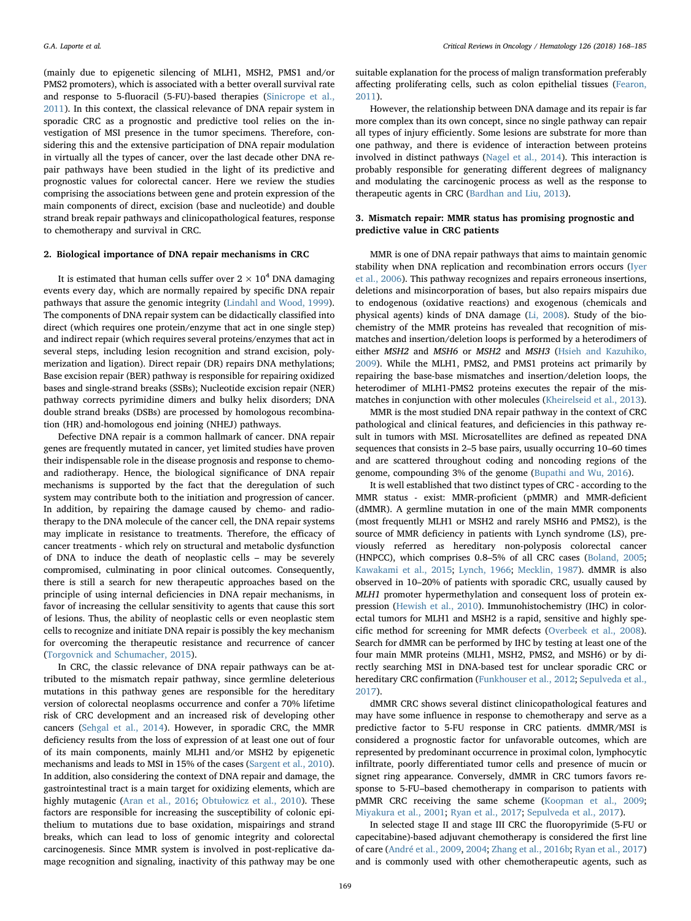(mainly due to epigenetic silencing of MLH1, MSH2, PMS1 and/or PMS2 promoters), which is associated with a better overall survival rate and response to 5-fluoracil (5-FU)-based therapies [\(Sinicrope et al.,](#page-16-6) [2011\)](#page-16-6). In this context, the classical relevance of DNA repair system in sporadic CRC as a prognostic and predictive tool relies on the investigation of MSI presence in the tumor specimens. Therefore, considering this and the extensive participation of DNA repair modulation in virtually all the types of cancer, over the last decade other DNA repair pathways have been studied in the light of its predictive and prognostic values for colorectal cancer. Here we review the studies comprising the associations between gene and protein expression of the main components of direct, excision (base and nucleotide) and double strand break repair pathways and clinicopathological features, response to chemotherapy and survival in CRC.

# 2. Biological importance of DNA repair mechanisms in CRC

It is estimated that human cells suffer over  $2\times10^4$  DNA damaging events every day, which are normally repaired by specific DNA repair pathways that assure the genomic integrity ([Lindahl and Wood, 1999](#page-15-3)). The components of DNA repair system can be didactically classified into direct (which requires one protein/enzyme that act in one single step) and indirect repair (which requires several proteins/enzymes that act in several steps, including lesion recognition and strand excision, polymerization and ligation). Direct repair (DR) repairs DNA methylations; Base excision repair (BER) pathway is responsible for repairing oxidized bases and single-strand breaks (SSBs); Nucleotide excision repair (NER) pathway corrects pyrimidine dimers and bulky helix disorders; DNA double strand breaks (DSBs) are processed by homologous recombination (HR) and-homologous end joining (NHEJ) pathways.

Defective DNA repair is a common hallmark of cancer. DNA repair genes are frequently mutated in cancer, yet limited studies have proven their indispensable role in the disease prognosis and response to chemoand radiotherapy. Hence, the biological significance of DNA repair mechanisms is supported by the fact that the deregulation of such system may contribute both to the initiation and progression of cancer. In addition, by repairing the damage caused by chemo- and radiotherapy to the DNA molecule of the cancer cell, the DNA repair systems may implicate in resistance to treatments. Therefore, the efficacy of cancer treatments - which rely on structural and metabolic dysfunction of DNA to induce the death of neoplastic cells – may be severely compromised, culminating in poor clinical outcomes. Consequently, there is still a search for new therapeutic approaches based on the principle of using internal deficiencies in DNA repair mechanisms, in favor of increasing the cellular sensitivity to agents that cause this sort of lesions. Thus, the ability of neoplastic cells or even neoplastic stem cells to recognize and initiate DNA repair is possibly the key mechanism for overcoming the therapeutic resistance and recurrence of cancer ([Torgovnick and Schumacher, 2015\)](#page-16-7).

In CRC, the classic relevance of DNA repair pathways can be attributed to the mismatch repair pathway, since germline deleterious mutations in this pathway genes are responsible for the hereditary version of colorectal neoplasms occurrence and confer a 70% lifetime risk of CRC development and an increased risk of developing other cancers ([Sehgal et al., 2014](#page-16-8)). However, in sporadic CRC, the MMR deficiency results from the loss of expression of at least one out of four of its main components, mainly MLH1 and/or MSH2 by epigenetic mechanisms and leads to MSI in 15% of the cases [\(Sargent et al., 2010](#page-16-9)). In addition, also considering the context of DNA repair and damage, the gastrointestinal tract is a main target for oxidizing elements, which are highly mutagenic [\(Aran et al., 2016;](#page-13-0) Obtuł[owicz et al., 2010\)](#page-16-10). These factors are responsible for increasing the susceptibility of colonic epithelium to mutations due to base oxidation, mispairings and strand breaks, which can lead to loss of genomic integrity and colorectal carcinogenesis. Since MMR system is involved in post-replicative damage recognition and signaling, inactivity of this pathway may be one

suitable explanation for the process of malign transformation preferably affecting proliferating cells, such as colon epithelial tissues [\(Fearon,](#page-14-9) [2011\)](#page-14-9).

However, the relationship between DNA damage and its repair is far more complex than its own concept, since no single pathway can repair all types of injury efficiently. Some lesions are substrate for more than one pathway, and there is evidence of interaction between proteins involved in distinct pathways [\(Nagel et al., 2014](#page-16-11)). This interaction is probably responsible for generating different degrees of malignancy and modulating the carcinogenic process as well as the response to therapeutic agents in CRC ([Bardhan and Liu, 2013\)](#page-14-10).

# 3. Mismatch repair: MMR status has promising prognostic and predictive value in CRC patients

MMR is one of DNA repair pathways that aims to maintain genomic stability when DNA replication and recombination errors occurs ([Iyer](#page-15-4) et [al., 2006](#page-15-4)). This pathway recognizes and repairs erroneous insertions, deletions and misincorporation of bases, but also repairs mispairs due to endogenous (oxidative reactions) and exogenous (chemicals and physical agents) kinds of DNA damage ([Li, 2008](#page-15-5)). Study of the biochemistry of the MMR proteins has revealed that recognition of mismatches and insertion/deletion loops is performed by a heterodimers of either MSH2 and MSH6 or MSH2 and MSH3 [\(Hsieh and Kazuhiko,](#page-15-6) [2009\)](#page-15-6). While the MLH1, PMS2, and PMS1 proteins act primarily by repairing the base-base mismatches and insertion/deletion loops, the heterodimer of MLH1-PMS2 proteins executes the repair of the mismatches in conjunction with other molecules ([Kheirelseid et al., 2013](#page-15-7)).

MMR is the most studied DNA repair pathway in the context of CRC pathological and clinical features, and deficiencies in this pathway result in tumors with MSI. Microsatellites are defined as repeated DNA sequences that consists in 2–5 base pairs, usually occurring 10–60 times and are scattered throughout coding and noncoding regions of the genome, compounding 3% of the genome ([Bupathi and Wu, 2016\)](#page-14-11).

It is well established that two distinct types of CRC - according to the MMR status - exist: MMR-proficient (pMMR) and MMR-deficient (dMMR). A germline mutation in one of the main MMR components (most frequently MLH1 or MSH2 and rarely MSH6 and PMS2), is the source of MMR deficiency in patients with Lynch syndrome (LS), previously referred as hereditary non-polyposis colorectal cancer (HNPCC), which comprises 0.8–5% of all CRC cases ([Boland, 2005](#page-14-12); [Kawakami et al., 2015;](#page-15-1) [Lynch, 1966;](#page-15-8) [Mecklin, 1987](#page-15-9)). dMMR is also observed in 10–20% of patients with sporadic CRC, usually caused by MLH1 promoter hypermethylation and consequent loss of protein expression ([Hewish et al., 2010](#page-14-13)). Immunohistochemistry (IHC) in colorectal tumors for MLH1 and MSH2 is a rapid, sensitive and highly specific method for screening for MMR defects ([Overbeek et al., 2008](#page-16-12)). Search for dMMR can be performed by IHC by testing at least one of the four main MMR proteins (MLH1, MSH2, PMS2, and MSH6) or by directly searching MSI in DNA-based test for unclear sporadic CRC or hereditary CRC confirmation ([Funkhouser et al., 2012;](#page-14-14) [Sepulveda et al.,](#page-16-13) [2017\)](#page-16-13).

dMMR CRC shows several distinct clinicopathological features and may have some influence in response to chemotherapy and serve as a predictive factor to 5-FU response in CRC patients. dMMR/MSI is considered a prognostic factor for unfavorable outcomes, which are represented by predominant occurrence in proximal colon, lymphocytic infiltrate, poorly differentiated tumor cells and presence of mucin or signet ring appearance. Conversely, dMMR in CRC tumors favors response to 5-FU–based chemotherapy in comparison to patients with pMMR CRC receiving the same scheme ([Koopman et al., 2009](#page-15-10); [Miyakura et al., 2001;](#page-15-11) [Ryan et al., 2017;](#page-16-14) [Sepulveda et al., 2017](#page-16-13)).

In selected stage II and stage III CRC the fluoropyrimide (5-FU or capecitabine)-based adjuvant chemotherapy is considered the first line of care [\(André et al., 2009,](#page-13-1) [2004;](#page-13-2) [Zhang et al., 2016b](#page-17-0); [Ryan et al., 2017\)](#page-16-14) and is commonly used with other chemotherapeutic agents, such as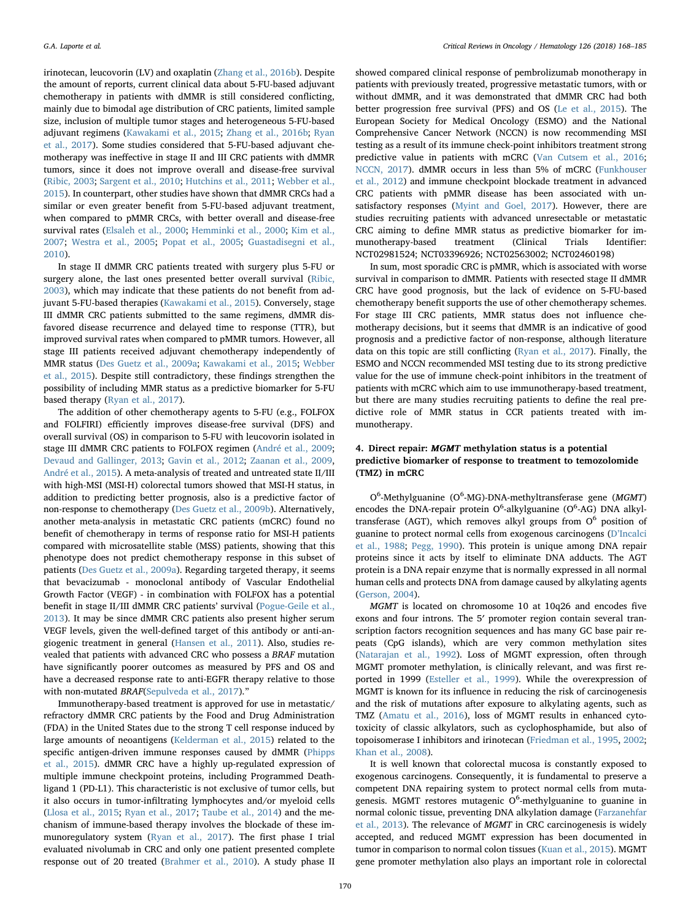irinotecan, leucovorin (LV) and oxaplatin ([Zhang et al., 2016b](#page-17-0)). Despite the amount of reports, current clinical data about 5-FU-based adjuvant chemotherapy in patients with dMMR is still considered conflicting, mainly due to bimodal age distribution of CRC patients, limited sample size, inclusion of multiple tumor stages and heterogeneous 5-FU-based adjuvant regimens [\(Kawakami et al., 2015](#page-15-1); [Zhang et al., 2016b;](#page-17-0) [Ryan](#page-16-14) [et al., 2017\)](#page-16-14). Some studies considered that 5-FU-based adjuvant chemotherapy was ineffective in stage II and III CRC patients with dMMR tumors, since it does not improve overall and disease-free survival ([Ribic, 2003](#page-16-15); [Sargent et al., 2010](#page-16-9); [Hutchins et al., 2011](#page-15-12); [Webber et al.,](#page-17-1) [2015\)](#page-17-1). In counterpart, other studies have shown that dMMR CRCs had a similar or even greater benefit from 5-FU-based adjuvant treatment, when compared to pMMR CRCs, with better overall and disease-free survival rates [\(Elsaleh et al., 2000](#page-14-15); [Hemminki et al., 2000](#page-14-16); [Kim et al.,](#page-15-13) [2007;](#page-15-13) [Westra et al., 2005;](#page-17-2) [Popat et al., 2005;](#page-16-16) [Guastadisegni et al.,](#page-14-17) [2010\)](#page-14-17).

In stage II dMMR CRC patients treated with surgery plus 5-FU or surgery alone, the last ones presented better overall survival [\(Ribic,](#page-16-15) [2003\)](#page-16-15), which may indicate that these patients do not benefit from adjuvant 5-FU-based therapies [\(Kawakami et al., 2015](#page-15-1)). Conversely, stage III dMMR CRC patients submitted to the same regimens, dMMR disfavored disease recurrence and delayed time to response (TTR), but improved survival rates when compared to pMMR tumors. However, all stage III patients received adjuvant chemotherapy independently of MMR status ([Des Guetz et al., 2009a](#page-14-18); [Kawakami et al., 2015](#page-15-1); [Webber](#page-17-1) [et al., 2015\)](#page-17-1). Despite still contradictory, these findings strengthen the possibility of including MMR status as a predictive biomarker for 5-FU based therapy [\(Ryan et al., 2017](#page-16-14)).

The addition of other chemotherapy agents to 5-FU (e.g., FOLFOX and FOLFIRI) efficiently improves disease-free survival (DFS) and overall survival (OS) in comparison to 5-FU with leucovorin isolated in stage III dMMR CRC patients to FOLFOX regimen [\(André et al., 2009](#page-13-1); [Devaud and Gallinger, 2013](#page-14-19); [Gavin et al., 2012](#page-14-20); [Zaanan et al., 2009](#page-17-3), [André et al., 2015\)](#page-13-3). A meta-analysis of treated and untreated state II/III with high-MSI (MSI-H) colorectal tumors showed that MSI-H status, in addition to predicting better prognosis, also is a predictive factor of non-response to chemotherapy [\(Des Guetz et al., 2009b](#page-14-21)). Alternatively, another meta-analysis in metastatic CRC patients (mCRC) found no benefit of chemotherapy in terms of response ratio for MSI-H patients compared with microsatellite stable (MSS) patients, showing that this phenotype does not predict chemotherapy response in this subset of patients ([Des Guetz et al., 2009a\)](#page-14-18). Regarding targeted therapy, it seems that bevacizumab - monoclonal antibody of Vascular Endothelial Growth Factor (VEGF) - in combination with FOLFOX has a potential benefit in stage II/III dMMR CRC patients' survival ([Pogue-Geile et al.,](#page-16-17) [2013\)](#page-16-17). It may be since dMMR CRC patients also present higher serum VEGF levels, given the well-defined target of this antibody or anti-angiogenic treatment in general ([Hansen et al., 2011](#page-14-22)). Also, studies revealed that patients with advanced CRC who possess a BRAF mutation have significantly poorer outcomes as measured by PFS and OS and have a decreased response rate to anti-EGFR therapy relative to those with non-mutated BRAF[\(Sepulveda et al., 2017\)](#page-16-13)."

Immunotherapy-based treatment is approved for use in metastatic/ refractory dMMR CRC patients by the Food and Drug Administration (FDA) in the United States due to the strong T cell response induced by large amounts of neoantigens [\(Kelderman et al., 2015](#page-15-14)) related to the specific antigen-driven immune responses caused by dMMR ([Phipps](#page-16-18) [et al., 2015\)](#page-16-18). dMMR CRC have a highly up-regulated expression of multiple immune checkpoint proteins, including Programmed Deathligand 1 (PD-L1). This characteristic is not exclusive of tumor cells, but it also occurs in tumor-infiltrating lymphocytes and/or myeloid cells ([Llosa et al., 2015;](#page-15-15) [Ryan et al., 2017](#page-16-14); [Taube et al., 2014\)](#page-16-19) and the mechanism of immune-based therapy involves the blockade of these immunoregulatory system [\(Ryan et al., 2017\)](#page-16-14). The first phase I trial evaluated nivolumab in CRC and only one patient presented complete response out of 20 treated ([Brahmer et al., 2010\)](#page-14-23). A study phase II

showed compared clinical response of pembrolizumab monotherapy in patients with previously treated, progressive metastatic tumors, with or without dMMR, and it was demonstrated that dMMR CRC had both better progression free survival (PFS) and OS ([Le et al., 2015](#page-15-16)). The European Society for Medical Oncology (ESMO) and the National Comprehensive Cancer Network (NCCN) is now recommending MSI testing as a result of its immune check-point inhibitors treatment strong predictive value in patients with mCRC ([Van Cutsem et al., 2016](#page-16-20); [NCCN, 2017](#page-16-2)). dMMR occurs in less than 5% of mCRC [\(Funkhouser](#page-14-14) [et al., 2012\)](#page-14-14) and immune checkpoint blockade treatment in advanced CRC patients with pMMR disease has been associated with unsatisfactory responses [\(Myint and Goel, 2017\)](#page-15-17). However, there are studies recruiting patients with advanced unresectable or metastatic CRC aiming to define MMR status as predictive biomarker for immunotherapy-based treatment (Clinical Trials Identifier: NCT02981524; NCT03396926; NCT02563002; NCT02460198)

In sum, most sporadic CRC is pMMR, which is associated with worse survival in comparison to dMMR. Patients with resected stage II dMMR CRC have good prognosis, but the lack of evidence on 5-FU-based chemotherapy benefit supports the use of other chemotherapy schemes. For stage III CRC patients, MMR status does not influence chemotherapy decisions, but it seems that dMMR is an indicative of good prognosis and a predictive factor of non-response, although literature data on this topic are still conflicting ([Ryan et al., 2017\)](#page-16-14). Finally, the ESMO and NCCN recommended MSI testing due to its strong predictive value for the use of immune check-point inhibitors in the treatment of patients with mCRC which aim to use immunotherapy-based treatment, but there are many studies recruiting patients to define the real predictive role of MMR status in CCR patients treated with immunotherapy.

# 4. Direct repair: MGMT methylation status is a potential predictive biomarker of response to treatment to temozolomide (TMZ) in mCRC

O<sup>6</sup>-Methylguanine (O<sup>6</sup>-MG)-DNA-methyltransferase gene (MGMT) encodes the DNA-repair protein O<sup>6</sup>-alkylguanine (O<sup>6</sup>-AG) DNA alkyltransferase (AGT), which removes alkyl groups from  $O<sup>6</sup>$  position of guanine to protect normal cells from exogenous carcinogens (D'[Incalci](#page-14-24) [et al., 1988](#page-14-24); [Pegg, 1990\)](#page-16-21). This protein is unique among DNA repair proteins since it acts by itself to eliminate DNA adducts. The AGT protein is a DNA repair enzyme that is normally expressed in all normal human cells and protects DNA from damage caused by alkylating agents ([Gerson, 2004\)](#page-14-25).

MGMT is located on chromosome 10 at 10q26 and encodes five exons and four introns. The 5′ promoter region contain several transcription factors recognition sequences and has many GC base pair repeats (CpG islands), which are very common methylation sites ([Natarajan et al., 1992](#page-16-22)). Loss of MGMT expression, often through MGMT promoter methylation, is clinically relevant, and was first reported in 1999 [\(Esteller et al., 1999](#page-14-26)). While the overexpression of MGMT is known for its influence in reducing the risk of carcinogenesis and the risk of mutations after exposure to alkylating agents, such as TMZ ([Amatu et al., 2016](#page-13-4)), loss of MGMT results in enhanced cytotoxicity of classic alkylators, such as cyclophosphamide, but also of topoisomerase I inhibitors and irinotecan [\(Friedman et al., 1995,](#page-14-27) [2002](#page-14-28); [Khan et al., 2008](#page-15-18)).

It is well known that colorectal mucosa is constantly exposed to exogenous carcinogens. Consequently, it is fundamental to preserve a competent DNA repairing system to protect normal cells from mutagenesis. MGMT restores mutagenic  $O<sup>6</sup>$ -methylguanine to guanine in normal colonic tissue, preventing DNA alkylation damage ([Farzanehfar](#page-14-29) [et al., 2013\)](#page-14-29). The relevance of MGMT in CRC carcinogenesis is widely accepted, and reduced MGMT expression has been documented in tumor in comparison to normal colon tissues ([Kuan et al., 2015](#page-15-19)). MGMT gene promoter methylation also plays an important role in colorectal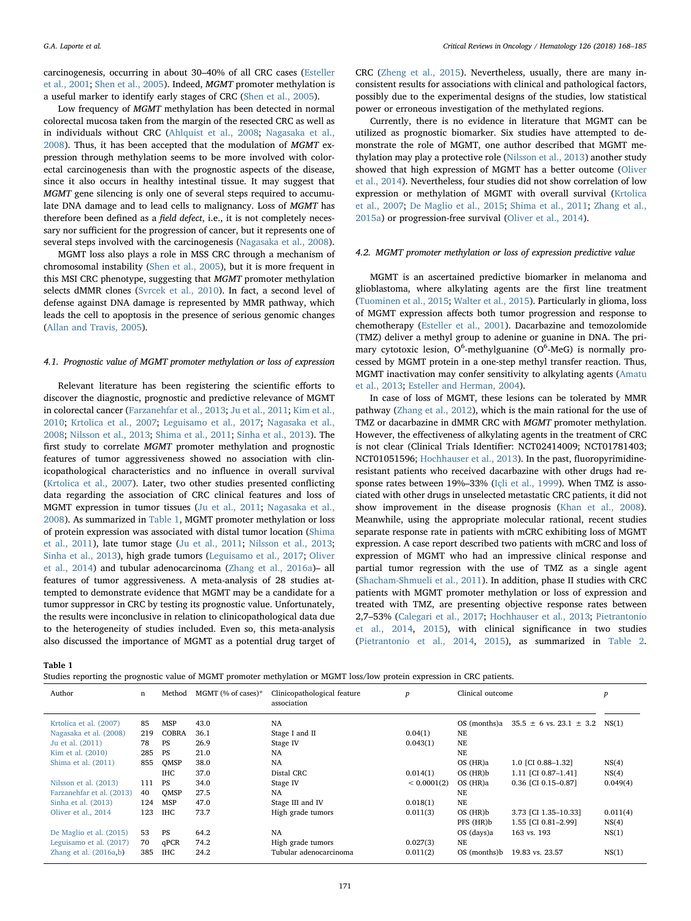carcinogenesis, occurring in about 30–40% of all CRC cases [\(Esteller](#page-14-30) [et al., 2001](#page-14-30); [Shen et al., 2005](#page-16-23)). Indeed, MGMT promoter methylation is a useful marker to identify early stages of CRC [\(Shen et al., 2005\)](#page-16-23).

Low frequency of MGMT methylation has been detected in normal colorectal mucosa taken from the margin of the resected CRC as well as in individuals without CRC ([Ahlquist et al., 2008](#page-13-5); [Nagasaka et al.,](#page-15-20) [2008\)](#page-15-20). Thus, it has been accepted that the modulation of MGMT expression through methylation seems to be more involved with colorectal carcinogenesis than with the prognostic aspects of the disease, since it also occurs in healthy intestinal tissue. It may suggest that MGMT gene silencing is only one of several steps required to accumulate DNA damage and to lead cells to malignancy. Loss of MGMT has therefore been defined as a field defect, i.e., it is not completely necessary nor sufficient for the progression of cancer, but it represents one of several steps involved with the carcinogenesis ([Nagasaka et al., 2008](#page-15-20)).

MGMT loss also plays a role in MSS CRC through a mechanism of chromosomal instability [\(Shen et al., 2005\)](#page-16-23), but it is more frequent in this MSI CRC phenotype, suggesting that MGMT promoter methylation selects dMMR clones [\(Svrcek et al., 2010\)](#page-16-24). In fact, a second level of defense against DNA damage is represented by MMR pathway, which leads the cell to apoptosis in the presence of serious genomic changes ([Allan and Travis, 2005](#page-13-6)).

# 4.1. Prognostic value of MGMT promoter methylation or loss of expression

Relevant literature has been registering the scientific efforts to discover the diagnostic, prognostic and predictive relevance of MGMT in colorectal cancer [\(Farzanehfar et al., 2013;](#page-14-29) [Ju et al., 2011;](#page-15-21) [Kim et al.,](#page-15-22) [2010;](#page-15-22) [Krtolica et al., 2007](#page-15-23); [Leguisamo et al., 2017;](#page-15-24) [Nagasaka et al.,](#page-15-20) [2008;](#page-15-20) [Nilsson et al., 2013](#page-16-25); [Shima et al., 2011;](#page-16-26) [Sinha et al., 2013\)](#page-16-27). The first study to correlate MGMT promoter methylation and prognostic features of tumor aggressiveness showed no association with clinicopathological characteristics and no influence in overall survival ([Krtolica et al., 2007](#page-15-23)). Later, two other studies presented conflicting data regarding the association of CRC clinical features and loss of MGMT expression in tumor tissues (Ju [et al., 2011;](#page-15-21) [Nagasaka et al.,](#page-15-20) [2008\)](#page-15-20). As summarized in [Table 1,](#page-3-0) MGMT promoter methylation or loss of protein expression was associated with distal tumor location ([Shima](#page-16-26) [et al., 2011](#page-16-26)), late tumor stage ([Ju et al., 2011](#page-15-21); [Nilsson et al., 2013](#page-16-25); [Sinha et al., 2013](#page-16-27)), high grade tumors ([Leguisamo et al., 2017;](#page-15-24) [Oliver](#page-16-28) [et al., 2014](#page-16-28)) and tubular adenocarcinoma [\(Zhang et al., 2016a](#page-17-4))– all features of tumor aggressiveness. A meta-analysis of 28 studies attempted to demonstrate evidence that MGMT may be a candidate for a tumor suppressor in CRC by testing its prognostic value. Unfortunately, the results were inconclusive in relation to clinicopathological data due to the heterogeneity of studies included. Even so, this meta-analysis also discussed the importance of MGMT as a potential drug target of

CRC ([Zheng et al., 2015](#page-17-5)). Nevertheless, usually, there are many inconsistent results for associations with clinical and pathological factors, possibly due to the experimental designs of the studies, low statistical power or erroneous investigation of the methylated regions.

Currently, there is no evidence in literature that MGMT can be utilized as prognostic biomarker. Six studies have attempted to demonstrate the role of MGMT, one author described that MGMT methylation may play a protective role [\(Nilsson et al., 2013](#page-16-25)) another study showed that high expression of MGMT has a better outcome ([Oliver](#page-16-28) [et al., 2014\)](#page-16-28). Nevertheless, four studies did not show correlation of low expression or methylation of MGMT with overall survival ([Krtolica](#page-15-23) [et al., 2007](#page-15-23); [De Maglio et al., 2015;](#page-14-31) [Shima et al., 2011;](#page-16-26) [Zhang et al.,](#page-17-6) [2015a\)](#page-17-6) or progression-free survival ([Oliver et al., 2014\)](#page-16-28).

# 4.2. MGMT promoter methylation or loss of expression predictive value

MGMT is an ascertained predictive biomarker in melanoma and glioblastoma, where alkylating agents are the first line treatment ([Tuominen et al., 2015](#page-16-29); [Walter et al., 2015\)](#page-17-7). Particularly in glioma, loss of MGMT expression affects both tumor progression and response to chemotherapy [\(Esteller et al., 2001](#page-14-30)). Dacarbazine and temozolomide (TMZ) deliver a methyl group to adenine or guanine in DNA. The primary cytotoxic lesion, O<sup>6</sup>-methylguanine (O<sup>6</sup>-MeG) is normally processed by MGMT protein in a one-step methyl transfer reaction. Thus, MGMT inactivation may confer sensitivity to alkylating agents [\(Amatu](#page-13-7) [et al., 2013](#page-13-7); [Esteller and Herman, 2004\)](#page-14-32).

In case of loss of MGMT, these lesions can be tolerated by MMR pathway [\(Zhang et al., 2012](#page-17-8)), which is the main rational for the use of TMZ or dacarbazine in dMMR CRC with MGMT promoter methylation. However, the effectiveness of alkylating agents in the treatment of CRC is not clear (Clinical Trials Identifier: NCT02414009; NCT01781403; NCT01051596; [Hochhauser et al., 2013](#page-15-25)). In the past, fluoropyrimidineresistant patients who received dacarbazine with other drugs had response rates between 19%–33% ([Içli et al., 1999\)](#page-15-26). When TMZ is associated with other drugs in unselected metastatic CRC patients, it did not show improvement in the disease prognosis [\(Khan et al., 2008](#page-15-18)). Meanwhile, using the appropriate molecular rational, recent studies separate response rate in patients with mCRC exhibiting loss of MGMT expression. A case report described two patients with mCRC and loss of expression of MGMT who had an impressive clinical response and partial tumor regression with the use of TMZ as a single agent ([Shacham-Shmueli et al., 2011\)](#page-16-30). In addition, phase II studies with CRC patients with MGMT promoter methylation or loss of expression and treated with TMZ, are presenting objective response rates between 2,7–53% ([Calegari et al., 2017](#page-14-33); [Hochhauser et al., 2013;](#page-15-25) [Pietrantonio](#page-16-31) [et al., 2014,](#page-16-31) [2015](#page-16-32)), with clinical significance in two studies ([Pietrantonio et al., 2014,](#page-16-31) [2015\)](#page-16-32), as summarized in [Table 2](#page-4-0).

<span id="page-3-0"></span>Table 1

Studies reporting the prognostic value of MGMT promoter methylation or MGMT loss/low protein expression in CRC patients.

| Author                    | n   | Method       | MGMT (% of cases)* | Clinicopathological feature<br>association | $\boldsymbol{p}$ | Clinical outcome |                                 | p        |
|---------------------------|-----|--------------|--------------------|--------------------------------------------|------------------|------------------|---------------------------------|----------|
| Krtolica et al. (2007)    | 85  | <b>MSP</b>   | 43.0               | <b>NA</b>                                  |                  | OS (months)a     | $35.5 \pm 6$ vs. $23.1 \pm 3.2$ | NS(1)    |
| Nagasaka et al. (2008)    | 219 | <b>COBRA</b> | 36.1               | Stage I and II                             | 0.04(1)          | <b>NE</b>        |                                 |          |
| Ju et al. (2011)          | 78  | PS           | 26.9               | Stage IV                                   | 0.043(1)         | <b>NE</b>        |                                 |          |
| Kim et al. (2010)         | 285 | PS           | 21.0               | NA                                         |                  | <b>NE</b>        |                                 |          |
| Shima et al. (2011)       | 855 | OMSP         | 38.0               | NA                                         |                  | OS (HR)a         | 1.0 [CI 0.88-1.32]              | NS(4)    |
|                           |     | IHC          | 37.0               | Distal CRC                                 | 0.014(1)         | $OS$ (HR) $b$    | 1.11 [CI 0.87-1.41]             | NS(4)    |
| Nilsson et al. (2013)     | 111 | PS           | 34.0               | Stage IV                                   | < 0.0001(2)      | OS (HR)a         | 0.36 [CI 0.15-0.87]             | 0.049(4) |
| Farzanehfar et al. (2013) | 40  | OMSP         | 27.5               | NA                                         |                  | <b>NE</b>        |                                 |          |
| Sinha et al. (2013)       | 124 | <b>MSP</b>   | 47.0               | Stage III and IV                           | 0.018(1)         | <b>NE</b>        |                                 |          |
| Oliver et al., 2014       | 123 | IHC.         | 73.7               | High grade tumors                          | 0.011(3)         | $OS$ (HR) $b$    | 3.73 [CI 1.35-10.33]            | 0.011(4) |
|                           |     |              |                    |                                            |                  | PFS (HR)b        | 1.55 [CI 0.81-2.99]             | NS(4)    |
| De Maglio et al. (2015)   | 53  | <b>PS</b>    | 64.2               | NA                                         |                  | OS (days)a       | 163 vs. 193                     | NS(1)    |
| Leguisamo et al. (2017)   | 70  | qPCR         | 74.2               | High grade tumors                          | 0.027(3)         | NE               |                                 |          |
| Zhang et al. $(2016a,b)$  | 385 | <b>IHC</b>   | 24.2               | Tubular adenocarcinoma                     | 0.011(2)         | OS (months)b     | 19.83 vs. 23.57                 | NS(1)    |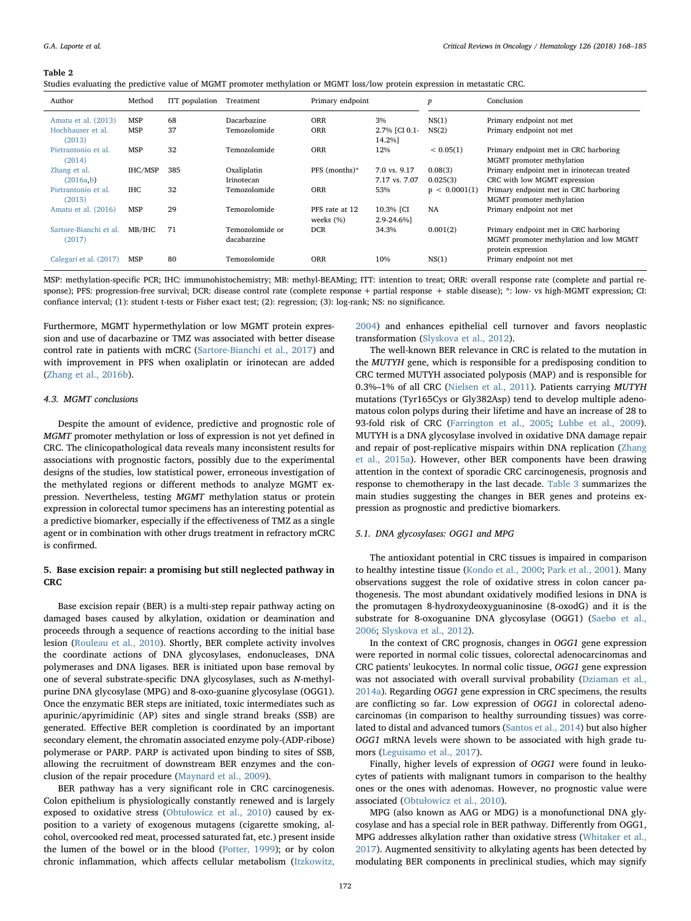<span id="page-4-0"></span>

| Studies evaluating the predictive value of MGMT promoter methylation or MGMT loss/low protein expression in metastatic CRC. |  |  |  |
|-----------------------------------------------------------------------------------------------------------------------------|--|--|--|
|-----------------------------------------------------------------------------------------------------------------------------|--|--|--|

| Author                           | Method     | ITT population | Treatment                      | Primary endpoint               |                               | p                   | Conclusion                                                                                            |
|----------------------------------|------------|----------------|--------------------------------|--------------------------------|-------------------------------|---------------------|-------------------------------------------------------------------------------------------------------|
| Amatu et al. (2013)              | <b>MSP</b> | 68             | Dacarbazine                    | <b>ORR</b>                     | 3%                            | NS(1)               | Primary endpoint not met                                                                              |
| Hochhauser et al.<br>(2013)      | <b>MSP</b> | 37             | Temozolomide                   | <b>ORR</b>                     | 2.7% [CI 0.1-<br>14.2%]       | NS(2)               | Primary endpoint not met                                                                              |
| Pietrantonio et al.<br>(2014)    | <b>MSP</b> | 32             | Temozolomide                   | <b>ORR</b>                     | 12%                           | < 0.05(1)           | Primary endpoint met in CRC harboring<br>MGMT promoter methylation                                    |
| Zhang et al.<br>(2016a,b)        | IHC/MSP    | 385            | Oxaliplatin<br>Irinotecan      | $PFS$ (months)*                | 7.0 vs. 9.17<br>7.17 vs. 7.07 | 0.08(3)<br>0.025(3) | Primary endpoint met in irinotecan treated<br>CRC with low MGMT expression                            |
| Pietrantonio et al.<br>(2015)    | IHC        | 32             | <b>Temozolomide</b>            | <b>ORR</b>                     | 53%                           | p < 0.0001(1)       | Primary endpoint met in CRC harboring<br>MGMT promoter methylation                                    |
| Amatu et al. (2016)              | <b>MSP</b> | 29             | Temozolomide                   | PFS rate at 12<br>weeks $(\%)$ | 10.3% [CI]<br>2.9-24.6%       | NA                  | Primary endpoint not met                                                                              |
| Sartore-Bianchi et al.<br>(2017) | MB/IHC     | 71             | Temozolomide or<br>dacabarzine | <b>DCR</b>                     | 34.3%                         | 0.001(2)            | Primary endpoint met in CRC harboring<br>MGMT promoter methylation and low MGMT<br>protein expression |
| Calegari et al. (2017)           | MSP        | 80             | Temozolomide                   | <b>ORR</b>                     | 10%                           | NS(1)               | Primary endpoint not met                                                                              |

MSP: methylation-specific PCR; IHC: immunohistochemistry; MB: methyl-BEAMing; ITT: intention to treat; ORR: overall response rate (complete and partial response); PFS: progression-free survival; DCR: disease control rate (complete response + partial response + stable disease); \*: low- vs high-MGMT expression; CI: confiance interval; (1): student t-tests or Fisher exact test; (2): regression; (3): log-rank; NS: no significance.

Furthermore, MGMT hypermethylation or low MGMT protein expression and use of dacarbazine or TMZ was associated with better disease control rate in patients with mCRC ([Sartore-Bianchi et al., 2017\)](#page-16-33) and with improvement in PFS when oxaliplatin or irinotecan are added ([Zhang et al., 2016b](#page-17-0)).

#### 4.3. MGMT conclusions

Despite the amount of evidence, predictive and prognostic role of MGMT promoter methylation or loss of expression is not yet defined in CRC. The clinicopathological data reveals many inconsistent results for associations with prognostic factors, possibly due to the experimental designs of the studies, low statistical power, erroneous investigation of the methylated regions or different methods to analyze MGMT expression. Nevertheless, testing MGMT methylation status or protein expression in colorectal tumor specimens has an interesting potential as a predictive biomarker, especially if the effectiveness of TMZ as a single agent or in combination with other drugs treatment in refractory mCRC is confirmed.

# 5. Base excision repair: a promising but still neglected pathway in CRC

Base excision repair (BER) is a multi-step repair pathway acting on damaged bases caused by alkylation, oxidation or deamination and proceeds through a sequence of reactions according to the initial base lesion [\(Rouleau et al., 2010\)](#page-16-34). Shortly, BER complete activity involves the coordinate actions of DNA glycosylases, endonucleases, DNA polymerases and DNA ligases. BER is initiated upon base removal by one of several substrate-specific DNA glycosylases, such as N-methylpurine DNA glycosylase (MPG) and 8-oxo-guanine glycosylase (OGG1). Once the enzymatic BER steps are initiated, toxic intermediates such as apurinic/apyrimidinic (AP) sites and single strand breaks (SSB) are generated. Effective BER completion is coordinated by an important secondary element, the chromatin associated enzyme poly-(ADP-ribose) polymerase or PARP. PARP is activated upon binding to sites of SSB, allowing the recruitment of downstream BER enzymes and the conclusion of the repair procedure ([Maynard et al., 2009\)](#page-15-27).

BER pathway has a very significant role in CRC carcinogenesis. Colon epithelium is physiologically constantly renewed and is largely exposed to oxidative stress (Obtuł[owicz et al., 2010\)](#page-16-10) caused by exposition to a variety of exogenous mutagens (cigarette smoking, alcohol, overcooked red meat, processed saturated fat, etc.) present inside the lumen of the bowel or in the blood ([Potter, 1999](#page-16-35)); or by colon chronic inflammation, which affects cellular metabolism ([Itzkowitz,](#page-15-28)

[2004\)](#page-15-28) and enhances epithelial cell turnover and favors neoplastic transformation ([Slyskova et al., 2012\)](#page-16-36).

The well-known BER relevance in CRC is related to the mutation in the MUTYH gene, which is responsible for a predisposing condition to CRC termed MUTYH associated polyposis (MAP) and is responsible for 0.3%–1% of all CRC [\(Nielsen et al., 2011](#page-16-37)). Patients carrying MUTYH mutations (Tyr165Cys or Gly382Asp) tend to develop multiple adenomatous colon polyps during their lifetime and have an increase of 28 to 93-fold risk of CRC [\(Farrington et al., 2005;](#page-14-34) [Lubbe et al., 2009](#page-15-29)). MUTYH is a DNA glycosylase involved in oxidative DNA damage repair and repair of post-replicative mispairs within DNA replication ([Zhang](#page-17-6) [et al., 2015a\)](#page-17-6). However, other BER components have been drawing attention in the context of sporadic CRC carcinogenesis, prognosis and response to chemotherapy in the last decade. [Table 3](#page-5-0) summarizes the main studies suggesting the changes in BER genes and proteins expression as prognostic and predictive biomarkers.

## 5.1. DNA glycosylases: OGG1 and MPG

The antioxidant potential in CRC tissues is impaired in comparison to healthy intestine tissue [\(Kondo et al., 2000](#page-15-30); [Park et al., 2001](#page-16-38)). Many observations suggest the role of oxidative stress in colon cancer pathogenesis. The most abundant oxidatively modified lesions in DNA is the promutagen 8-hydroxydeoxyguaninosine (8-oxodG) and it is the substrate for 8-oxoguanine DNA glycosylase (OGG1) [\(Saebø et al.,](#page-16-39) [2006;](#page-16-39) [Slyskova et al., 2012\)](#page-16-36).

In the context of CRC prognosis, changes in OGG1 gene expression were reported in normal colic tissues, colorectal adenocarcinomas and CRC patients' leukocytes. In normal colic tissue, OGG1 gene expression was not associated with overall survival probability [\(Dziaman et al.,](#page-14-35) [2014a\)](#page-14-35). Regarding OGG1 gene expression in CRC specimens, the results are conflicting so far. Low expression of OGG1 in colorectal adenocarcinomas (in comparison to healthy surrounding tissues) was correlated to distal and advanced tumors [\(Santos et al., 2014](#page-16-40)) but also higher OGG1 mRNA levels were shown to be associated with high grade tumors ([Leguisamo et al., 2017\)](#page-15-24).

Finally, higher levels of expression of OGG1 were found in leukocytes of patients with malignant tumors in comparison to the healthy ones or the ones with adenomas. However, no prognostic value were associated (Obtuł[owicz et al., 2010\)](#page-16-10).

MPG (also known as AAG or MDG) is a monofunctional DNA glycosylase and has a special role in BER pathway. Differently from OGG1, MPG addresses alkylation rather than oxidative stress ([Whitaker et al.,](#page-17-9) [2017\)](#page-17-9). Augmented sensitivity to alkylating agents has been detected by modulating BER components in preclinical studies, which may signify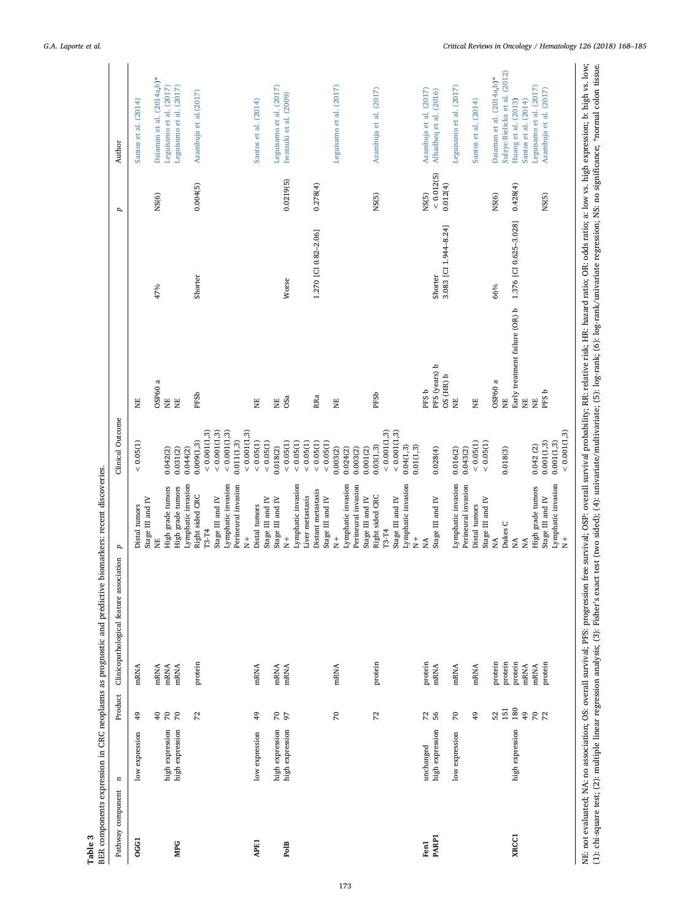<span id="page-5-0"></span>

| <b>OGG1</b>      |                 | Product          | Clinicopathological feature association | P,                                           | Clinical Outcome |                                                       |                                  | d                      | Author                        |
|------------------|-----------------|------------------|-----------------------------------------|----------------------------------------------|------------------|-------------------------------------------------------|----------------------------------|------------------------|-------------------------------|
|                  |                 |                  |                                         |                                              |                  |                                                       |                                  |                        |                               |
|                  | low expression  | ą9               | mRNA                                    | Distal tumors                                | < 0.05(1)        | Ë                                                     |                                  |                        | Santos et al. (2014)          |
|                  |                 |                  |                                         | Stage III and IV                             |                  |                                                       |                                  |                        |                               |
|                  |                 | $\overline{40}$  | mRNA                                    | Ë                                            |                  | OSP60 a                                               | 47%                              | NS(6)                  | Dziaman et al. (2014a,b)*     |
|                  | high expression | $70\,$           | mRNA                                    | High grade tumors                            | 0.042(2)         | $\Xi$                                                 |                                  |                        | Leguisamo et al. (2017)       |
| <b>MPG</b>       | high expression | $\mathcal{L}$    | mRNA                                    | High grade tumors                            | 0.031(2)         | Ë                                                     |                                  |                        | Leguisamo et al. (2017)       |
|                  |                 |                  |                                         | Lymphatic invasion                           | 0.044(2)         |                                                       |                                  |                        |                               |
|                  |                 | 72               | protein                                 | Right sided CRC                              | 0.009(1,3)       | PFSb                                                  | Shorter                          | 0.004(5)               | Azambuja et al. (2017)        |
|                  |                 |                  |                                         | T3-T4                                        | < 0.001(1,3)     |                                                       |                                  |                        |                               |
|                  |                 |                  |                                         | Stage III and IV                             | < 0.001(1,3)     |                                                       |                                  |                        |                               |
|                  |                 |                  |                                         | Lymphatic invasion                           | $<0.001(1,3)$    |                                                       |                                  |                        |                               |
|                  |                 |                  |                                         | Perineural invasion                          | 0.011(1,3)       |                                                       |                                  |                        |                               |
|                  |                 |                  |                                         | $_{Z}^{+}$                                   | < 0.001(1,3)     |                                                       |                                  |                        |                               |
|                  |                 | $^{49}$          |                                         |                                              | < 0.05(1)        | Ë                                                     |                                  |                        |                               |
| APE1             | low expression  |                  | mRNA                                    | Distal tumors                                |                  |                                                       |                                  |                        | Santos et al. (2014)          |
|                  |                 |                  |                                         | Stage III and IV                             | < 0.05(1)        |                                                       |                                  |                        |                               |
|                  | high expression | $\sqrt{2}$       | mRNA                                    | Stage III and IV                             | 0.018(2)         | Ë                                                     |                                  |                        | Leguisamo et al. (2017)       |
| PolB             | high expression | 97               | mRNA                                    | $\frac{+}{\mathbf{Z}}$                       | < 0.05(1)        | OSa                                                   | Worse                            | 0.0219(5)              | Iwatsuki et al. (2009)        |
|                  |                 |                  |                                         | Lymphatic invasion                           | < 0.05(1)        |                                                       |                                  |                        |                               |
|                  |                 |                  |                                         | Liver metastasis                             | < 0.05(1)        |                                                       |                                  |                        |                               |
|                  |                 |                  |                                         | Distant metastasis                           | < 0.05(1)        | RRa                                                   | 1.270 [CI 0.82-2.06]             | 0.278(4)               |                               |
|                  |                 |                  |                                         | Stage III and IV                             | < 0.05(1)        |                                                       |                                  |                        |                               |
|                  |                 |                  |                                         |                                              |                  |                                                       |                                  |                        |                               |
|                  |                 | $\sqrt{2}$       | mRNA                                    | $_{Z}^{+}$                                   | 0.003(2)         | Ë                                                     |                                  |                        | Leguisamo et al. (2017)       |
|                  |                 |                  |                                         | Lymphatic invasion                           | 0.024(2)         |                                                       |                                  |                        |                               |
|                  |                 |                  |                                         | Perineural invasion                          | 0.003(2)         |                                                       |                                  |                        |                               |
|                  |                 |                  |                                         | Stage III and IV                             | 0.001(2)         |                                                       |                                  |                        |                               |
|                  |                 | 72               | protein                                 | Right sided CRC                              | 0.03(1,3)        | PFSb                                                  |                                  | NS(5)                  | Azambuja et al. (2017)        |
|                  |                 |                  |                                         | T3-T4                                        | < 0.001(1,3)     |                                                       |                                  |                        |                               |
|                  |                 |                  |                                         | Stage III and IV                             | < 0.001(1,3)     |                                                       |                                  |                        |                               |
|                  |                 |                  |                                         |                                              |                  |                                                       |                                  |                        |                               |
|                  |                 |                  |                                         | Lymphatic invasion                           | 0.04(1,3)        |                                                       |                                  |                        |                               |
|                  |                 |                  |                                         | $\frac{+}{\mathbf{Z}}$                       | 0.01(1,3)        |                                                       |                                  |                        |                               |
| Fen <sub>1</sub> | unchanged       | 72<br>56         | protein                                 | ΧÁ                                           |                  | <b>A</b> SEG                                          |                                  | NS(5)                  | Azambuja et al. (2017)        |
| PARPI            | high expression |                  | mRNA                                    | Stage III and IV                             | 0.028(4)         | PFS (years) b<br>OS (HR) b                            | 3.083 [CI 1.944-8.24]<br>Shorter | < 0.012(5)<br>0.012(4) | Alhadheq et al. (2016)        |
|                  |                 | $\overline{70}$  |                                         | Lymphatic invasion                           | 0.016(2)         | Ë                                                     |                                  |                        | Leguisamo et al. (2017)       |
|                  | low expression  |                  | mRNA                                    | Perineural invasion                          | 0.043(2)         |                                                       |                                  |                        |                               |
|                  |                 | $^{49}$          | mRNA                                    | Distal tumors                                | < 0.05(1)        | Ë                                                     |                                  |                        | Santos et al. (2014)          |
|                  |                 |                  |                                         |                                              |                  |                                                       |                                  |                        |                               |
|                  |                 |                  |                                         | Stage III and IV                             | < 0.05(1)        |                                                       |                                  |                        |                               |
|                  |                 | $\frac{52}{151}$ | protein                                 | $\mathbb{A}$                                 |                  | OSP60 a                                               | 66%                              | NS(6)                  | Dziaman et al. (2014a,b)*     |
|                  |                 |                  | protein                                 | Dukes C                                      | 0.018(3)         | Ë                                                     |                                  |                        | Sulzyc-Bielicka et al. (2012) |
| XRCC1            | high expression | 180              | protein                                 | $\stackrel{\textstyle <}{\phantom{}_{\sim}}$ |                  | Early treatment failure (OR) b 1.376 [CI 0.625-3.028] |                                  | 0.428(4)               | Huang et al. (2013)           |
|                  |                 | $\overline{6}$   | mRNA                                    | Ž                                            |                  | Ë                                                     |                                  |                        | Santos et al. (2014)          |
|                  |                 |                  | mRNA                                    | High grade tumors                            | 0.042(2)         | 뜅                                                     |                                  |                        | Leguisamo et al. (2017)       |
|                  |                 | $70^{2}$         | protein                                 | Stage III and IV                             | 0.001(1,3)       | PFS b                                                 |                                  | NS(5)                  | Azambuja et al. (2017)        |
|                  |                 |                  |                                         | Lymphatic invasion                           | 0.001(1,3)       |                                                       |                                  |                        |                               |
|                  |                 |                  |                                         | $\frac{+}{\mathbf{Z}}$                       | < 0.001(1,3)     |                                                       |                                  |                        |                               |
|                  |                 |                  |                                         |                                              |                  |                                                       |                                  |                        |                               |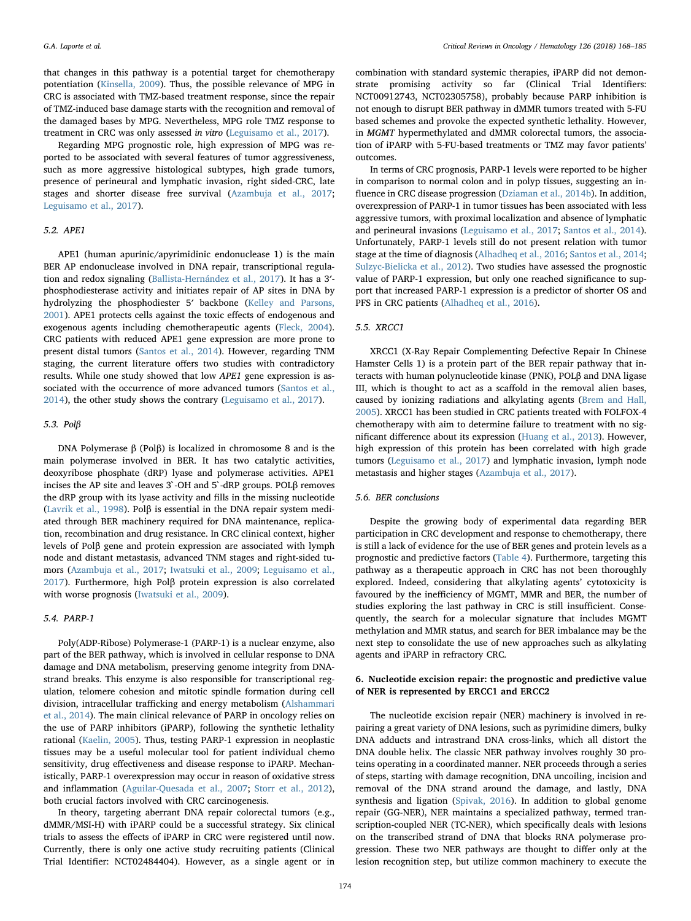that changes in this pathway is a potential target for chemotherapy potentiation ([Kinsella, 2009](#page-15-33)). Thus, the possible relevance of MPG in CRC is associated with TMZ-based treatment response, since the repair of TMZ-induced base damage starts with the recognition and removal of the damaged bases by MPG. Nevertheless, MPG role TMZ response to treatment in CRC was only assessed in vitro ([Leguisamo et al., 2017\)](#page-15-24).

Regarding MPG prognostic role, high expression of MPG was reported to be associated with several features of tumor aggressiveness, such as more aggressive histological subtypes, high grade tumors, presence of perineural and lymphatic invasion, right sided-CRC, late stages and shorter disease free survival [\(Azambuja et al., 2017](#page-13-8); [Leguisamo et al., 2017\)](#page-15-24).

# 5.2. APE1

APE1 (human apurinic/apyrimidinic endonuclease 1) is the main BER AP endonuclease involved in DNA repair, transcriptional regulation and redox signaling ([Ballista-Hernández et al., 2017\)](#page-13-10). It has a 3′ phosphodiesterase activity and initiates repair of AP sites in DNA by hydrolyzing the phosphodiester 5′ backbone ([Kelley and Parsons,](#page-15-34) [2001\)](#page-15-34). APE1 protects cells against the toxic effects of endogenous and exogenous agents including chemotherapeutic agents [\(Fleck, 2004](#page-14-37)). CRC patients with reduced APE1 gene expression are more prone to present distal tumors [\(Santos et al., 2014](#page-16-40)). However, regarding TNM staging, the current literature offers two studies with contradictory results. While one study showed that low APE1 gene expression is associated with the occurrence of more advanced tumors [\(Santos et al.,](#page-16-40) [2014\)](#page-16-40), the other study shows the contrary ([Leguisamo et al., 2017\)](#page-15-24).

# 5.3. Polβ

DNA Polymerase β (Polβ) is localized in chromosome 8 and is the main polymerase involved in BER. It has two catalytic activities, deoxyribose phosphate (dRP) lyase and polymerase activities. APE1 incises the AP site and leaves 3`-OH and 5`-dRP groups. POLβ removes the dRP group with its lyase activity and fills in the missing nucleotide ([Lavrik et al., 1998\)](#page-15-35). Polβ is essential in the DNA repair system mediated through BER machinery required for DNA maintenance, replication, recombination and drug resistance. In CRC clinical context, higher levels of Polβ gene and protein expression are associated with lymph node and distant metastasis, advanced TNM stages and right-sided tumors [\(Azambuja et al., 2017](#page-13-8); [Iwatsuki et al., 2009;](#page-15-31) [Leguisamo et al.,](#page-15-24) [2017\)](#page-15-24). Furthermore, high Polβ protein expression is also correlated with worse prognosis ([Iwatsuki et al., 2009](#page-15-31)).

# 5.4. PARP-1

Poly(ADP-Ribose) Polymerase-1 (PARP-1) is a nuclear enzyme, also part of the BER pathway, which is involved in cellular response to DNA damage and DNA metabolism, preserving genome integrity from DNAstrand breaks. This enzyme is also responsible for transcriptional regulation, telomere cohesion and mitotic spindle formation during cell division, intracellular trafficking and energy metabolism ([Alshammari](#page-13-11) [et al., 2014](#page-13-11)). The main clinical relevance of PARP in oncology relies on the use of PARP inhibitors (iPARP), following the synthetic lethality rational [\(Kaelin, 2005\)](#page-15-36). Thus, testing PARP-1 expression in neoplastic tissues may be a useful molecular tool for patient individual chemo sensitivity, drug effectiveness and disease response to iPARP. Mechanistically, PARP-1 overexpression may occur in reason of oxidative stress and inflammation ([Aguilar-Quesada et al., 2007;](#page-13-12) [Storr et al., 2012](#page-16-42)), both crucial factors involved with CRC carcinogenesis.

In theory, targeting aberrant DNA repair colorectal tumors (e.g., dMMR/MSI-H) with iPARP could be a successful strategy. Six clinical trials to assess the effects of iPARP in CRC were registered until now. Currently, there is only one active study recruiting patients (Clinical Trial Identifier: NCT02484404). However, as a single agent or in

combination with standard systemic therapies, iPARP did not demonstrate promising activity so far (Clinical Trial Identifiers: NCT00912743, NCT02305758), probably because PARP inhibition is not enough to disrupt BER pathway in dMMR tumors treated with 5-FU based schemes and provoke the expected synthetic lethality. However, in MGMT hypermethylated and dMMR colorectal tumors, the association of iPARP with 5-FU-based treatments or TMZ may favor patients' outcomes.

In terms of CRC prognosis, PARP-1 levels were reported to be higher in comparison to normal colon and in polyp tissues, suggesting an influence in CRC disease progression ([Dziaman et al., 2014b\)](#page-14-36). In addition, overexpression of PARP-1 in tumor tissues has been associated with less aggressive tumors, with proximal localization and absence of lymphatic and perineural invasions ([Leguisamo et al., 2017](#page-15-24); [Santos et al., 2014](#page-16-40)). Unfortunately, PARP-1 levels still do not present relation with tumor stage at the time of diagnosis [\(Alhadheq et al., 2016](#page-13-9); [Santos et al., 2014](#page-16-40); [Sulzyc-Bielicka et al., 2012](#page-16-41)). Two studies have assessed the prognostic value of PARP-1 expression, but only one reached significance to support that increased PARP-1 expression is a predictor of shorter OS and PFS in CRC patients [\(Alhadheq et al., 2016](#page-13-9)).

# 5.5. XRCC1

XRCC1 (X-Ray Repair Complementing Defective Repair In Chinese Hamster Cells 1) is a protein part of the BER repair pathway that interacts with human polynucleotide kinase (PNK), POLβ and DNA ligase III, which is thought to act as a scaffold in the removal alien bases, caused by ionizing radiations and alkylating agents ([Brem and Hall,](#page-14-38) [2005\)](#page-14-38). XRCC1 has been studied in CRC patients treated with FOLFOX-4 chemotherapy with aim to determine failure to treatment with no significant difference about its expression ([Huang et al., 2013](#page-15-32)). However, high expression of this protein has been correlated with high grade tumors [\(Leguisamo et al., 2017\)](#page-15-24) and lymphatic invasion, lymph node metastasis and higher stages [\(Azambuja et al., 2017](#page-13-8)).

# 5.6. BER conclusions

Despite the growing body of experimental data regarding BER participation in CRC development and response to chemotherapy, there is still a lack of evidence for the use of BER genes and protein levels as a prognostic and predictive factors ([Table 4](#page-7-0)). Furthermore, targeting this pathway as a therapeutic approach in CRC has not been thoroughly explored. Indeed, considering that alkylating agents' cytotoxicity is favoured by the inefficiency of MGMT, MMR and BER, the number of studies exploring the last pathway in CRC is still insufficient. Consequently, the search for a molecular signature that includes MGMT methylation and MMR status, and search for BER imbalance may be the next step to consolidate the use of new approaches such as alkylating agents and iPARP in refractory CRC.

# 6. Nucleotide excision repair: the prognostic and predictive value of NER is represented by ERCC1 and ERCC2

The nucleotide excision repair (NER) machinery is involved in repairing a great variety of DNA lesions, such as pyrimidine dimers, bulky DNA adducts and intrastrand DNA cross-links, which all distort the DNA double helix. The classic NER pathway involves roughly 30 proteins operating in a coordinated manner. NER proceeds through a series of steps, starting with damage recognition, DNA uncoiling, incision and removal of the DNA strand around the damage, and lastly, DNA synthesis and ligation ([Spivak, 2016](#page-16-43)). In addition to global genome repair (GG-NER), NER maintains a specialized pathway, termed transcription-coupled NER (TC-NER), which specifically deals with lesions on the transcribed strand of DNA that blocks RNA polymerase progression. These two NER pathways are thought to differ only at the lesion recognition step, but utilize common machinery to execute the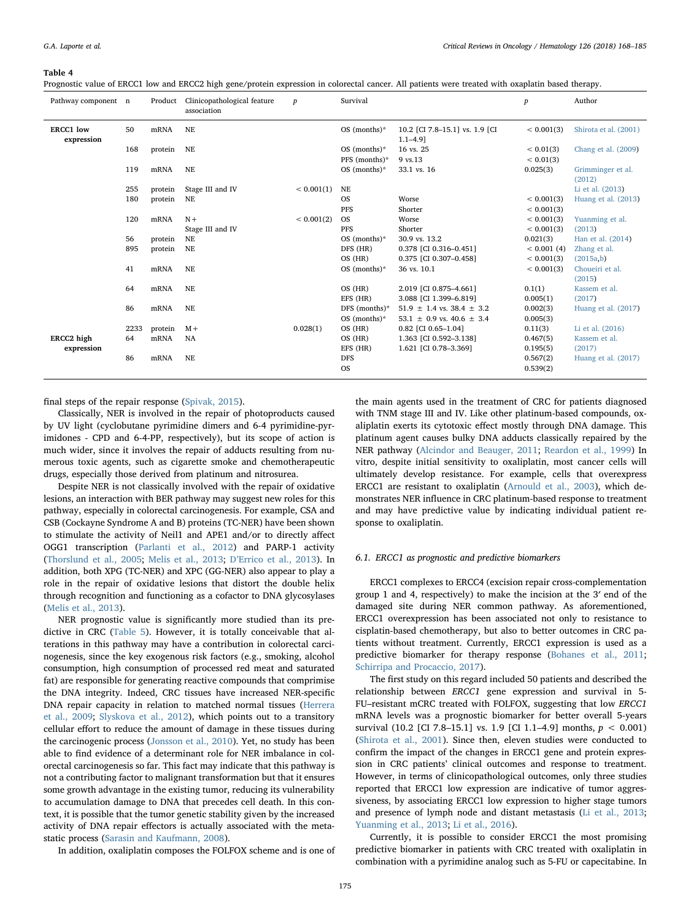<span id="page-7-0"></span>Prognostic value of ERCC1 low and ERCC2 high gene/protein expression in colorectal cancer. All patients were treated with oxaplatin based therapy.

| Pathway component n            |      |         | Product Clinicopathological feature<br>association | $\boldsymbol{p}$ | Survival                         |                                               | $\boldsymbol{p}$       | Author                      |
|--------------------------------|------|---------|----------------------------------------------------|------------------|----------------------------------|-----------------------------------------------|------------------------|-----------------------------|
| <b>ERCC1</b> low<br>expression | 50   | mRNA    | <b>NE</b>                                          |                  | $OS$ (months) <sup>*</sup>       | 10.2 [CI 7.8-15.1] vs. 1.9 [CI<br>$1.1 - 4.9$ | < 0.001(3)             | Shirota et al. (2001)       |
|                                | 168  | protein | NE                                                 |                  | OS (months) $*$<br>PFS (months)* | 16 vs. 25<br>9 vs.13                          | < 0.01(3)<br>< 0.01(3) | Chang et al. (2009)         |
|                                | 119  | mRNA    | <b>NE</b>                                          |                  | $OS$ (months) <sup>*</sup>       | 33.1 vs. 16                                   | 0.025(3)               | Grimminger et al.<br>(2012) |
|                                | 255  | protein | Stage III and IV                                   | < 0.001(1)       | <b>NE</b>                        |                                               |                        | Li et al. (2013)            |
|                                | 180  | protein | NE                                                 |                  | <b>OS</b>                        | Worse                                         | < 0.001(3)             | Huang et al. (2013)         |
|                                |      |         |                                                    |                  | <b>PFS</b>                       | Shorter                                       | < 0.001(3)             |                             |
|                                | 120  | mRNA    | $N +$                                              | < 0.001(2)       | <b>OS</b>                        | Worse                                         | < 0.001(3)             | Yuanming et al.             |
|                                |      |         | Stage III and IV                                   |                  | <b>PFS</b>                       | Shorter                                       | < 0.001(3)             | (2013)                      |
|                                | 56   | protein | NE                                                 |                  | OS (months) $*$                  | 30.9 vs. 13.2                                 | 0.021(3)               | Han et al. (2014)           |
|                                | 895  | protein | <b>NE</b>                                          |                  | DFS (HR)                         | 0.378 [CI 0.316-0.451]                        | < 0.001(4)             | Zhang et al.                |
|                                |      |         |                                                    |                  | OS (HR)                          | 0.375 [CI 0.307-0.458]                        | < 0.001(3)             | (2015a, b)                  |
|                                | 41   | mRNA    | <b>NE</b>                                          |                  | $OS$ (months) <sup>*</sup>       | 36 vs. 10.1                                   | < 0.001(3)             | Choueiri et al.             |
|                                |      |         |                                                    |                  |                                  |                                               |                        | (2015)                      |
|                                | 64   | mRNA    | <b>NE</b>                                          |                  | $OS$ (HR)                        | 2.019 [CI 0.875-4.661]                        | 0.1(1)                 | Kassem et al.               |
|                                |      |         |                                                    |                  | EFS (HR)                         | 3.088 [CI 1.399-6.819]                        | 0.005(1)               | (2017)                      |
|                                | 86   | mRNA    | <b>NE</b>                                          |                  | $DFS (months)*$                  | $51.9 \pm 1.4$ vs. 38.4 $\pm$ 3.2             | 0.002(3)               | Huang et al. (2017)         |
|                                |      |         |                                                    |                  | OS (months) $*$                  | 53.1 $\pm$ 0.9 vs. 40.6 $\pm$ 3.4             | 0.005(3)               |                             |
|                                | 2233 | protein | $M +$                                              | 0.028(1)         | $OS$ (HR)                        | 0.82 [CI 0.65-1.04]                           | 0.11(3)                | Li et al. (2016)            |
| ERCC <sub>2</sub> high         | 64   | mRNA    | NA                                                 |                  | $OS$ (HR)                        | 1.363 [CI 0.592-3.138]                        | 0.467(5)               | Kassem et al.               |
| expression                     |      |         |                                                    |                  | EFS (HR)                         | 1.621 [CI 0.78-3.369]                         | 0.195(5)               | (2017)                      |
|                                | 86   | mRNA    | <b>NE</b>                                          |                  | <b>DFS</b>                       |                                               | 0.567(2)               | Huang et al. (2017)         |
|                                |      |         |                                                    |                  | <b>OS</b>                        |                                               | 0.539(2)               |                             |

final steps of the repair response ([Spivak, 2015](#page-16-44)).

Classically, NER is involved in the repair of photoproducts caused by UV light (cyclobutane pyrimidine dimers and 6-4 pyrimidine-pyrimidones - CPD and 6-4-PP, respectively), but its scope of action is much wider, since it involves the repair of adducts resulting from numerous toxic agents, such as cigarette smoke and chemotherapeutic drugs, especially those derived from platinum and nitrosurea.

Despite NER is not classically involved with the repair of oxidative lesions, an interaction with BER pathway may suggest new roles for this pathway, especially in colorectal carcinogenesis. For example, CSA and CSB (Cockayne Syndrome A and B) proteins (TC-NER) have been shown to stimulate the activity of Neil1 and APE1 and/or to directly affect OGG1 transcription [\(Parlanti et al., 2012](#page-16-45)) and PARP-1 activity ([Thorslund et al., 2005](#page-16-46); [Melis et al., 2013;](#page-15-37) D'[Errico et al., 2013\)](#page-14-39). In addition, both XPG (TC-NER) and XPC (GG-NER) also appear to play a role in the repair of oxidative lesions that distort the double helix through recognition and functioning as a cofactor to DNA glycosylases ([Melis et al., 2013\)](#page-15-37).

NER prognostic value is significantly more studied than its predictive in CRC ([Table 5](#page-8-0)). However, it is totally conceivable that alterations in this pathway may have a contribution in colorectal carcinogenesis, since the key exogenous risk factors (e.g., smoking, alcohol consumption, high consumption of processed red meat and saturated fat) are responsible for generating reactive compounds that comprimise the DNA integrity. Indeed, CRC tissues have increased NER-specific DNA repair capacity in relation to matched normal tissues ([Herrera](#page-14-40) [et al., 2009;](#page-14-40) [Slyskova et al., 2012](#page-16-36)), which points out to a transitory cellular effort to reduce the amount of damage in these tissues during the carcinogenic process ([Jonsson et al., 2010\)](#page-15-38). Yet, no study has been able to find evidence of a determinant role for NER imbalance in colorectal carcinogenesis so far. This fact may indicate that this pathway is not a contributing factor to malignant transformation but that it ensures some growth advantage in the existing tumor, reducing its vulnerability to accumulation damage to DNA that precedes cell death. In this context, it is possible that the tumor genetic stability given by the increased activity of DNA repair effectors is actually associated with the metastatic process ([Sarasin and Kaufmann, 2008](#page-16-47)).

In addition, oxaliplatin composes the FOLFOX scheme and is one of

the main agents used in the treatment of CRC for patients diagnosed with TNM stage III and IV. Like other platinum-based compounds, oxaliplatin exerts its cytotoxic effect mostly through DNA damage. This platinum agent causes bulky DNA adducts classically repaired by the NER pathway [\(Alcindor and Beauger, 2011;](#page-13-13) [Reardon et al., 1999](#page-16-48)) In vitro, despite initial sensitivity to oxaliplatin, most cancer cells will ultimately develop resistance. For example, cells that overexpress ERCC1 are resistant to oxaliplatin ([Arnould et al., 2003\)](#page-13-14), which demonstrates NER influence in CRC platinum-based response to treatment and may have predictive value by indicating individual patient response to oxaliplatin.

#### 6.1. ERCC1 as prognostic and predictive biomarkers

ERCC1 complexes to ERCC4 (excision repair cross-complementation group 1 and 4, respectively) to make the incision at the 3′ end of the damaged site during NER common pathway. As aforementioned, ERCC1 overexpression has been associated not only to resistance to cisplatin-based chemotherapy, but also to better outcomes in CRC patients without treatment. Currently, ERCC1 expression is used as a predictive biomarker for therapy response [\(Bohanes et al., 2011](#page-14-41); [Schirripa and Procaccio, 2017\)](#page-16-49).

The first study on this regard included 50 patients and described the relationship between ERCC1 gene expression and survival in 5- FU–resistant mCRC treated with FOLFOX, suggesting that low ERCC1 mRNA levels was a prognostic biomarker for better overall 5-years survival (10.2 [CI 7.8–15.1] vs. 1.9 [CI 1.1–4.9] months, p < 0.001) ([Shirota et al., 2001\)](#page-16-50). Since then, eleven studies were conducted to confirm the impact of the changes in ERCC1 gene and protein expression in CRC patients' clinical outcomes and response to treatment. However, in terms of clinicopathological outcomes, only three studies reported that ERCC1 low expression are indicative of tumor aggressiveness, by associating ERCC1 low expression to higher stage tumors and presence of lymph node and distant metastasis [\(Li et al., 2013](#page-15-39); [Yuanming et al., 2013](#page-17-10); [Li et al., 2016\)](#page-15-40).

Currently, it is possible to consider ERCC1 the most promising predictive biomarker in patients with CRC treated with oxaliplatin in combination with a pyrimidine analog such as 5-FU or capecitabine. In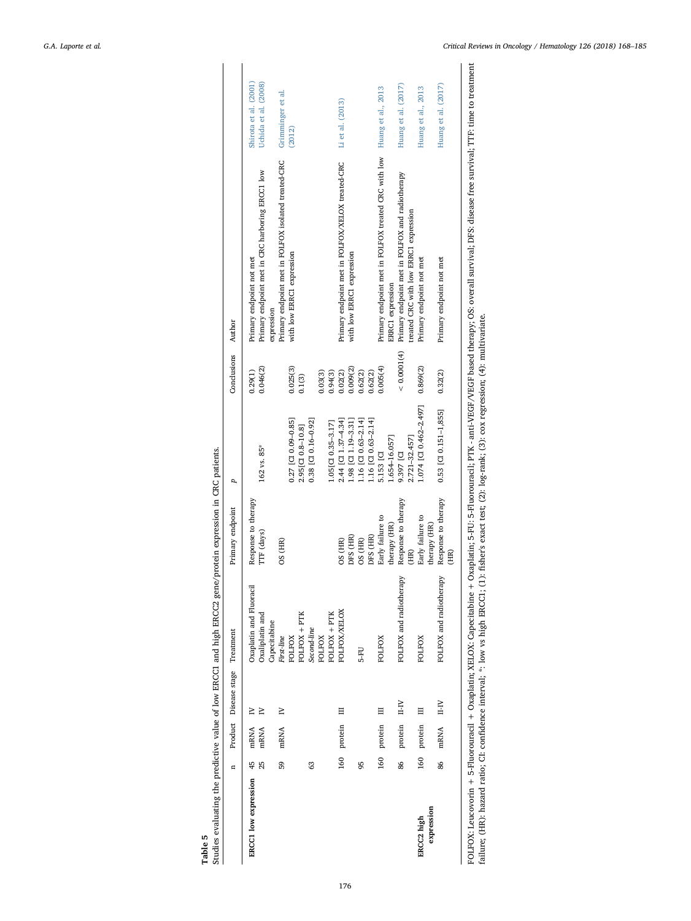<span id="page-8-0"></span>

|                          | $\mathbf{u}$ |               | Product Disease stage Treatment |                                                                                                                                                          | Primary endpoint                             | р                                                                                          | Conclusions                    | Author                                                                                                                                        |                                               |
|--------------------------|--------------|---------------|---------------------------------|----------------------------------------------------------------------------------------------------------------------------------------------------------|----------------------------------------------|--------------------------------------------------------------------------------------------|--------------------------------|-----------------------------------------------------------------------------------------------------------------------------------------------|-----------------------------------------------|
| ERCC1 low expression     | 25<br>45     | mRNA<br>mRNA  | $\geq$<br>≥                     | Oxaplatin and Fluoracil<br>Oxaliplatin and<br>Capecitabine                                                                                               | Response to therapy<br>TTF (days)            | 162 vs. 85*                                                                                | 0.046(2)<br>0.29(1)            | Primary endpoint met in CRC harboring ERCC1 low<br>Primary endpoint not met<br>expression                                                     | Shirota et al. (2001)<br>Uchida et al. (2008) |
|                          | 59           | mRNA          | $\geq$                          | $FOLFOX + PTK$<br>First-line<br>FOLFOX                                                                                                                   | OS (HR)                                      | 0.27 [CI 0.09-0.85]<br>2.95[CI 0.8-10.8]                                                   | 0.025(3)<br>0.1(3)             | Primary endpoint met in FOLFOX isolated treated-CRC<br>with low ERRC1 expression                                                              | Grimminger et al.<br>(2012)                   |
|                          | 63           |               |                                 | $FOLFOX + PTK$<br>Second-line<br>FOLFOX                                                                                                                  |                                              | $0.38$ [CI 0.16-0.92]<br>$1.05$ [ $\alpha$ ] $0.35 - 3.17$ ]                               | 0.03(3)<br>0.94(3)             |                                                                                                                                               |                                               |
|                          | 95           | 160 protein   | $\equiv$                        | FOLFOX/XELOX<br>$U4-9$                                                                                                                                   | DFS (HR)<br>OS (HR)<br>OS (HR)               | $2.44$ [CI 1.37-4.34]<br>1.16 [CI 0.63-2.14]<br>1.98 [CI 1.19-3.31]                        | 0.009(2)<br>0.62(2)<br>0.02(2) | Primary endpoint met in FOLFOX/XELOX treated-CRC<br>with low ERRC1 expression                                                                 | Li et al. (2013)                              |
|                          | 160          | protein       | Ħ                               | FOLFOX                                                                                                                                                   | Early failure to<br>therapy (HR)<br>DFS (HR) | 1.16 [CI 0.63-2.14]<br>1.654-16.057]<br>5.153 [CI                                          | 0.005(4)<br>0.62(2)            | Primary endpoint met in FOLFOX treated CRC with low<br>ERRC1 expression                                                                       | Huang et al., 2013                            |
|                          | 86           | protein II-IV |                                 | FOLFOX and radiotherapy                                                                                                                                  | Response to therapy<br>(HR)                  | 2.721-32.457]<br>9.397 [CI                                                                 | < 0.0001(4)                    | Primary endpoint met in FOLFOX and radiotherapy<br>treated CRC with low ERRC1 expression                                                      | Huang et al. (2017)                           |
| expression<br>ERCC2 high | 160          | protein       | $\Xi$                           | FOLFOX                                                                                                                                                   | Early failure to<br>therapy (HR)             | 1.074 [CI 0.462-2.497]                                                                     | 0.869(2)                       | Primary endpoint not met                                                                                                                      | Huang et al., 2013                            |
|                          | 86           | mRNA          | $N-H$                           | FOLFOX and radiotherapy                                                                                                                                  | Response to therapy<br>(HR)                  | 0.53 [CI 0.151-1,855]                                                                      | 0.32(2)                        | Primary endpoint not met                                                                                                                      | Huang et al. (2017)                           |
|                          |              |               |                                 | FOLFOX: Leucovorin + 5-Fluorouracil + Oxaplatin; XELOX: Capecitabine +<br>failure; (HR): hazard ratio; CI: confidence interval; *: low vs high ERCC1; (1 |                                              | ): fisher's exact test; $(2)$ : $log-rank$ ; $(3)$ : cox regression; $(4)$ : multivariate. |                                | Oxaplatin; 5-FU: 5-Fluorouracil; PTK - anti-VEGF/VEGF based therapy; OS: overall survival; DFS: disease free survival; TTF: time to treatment |                                               |

Table 5<br>Studies evaluating the predictive value of low ERCC1 and high ERCC2 gene/protein expression in CRC patients. Studies evaluating the predictive value of low ERCC1 and high ERCC2 gene/protein expression in CRC patients.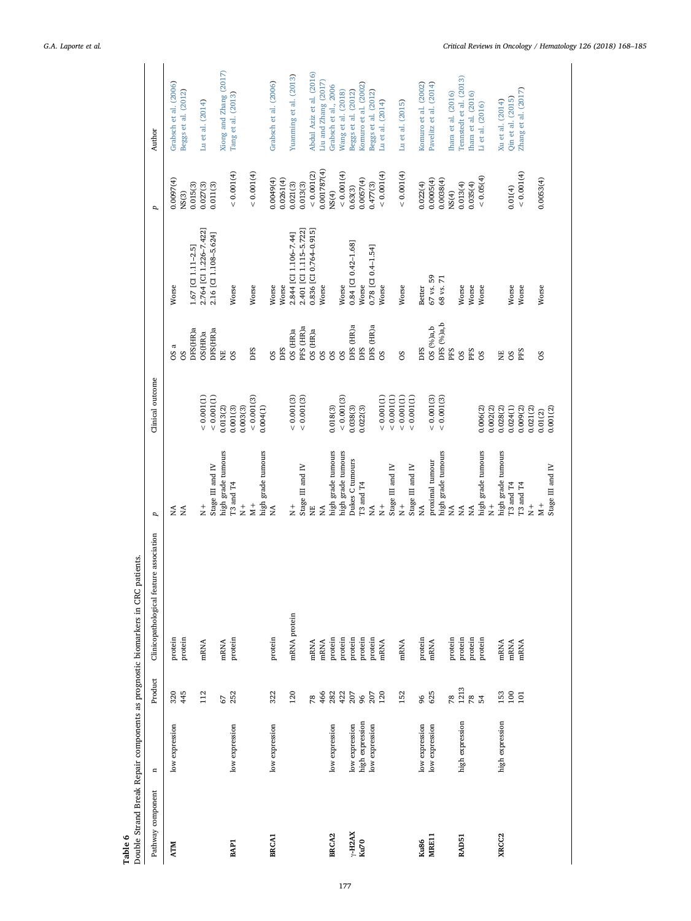<span id="page-9-0"></span>

| Table 6           |                 |                   | patients<br>Double Strand Break Repair components as prognostic biomarkers in CRC |                                     |                         |                            |                                                 |                      |                                              |
|-------------------|-----------------|-------------------|-----------------------------------------------------------------------------------|-------------------------------------|-------------------------|----------------------------|-------------------------------------------------|----------------------|----------------------------------------------|
| Pathway component | $\mathbf{a}$    | Product           | Clinicopathological feature association                                           | p                                   | Clinical outcome        |                            |                                                 | p                    | Author                                       |
| <b>ATM</b>        | low expression  | 445<br>320        | protein<br>protein                                                                | ÁN<br>$\tilde{M}$                   |                         | a<br>SO<br>8               | Worse                                           | 0.0097(4)<br>NS(3)   | Grabsch et al. (2006)<br>Beggs et al. (2012) |
|                   |                 |                   |                                                                                   |                                     |                         | DFS(HR)a                   | 1.67 [CI 1.11-2.5]                              | 0.015(3)             |                                              |
|                   |                 | 112               | mRNA                                                                              | Stage III and IV<br>$\frac{1}{2}$   | $<0.001(1)$ $<0.001(1)$ | DFS(HR)a<br><b>OS(HR)a</b> | 2.764 [CI 1.226-7.422]<br>2.16 [CI 1.108-5.624] | 0.027(3)<br>0.011(3) | Lu et al. (2014)                             |
|                   |                 | 67                | mRNA                                                                              | high grade tumours                  | 0.013(2)                | Ë                          |                                                 |                      | Xiong and Zhang (2017)                       |
| BAP1              | low expression  | 252               | protein                                                                           | $T3$ and $T4$                       | 0.001(3)                | 8                          | Worse                                           | < 0.001(4)           | Tang et al. (2013)                           |
|                   |                 |                   |                                                                                   | $\frac{1}{2}$                       | 0.003(3)                |                            |                                                 |                      |                                              |
|                   |                 |                   |                                                                                   | high grade tumours<br>$\frac{1}{2}$ | < 0.001(3)<br>0.004(1)  | DFS                        | Worse                                           | < 0.001(4)           |                                              |
| BRCA1             | low expression  | 322               | protein                                                                           | Ń                                   |                         | 8O                         | Worse                                           | 0.0049(4)            | Grabsch et al. (2006)                        |
|                   |                 |                   |                                                                                   |                                     |                         | DFS                        | Worse                                           | 0.0261(4)            |                                              |
|                   |                 | 120               | mRNA protein                                                                      | $\frac{+}{2}$                       | < 0.001(3)              | OS (HR)a                   | 2.844 [CI 1.106-7.44]                           | 0.021(3)             | Yuanming et al. (2013)                       |
|                   |                 |                   |                                                                                   | Stage III and IV                    | < 0.001(3)              | PFS (HR)a                  | 2.401 [CI 1.115-5.722]                          | 0.013(3)             |                                              |
|                   |                 | 78                | mRNA                                                                              | Ë                                   |                         | OS (HR)a                   | 0.836 [CI 0.764-0.915]                          | < 0.001(2)           | Abdul Aziz et al. (2016)                     |
|                   |                 | 466               | mRNA                                                                              | NA.                                 |                         | 80                         | Worse                                           | 0.001787(4)          | Liu and Zhang (2017)                         |
| BRCA <sub>2</sub> | low expression  |                   | protein                                                                           | high grade tumours                  | 0.018(3)                | SO                         |                                                 | NS(4)                | Grabsch et al., 2006                         |
|                   |                 |                   | protein                                                                           | high grade tumours                  | < 0.001(3)              | OS                         | Worse                                           | < 0.001(4)           | Wang et al. (2018)                           |
| $\gamma$ -H2AX    | low expression  |                   | protein                                                                           | Dukes C tumours                     | 0.038(3)                | DFS (HR)a                  | 0.84 [CI 0.42-1.68]                             | 0.63(3)              | Beggs et al. (2012)                          |
| Ku70              | high expression |                   | protein                                                                           | T3 and T4                           | 0.022(3)                | DFS                        | Worse                                           | 0.0057(4)            | Komuro et al. (2002)                         |
|                   | low expression  |                   | protein                                                                           | $\mathbb{A}$                        |                         | DFS (HR)a                  | 0.78 [CI 0.4-1.54]                              | 0.477(3)             | Beggs et al. (2012)                          |
|                   |                 | 120               | mRNA                                                                              | $\frac{1}{2}$                       | < 0.001(1)              | 8                          | Worse                                           | < 0.001(4)           | Lu et al. (2014)                             |
|                   |                 |                   |                                                                                   | Stage III and IV                    | < 0.001(1)              |                            |                                                 |                      |                                              |
|                   |                 | 152               | mRNA                                                                              | $\frac{+}{\mathbf{z}}$              | < 0.001(1)              | SO                         | Worse                                           | < 0.001(4)           | Lu et al. (2015)                             |
|                   |                 |                   |                                                                                   | Stage III and IV                    | < 0.001(1)              |                            |                                                 |                      |                                              |
| Ku86              | low expression  | 96                | protein                                                                           | $\frac{1}{2}$                       |                         | <b>DFS</b>                 | Better                                          | 0.022(4)             | Komuro et al. (2002)                         |
| MRE11             | low expression  | 625               | mRNA                                                                              | proximal tumour                     | < 0.001(3)              | OS (%)a,b                  | $67$ vs. $59$ $68$ vs. $71$                     | 0.0005(4)            | Pavelitz et al. (2014)                       |
|                   |                 |                   |                                                                                   | high grade tumours                  | < 0.001(3)              | DFS (%)a,b                 |                                                 | 0.0038(4)            |                                              |
|                   |                 | $\frac{78}{1213}$ | protein                                                                           | Ń                                   |                         | PFS                        |                                                 | NS(4)                | Ihara et al. (2016)                          |
| RAD51             | high expression |                   | protein                                                                           | Ń                                   |                         | SO                         | Worse                                           | 0.013(4)             | Tennstedt et al. (2013)                      |
|                   |                 | $\frac{8}{2}$     | protein                                                                           | <b>NA</b>                           |                         | PFS                        | Worse                                           | 0.035(4)             | Ihara et al. (2016)                          |
|                   |                 |                   | protein                                                                           | high grade tumours                  | 0.006(2)                | $8^{\circ}$                | Worse                                           | < 0.05(4)            | Li et al. (2016)                             |
|                   |                 |                   |                                                                                   | $\frac{1}{2}$                       | 0.002(2)                |                            |                                                 |                      |                                              |
| XRCC2             | high expression | 153               | mRNA                                                                              | high grade tumours                  | 0.028(2)                | Ë                          |                                                 |                      | Xu et al. (2014)                             |
|                   |                 | 100               | mRNA                                                                              | I'3 and T4                          | 0.024(1)                | 8                          | Worse                                           | 0.01(4)              | Qin et al. (2015)                            |
|                   |                 | 101               | mRNA                                                                              | T3 and T4                           | 0.009(2)                | PFS                        | Worse                                           | < 0.001(4)           | Zhang et al. (2017)                          |
|                   |                 |                   |                                                                                   | $\frac{1}{2}$                       | 0.021(2)                |                            |                                                 |                      |                                              |
|                   |                 |                   |                                                                                   | $\frac{1}{2}$                       | 0.01(2)                 | SO                         | Worse                                           | 0.0053(4)            |                                              |
|                   |                 |                   |                                                                                   | Stage III and IV                    | 0.001(2)                |                            |                                                 |                      |                                              |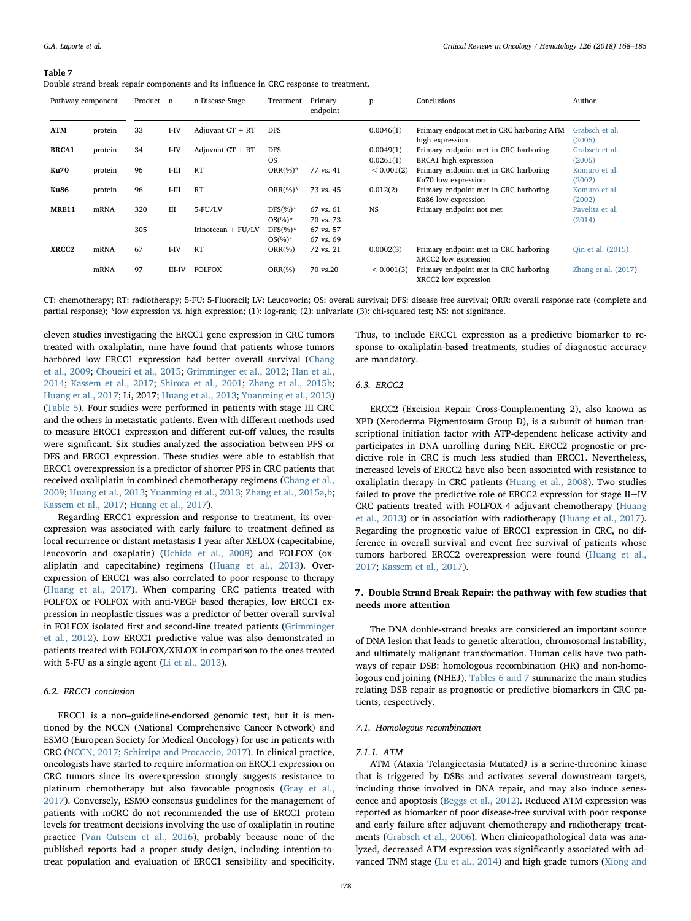| Double strand break repair components and its influence in CRC response to treatment. |
|---------------------------------------------------------------------------------------|
|---------------------------------------------------------------------------------------|

| Pathway component |         | Product n |         | n Disease Stage      | Treatment   | Primary<br>endpoint | p          | Conclusions                                                   | Author                   |
|-------------------|---------|-----------|---------|----------------------|-------------|---------------------|------------|---------------------------------------------------------------|--------------------------|
| <b>ATM</b>        | protein | 33        | I-IV    | Adjuvant $CT + RT$   | <b>DFS</b>  |                     | 0.0046(1)  | Primary endpoint met in CRC harboring ATM<br>high expression  | Grabsch et al.<br>(2006) |
| <b>BRCA1</b>      | protein | 34        | I-IV    | Adjuvant $CT + RT$   | <b>DFS</b>  |                     | 0.0049(1)  | Primary endpoint met in CRC harboring                         | Grabsch et al.           |
|                   |         |           |         |                      | <b>OS</b>   |                     | 0.0261(1)  | BRCA1 high expression                                         | (2006)                   |
| <b>Ku70</b>       | protein | 96        | $I-III$ | RT                   | $ORR(\%)^*$ | 77 vs. 41           | < 0.001(2) | Primary endpoint met in CRC harboring                         | Komuro et al.            |
|                   |         |           |         |                      |             |                     |            | Ku70 low expression                                           | (2002)                   |
| <b>Ku86</b>       | protein | 96        | $I-III$ | <b>RT</b>            | $ORR(\%)^*$ | 73 vs. 45           | 0.012(2)   | Primary endpoint met in CRC harboring                         | Komuro et al.            |
|                   |         |           |         |                      |             |                     |            | Ku86 low expression                                           | (2002)                   |
| <b>MRE11</b>      | mRNA    | 320       | III     | 5-FU/LV              | $DFS(\%)^*$ | 67 vs. 61           | <b>NS</b>  | Primary endpoint not met                                      | Pavelitz et al.          |
|                   |         |           |         |                      | $OS(\%)^*$  | 70 vs. 73           |            |                                                               | (2014)                   |
|                   |         | 305       |         | Irinotecan $+$ FU/LV | $DFS(\%)^*$ | 67 vs. 57           |            |                                                               |                          |
|                   |         |           |         |                      | $OS(\%)^*$  | 67 vs. 69           |            |                                                               |                          |
| XRCC <sub>2</sub> | mRNA    | 67        | I-IV    | RT                   | $ORR(\% )$  | 72 vs. 21           | 0.0002(3)  | Primary endpoint met in CRC harboring<br>XRCC2 low expression | Oin et al. (2015)        |
|                   | mRNA    | 97        | III-IV  | <b>FOLFOX</b>        | $ORR(\% )$  | 70 vs.20            | < 0.001(3) | Primary endpoint met in CRC harboring<br>XRCC2 low expression | Zhang et al. $(2017)$    |

CT: chemotherapy; RT: radiotherapy; 5-FU: 5-Fluoracil; LV: Leucovorin; OS: overall survival; DFS: disease free survival; ORR: overall response rate (complete and partial response); \*low expression vs. high expression; (1): log-rank; (2): univariate (3): chi-squared test; NS: not signifance.

eleven studies investigating the ERCC1 gene expression in CRC tumors treated with oxaliplatin, nine have found that patients whose tumors harbored low ERCC1 expression had better overall survival [\(Chang](#page-14-42) [et al., 2009](#page-14-42); [Choueiri et al., 2015](#page-14-45); [Grimminger et al., 2012;](#page-14-43) [Han et al.,](#page-14-44) [2014;](#page-14-44) [Kassem et al., 2017;](#page-15-41) [Shirota et al., 2001](#page-16-50); [Zhang et al., 2015b](#page-17-11); [Huang et al., 2017](#page-15-42); Li, 2017; [Huang et al., 2013](#page-15-32); [Yuanming et al., 2013\)](#page-17-10) ([Table 5\)](#page-8-0). Four studies were performed in patients with stage III CRC and the others in metastatic patients. Even with different methods used to measure ERCC1 expression and different cut-off values, the results were significant. Six studies analyzed the association between PFS or DFS and ERCC1 expression. These studies were able to establish that ERCC1 overexpression is a predictor of shorter PFS in CRC patients that received oxaliplatin in combined chemotherapy regimens ([Chang et al.,](#page-14-42) [2009;](#page-14-42) [Huang et al., 2013](#page-15-32); [Yuanming et al., 2013](#page-17-10); [Zhang et al., 2015a,](#page-17-6)[b](#page-17-11); [Kassem et al., 2017](#page-15-41); [Huang et al., 2017\)](#page-15-42).

Regarding ERCC1 expression and response to treatment, its overexpression was associated with early failure to treatment defined as local recurrence or distant metastasis 1 year after XELOX (capecitabine, leucovorin and oxaplatin) ([Uchida et al., 2008](#page-16-51)) and FOLFOX (oxaliplatin and capecitabine) regimens ([Huang et al., 2013](#page-15-32)). Overexpression of ERCC1 was also correlated to poor response to therapy ([Huang et al., 2017](#page-15-42)). When comparing CRC patients treated with FOLFOX or FOLFOX with anti-VEGF based therapies, low ERCC1 expression in neoplastic tissues was a predictor of better overall survival in FOLFOX isolated first and second-line treated patients ([Grimminger](#page-14-43) [et al., 2012\)](#page-14-43). Low ERCC1 predictive value was also demonstrated in patients treated with FOLFOX/XELOX in comparison to the ones treated with 5-FU as a single agent ([Li et al., 2013\)](#page-15-39).

# 6.2. ERCC1 conclusion

ERCC1 is a non–guideline-endorsed genomic test, but it is mentioned by the NCCN (National Comprehensive Cancer Network) and ESMO (European Society for Medical Oncology) for use in patients with CRC [\(NCCN, 2017](#page-16-2); [Schirripa and Procaccio, 2017](#page-16-49)). In clinical practice, oncologists have started to require information on ERCC1 expression on CRC tumors since its overexpression strongly suggests resistance to platinum chemotherapy but also favorable prognosis [\(Gray et al.,](#page-14-48) [2017\)](#page-14-48). Conversely, ESMO consensus guidelines for the management of patients with mCRC do not recommended the use of ERCC1 protein levels for treatment decisions involving the use of oxaliplatin in routine practice [\(Van Cutsem et al., 2016\)](#page-16-20), probably because none of the published reports had a proper study design, including intention-totreat population and evaluation of ERCC1 sensibility and specificity.

Thus, to include ERCC1 expression as a predictive biomarker to response to oxaliplatin-based treatments, studies of diagnostic accuracy are mandatory.

# 6.3. ERCC2

ERCC2 (Excision Repair Cross-Complementing 2), also known as XPD (Xeroderma Pigmentosum Group D), is a subunit of human transcriptional initiation factor with ATP-dependent helicase activity and participates in DNA unrolling during NER. ERCC2 prognostic or predictive role in CRC is much less studied than ERCC1. Nevertheless, increased levels of ERCC2 have also been associated with resistance to oxaliplatin therapy in CRC patients [\(Huang et al., 2008\)](#page-15-48). Two studies failed to prove the predictive role of ERCC2 expression for stage II $-IV$ CRC patients treated with FOLFOX-4 adjuvant chemotherapy [\(Huang](#page-15-32) [et al., 2013\)](#page-15-32) or in association with radiotherapy [\(Huang et al., 2017](#page-15-42)). Regarding the prognostic value of ERCC1 expression in CRC, no difference in overall survival and event free survival of patients whose tumors harbored ERCC2 overexpression were found ([Huang et al.,](#page-15-42) [2017;](#page-15-42) [Kassem et al., 2017](#page-15-41)).

# 7. Double Strand Break Repair: the pathway with few studies that needs more attention

The DNA double-strand breaks are considered an important source of DNA lesion that leads to genetic alteration, chromosomal instability, and ultimately malignant transformation. Human cells have two pathways of repair DSB: homologous recombination (HR) and non-homologous end joining (NHEJ). [Tables 6 and 7](#page-9-0) summarize the main studies relating DSB repair as prognostic or predictive biomarkers in CRC patients, respectively.

## 7.1. Homologous recombination

### 7.1.1. ATM

ATM (Ataxia Telangiectasia Mutated) is a serine-threonine kinase that is triggered by DSBs and activates several downstream targets, including those involved in DNA repair, and may also induce senescence and apoptosis ([Beggs et al., 2012](#page-14-47)). Reduced ATM expression was reported as biomarker of poor disease-free survival with poor response and early failure after adjuvant chemotherapy and radiotherapy treatments ([Grabsch et al., 2006](#page-14-46)). When clinicopathological data was analyzed, decreased ATM expression was significantly associated with advanced TNM stage ([Lu et al., 2014\)](#page-15-43) and high grade tumors ([Xiong and](#page-17-12)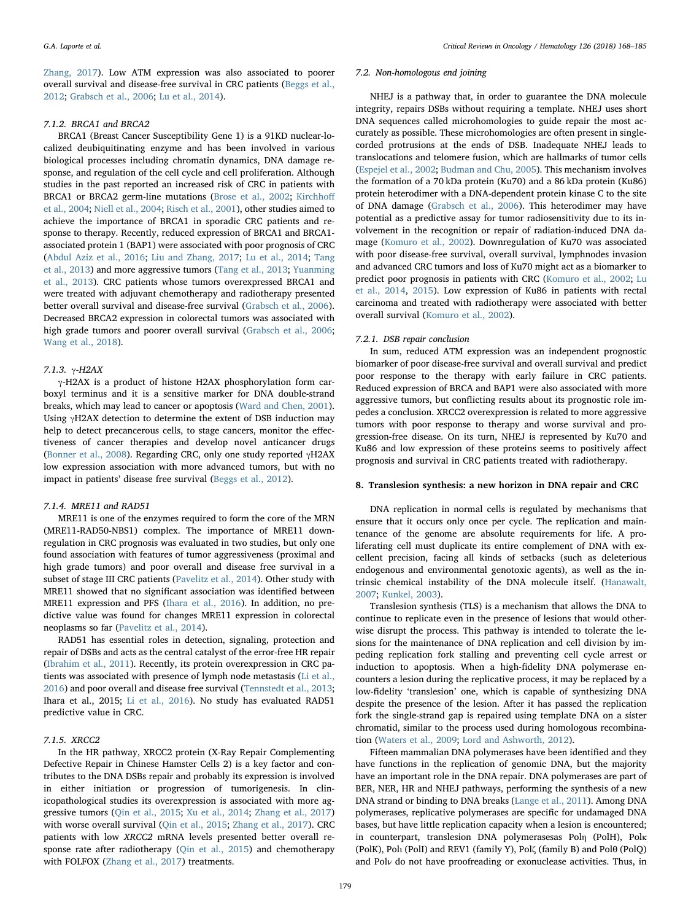[Zhang, 2017](#page-17-12)). Low ATM expression was also associated to poorer overall survival and disease-free survival in CRC patients ([Beggs et al.,](#page-14-47) [2012;](#page-14-47) [Grabsch et al., 2006](#page-14-46); [Lu et al., 2014\)](#page-15-43).

# 7.1.2. BRCA1 and BRCA2

BRCA1 (Breast Cancer Susceptibility Gene 1) is a 91KD nuclear-localized deubiquitinating enzyme and has been involved in various biological processes including chromatin dynamics, DNA damage response, and regulation of the cell cycle and cell proliferation. Although studies in the past reported an increased risk of CRC in patients with BRCA1 or BRCA2 germ-line mutations [\(Brose et al., 2002;](#page-14-49) [Kirchho](#page-15-49)ff [et al., 2004;](#page-15-49) [Niell et al., 2004](#page-16-56); [Risch et al., 2001\)](#page-16-57), other studies aimed to achieve the importance of BRCA1 in sporadic CRC patients and response to therapy. Recently, reduced expression of BRCA1 and BRCA1 associated protein 1 (BAP1) were associated with poor prognosis of CRC ([Abdul Aziz et al., 2016](#page-13-15); [Liu and Zhang, 2017](#page-15-44); [Lu et al., 2014;](#page-15-43) [Tang](#page-16-52) [et al., 2013\)](#page-16-52) and more aggressive tumors ([Tang et al., 2013](#page-16-52); [Yuanming](#page-17-10) [et al., 2013](#page-17-10)). CRC patients whose tumors overexpressed BRCA1 and were treated with adjuvant chemotherapy and radiotherapy presented better overall survival and disease-free survival ([Grabsch et al., 2006](#page-14-46)). Decreased BRCA2 expression in colorectal tumors was associated with high grade tumors and poorer overall survival ([Grabsch et al., 2006](#page-14-46); [Wang et al., 2018](#page-17-13)).

#### 7.1.3. γ-H2AX

γ-H2AX is a product of histone H2AX phosphorylation form carboxyl terminus and it is a sensitive marker for DNA double-strand breaks, which may lead to cancer or apoptosis [\(Ward and Chen, 2001](#page-17-16)). Using γH2AX detection to determine the extent of DSB induction may help to detect precancerous cells, to stage cancers, monitor the effectiveness of cancer therapies and develop novel anticancer drugs ([Bonner et al., 2008](#page-14-50)). Regarding CRC, only one study reported γH2AX low expression association with more advanced tumors, but with no impact in patients' disease free survival [\(Beggs et al., 2012\)](#page-14-47).

#### 7.1.4. MRE11 and RAD51

MRE11 is one of the enzymes required to form the core of the MRN (MRE11-RAD50-NBS1) complex. The importance of MRE11 downregulation in CRC prognosis was evaluated in two studies, but only one found association with features of tumor aggressiveness (proximal and high grade tumors) and poor overall and disease free survival in a subset of stage III CRC patients ([Pavelitz et al., 2014\)](#page-16-53). Other study with MRE11 showed that no significant association was identified between MRE11 expression and PFS [\(Ihara et al., 2016\)](#page-15-47). In addition, no predictive value was found for changes MRE11 expression in colorectal neoplasms so far ([Pavelitz et al., 2014\)](#page-16-53).

RAD51 has essential roles in detection, signaling, protection and repair of DSBs and acts as the central catalyst of the error-free HR repair ([Ibrahim et al., 2011](#page-15-50)). Recently, its protein overexpression in CRC patients was associated with presence of lymph node metastasis ([Li et al.,](#page-15-40) [2016\)](#page-15-40) and poor overall and disease free survival ([Tennstedt et al., 2013](#page-16-54); Ihara et al., 2015; [Li et al., 2016](#page-15-40)). No study has evaluated RAD51 predictive value in CRC.

### 7.1.5. XRCC2

In the HR pathway, XRCC2 protein (X-Ray Repair Complementing Defective Repair in Chinese Hamster Cells 2) is a key factor and contributes to the DNA DSBs repair and probably its expression is involved in either initiation or progression of tumorigenesis. In clinicopathological studies its overexpression is associated with more aggressive tumors [\(Qin et al., 2015;](#page-16-55) [Xu et al., 2014;](#page-17-14) [Zhang et al., 2017\)](#page-17-15) with worse overall survival ([Qin et al., 2015;](#page-16-55) [Zhang et al., 2017\)](#page-17-15). CRC patients with low XRCC2 mRNA levels presented better overall response rate after radiotherapy ([Qin et al., 2015\)](#page-16-55) and chemotherapy with FOLFOX [\(Zhang et al., 2017\)](#page-17-15) treatments.

#### 7.2. Non-homologous end joining

NHEJ is a pathway that, in order to guarantee the DNA molecule integrity, repairs DSBs without requiring a template. NHEJ uses short DNA sequences called microhomologies to guide repair the most accurately as possible. These microhomologies are often present in singlecorded protrusions at the ends of DSB. Inadequate NHEJ leads to translocations and telomere fusion, which are hallmarks of tumor cells ([Espejel et al., 2002;](#page-14-51) [Budman and Chu, 2005\)](#page-14-52). This mechanism involves the formation of a 70 kDa protein (Ku70) and a 86 kDa protein (Ku86) protein heterodimer with a DNA-dependent protein kinase C to the site of DNA damage ([Grabsch et al., 2006](#page-14-46)). This heterodimer may have potential as a predictive assay for tumor radiosensitivity due to its involvement in the recognition or repair of radiation-induced DNA damage ([Komuro et al., 2002\)](#page-15-45). Downregulation of Ku70 was associated with poor disease-free survival, overall survival, lymphnodes invasion and advanced CRC tumors and loss of Ku70 might act as a biomarker to predict poor prognosis in patients with CRC [\(Komuro et al., 2002;](#page-15-45) [Lu](#page-15-43) [et al., 2014,](#page-15-43) [2015\)](#page-15-46). Low expression of Ku86 in patients with rectal carcinoma and treated with radiotherapy were associated with better overall survival [\(Komuro et al., 2002\)](#page-15-45).

#### 7.2.1. DSB repair conclusion

In sum, reduced ATM expression was an independent prognostic biomarker of poor disease-free survival and overall survival and predict poor response to the therapy with early failure in CRC patients. Reduced expression of BRCA and BAP1 were also associated with more aggressive tumors, but conflicting results about its prognostic role impedes a conclusion. XRCC2 overexpression is related to more aggressive tumors with poor response to therapy and worse survival and progression-free disease. On its turn, NHEJ is represented by Ku70 and Ku86 and low expression of these proteins seems to positively affect prognosis and survival in CRC patients treated with radiotherapy.

# 8. Translesion synthesis: a new horizon in DNA repair and CRC

DNA replication in normal cells is regulated by mechanisms that ensure that it occurs only once per cycle. The replication and maintenance of the genome are absolute requirements for life. A proliferating cell must duplicate its entire complement of DNA with excellent precision, facing all kinds of setbacks (such as deleterious endogenous and environmental genotoxic agents), as well as the intrinsic chemical instability of the DNA molecule itself. ([Hanawalt,](#page-14-53) [2007;](#page-14-53) [Kunkel,](#page-15-51) 2003).

Translesion synthesis (TLS) is a mechanism that allows the DNA to continue to replicate even in the presence of lesions that would otherwise disrupt the process. This pathway is intended to tolerate the lesions for the maintenance of DNA replication and cell division by impeding replication fork stalling and preventing cell cycle arrest or induction to apoptosis. When a high-fidelity DNA polymerase encounters a lesion during the replicative process, it may be replaced by a low-fidelity 'translesion' one, which is capable of synthesizing DNA despite the presence of the lesion. After it has passed the replication fork the single-strand gap is repaired using template DNA on a sister chromatid, similar to the process used during homologous recombination [\(Waters et al., 2009](#page-17-17); [Lord and Ashworth, 2012](#page-15-52)).

Fifteen mammalian DNA polymerases have been identified and they have functions in the replication of genomic DNA, but the majority have an important role in the DNA repair. DNA polymerases are part of BER, NER, HR and NHEJ pathways, performing the synthesis of a new DNA strand or binding to DNA breaks ([Lange et al., 2011](#page-15-53)). Among DNA polymerases, replicative polymerases are specific for undamaged DNA bases, but have little replication capacity when a lesion is encountered; in counterpart, translesion DNA polymerasesas Polη (PolH), Polκ (PolK), Polι (PolI) and REV1 (family Y), Polζ (family B) and Polθ (PolQ) and Polν do not have proofreading or exonuclease activities. Thus, in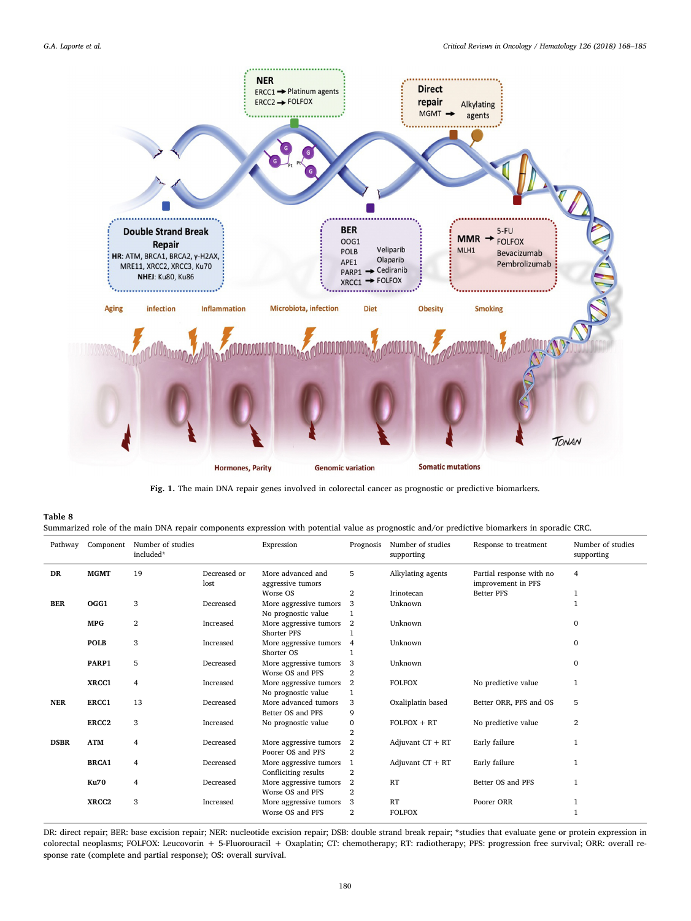<span id="page-12-0"></span>

Fig. 1. The main DNA repair genes involved in colorectal cancer as prognostic or predictive biomarkers.

<span id="page-12-1"></span>

|  | Summarized role of the main DNA repair components expression with potential value as prognostic and/or predictive biomarkers in sporadic CRC. |  |  |  |  |  |  |
|--|-----------------------------------------------------------------------------------------------------------------------------------------------|--|--|--|--|--|--|
|--|-----------------------------------------------------------------------------------------------------------------------------------------------|--|--|--|--|--|--|

| Pathway     | Component         | Number of studies<br>included* |              | Expression             | Prognosis      | Number of studies<br>supporting | Response to treatment    | Number of studies<br>supporting |
|-------------|-------------------|--------------------------------|--------------|------------------------|----------------|---------------------------------|--------------------------|---------------------------------|
| <b>DR</b>   | <b>MGMT</b>       | 19                             | Decreased or | More advanced and      | 5              | Alkylating agents               | Partial response with no | $\overline{4}$                  |
|             |                   |                                | lost         | aggressive tumors      |                |                                 | improvement in PFS       |                                 |
|             |                   |                                |              | Worse OS               | 2              | Irinotecan                      | <b>Better PFS</b>        | 1                               |
| <b>BER</b>  | OGG1              | 3                              | Decreased    | More aggressive tumors | 3              | Unknown                         |                          | 1                               |
|             |                   |                                |              | No prognostic value    |                |                                 |                          |                                 |
|             | <b>MPG</b>        | $\overline{2}$                 | Increased    | More aggressive tumors | $\overline{2}$ | Unknown                         |                          | 0                               |
|             |                   |                                |              | Shorter PFS            |                |                                 |                          |                                 |
|             | <b>POLB</b>       | 3                              | Increased    | More aggressive tumors | $\overline{4}$ | Unknown                         |                          | 0                               |
|             |                   |                                |              | Shorter OS             |                |                                 |                          |                                 |
|             | PARP1             | 5                              | Decreased    | More aggressive tumors | 3              | Unknown                         |                          | 0                               |
|             |                   |                                |              | Worse OS and PFS       | $\overline{2}$ |                                 |                          |                                 |
|             | XRCC1             | 4                              | Increased    | More aggressive tumors | 2              | <b>FOLFOX</b>                   | No predictive value      | $\mathbf{1}$                    |
|             |                   |                                |              | No prognostic value    | 1              |                                 |                          |                                 |
| <b>NER</b>  | ERCC1             | 13                             | Decreased    | More advanced tumors   | 3              | Oxaliplatin based               | Better ORR, PFS and OS   | 5                               |
|             |                   |                                |              | Better OS and PFS      | 9              |                                 |                          |                                 |
|             | ERCC <sub>2</sub> | 3                              | Increased    | No prognostic value    | $\bf{0}$       | $FOLFOX + RT$                   | No predictive value      | 2                               |
|             |                   |                                |              |                        | $\overline{2}$ |                                 |                          |                                 |
| <b>DSBR</b> | <b>ATM</b>        | 4                              | Decreased    | More aggressive tumors | 2              | Adjuvant $CT + RT$              | Early failure            | 1                               |
|             |                   |                                |              | Poorer OS and PFS      | 2              |                                 |                          |                                 |
|             | <b>BRCA1</b>      | 4                              | Decreased    | More aggressive tumors | 1              | Adjuvant $CT + RT$              | Early failure            | 1                               |
|             |                   |                                |              | Confliciting results   | $\overline{2}$ |                                 |                          |                                 |
|             | <b>Ku70</b>       | 4                              | Decreased    | More aggressive tumors | 2              | RT                              | Better OS and PFS        | $\mathbf{1}$                    |
|             |                   |                                |              | Worse OS and PFS       | 2              |                                 |                          |                                 |
|             | XRCC <sub>2</sub> | 3                              | Increased    | More aggressive tumors | 3              | RT                              | Poorer ORR               | 1                               |
|             |                   |                                |              | Worse OS and PFS       | $\mathbf{2}$   | <b>FOLFOX</b>                   |                          | $\mathbf{1}$                    |
|             |                   |                                |              |                        |                |                                 |                          |                                 |

DR: direct repair; BER: base excision repair; NER: nucleotide excision repair; DSB: double strand break repair; \*studies that evaluate gene or protein expression in colorectal neoplasms; FOLFOX: Leucovorin + 5-Fluorouracil + Oxaplatin; CT: chemotherapy; RT: radiotherapy; PFS: progression free survival; ORR: overall response rate (complete and partial response); OS: overall survival.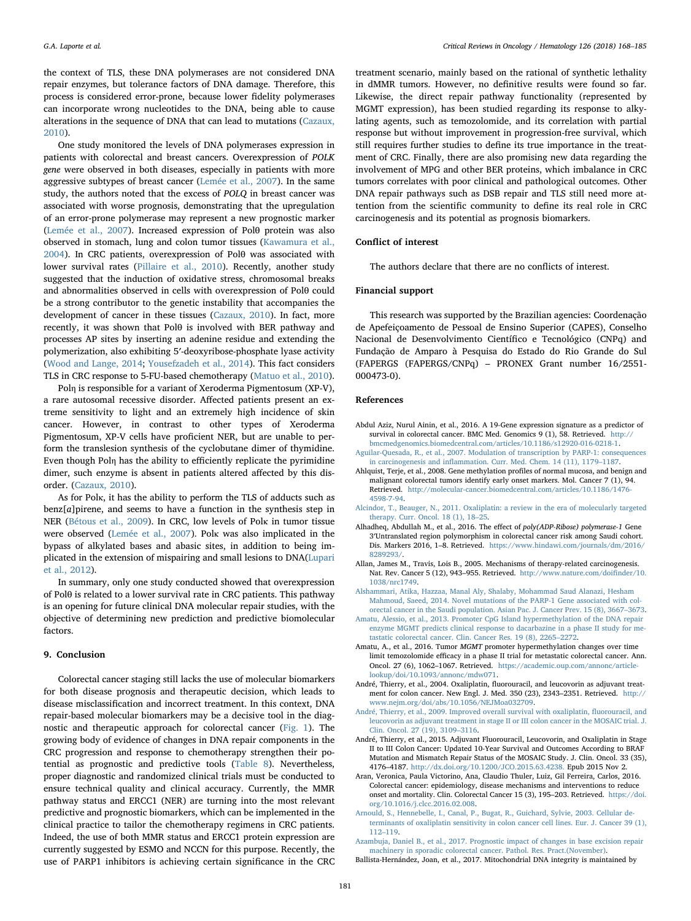the context of TLS, these DNA polymerases are not considered DNA repair enzymes, but tolerance factors of DNA damage. Therefore, this process is considered error-prone, because lower fidelity polymerases can incorporate wrong nucleotides to the DNA, being able to cause alterations in the sequence of DNA that can lead to mutations [\(Cazaux,](#page-14-54) [2010\)](#page-14-54).

One study monitored the levels of DNA polymerases expression in patients with colorectal and breast cancers. Overexpression of POLK gene were observed in both diseases, especially in patients with more aggressive subtypes of breast cancer ([Lemée et al., 2007\)](#page-15-54). In the same study, the authors noted that the excess of POLQ in breast cancer was associated with worse prognosis, demonstrating that the upregulation of an error-prone polymerase may represent a new prognostic marker ([Lemée et al., 2007](#page-15-54)). Increased expression of Polθ protein was also observed in stomach, lung and colon tumor tissues [\(Kawamura et al.,](#page-15-55) [2004\)](#page-15-55). In CRC patients, overexpression of Polθ was associated with lower survival rates [\(Pillaire et al., 2010\)](#page-16-58). Recently, another study suggested that the induction of oxidative stress, chromosomal breaks and abnormalities observed in cells with overexpression of Polθ could be a strong contributor to the genetic instability that accompanies the development of cancer in these tissues [\(Cazaux, 2010](#page-14-54)). In fact, more recently, it was shown that Polθ is involved with BER pathway and processes AP sites by inserting an adenine residue and extending the polymerization, also exhibiting 5′-deoxyribose-phosphate lyase activity ([Wood and Lange, 2014;](#page-17-18) [Yousefzadeh et al., 2014\)](#page-17-19). This fact considers TLS in CRC response to 5-FU-based chemotherapy ([Matuo et al., 2010](#page-15-56)).

Polη is responsible for a variant of Xeroderma Pigmentosum (XP-V), a rare autosomal recessive disorder. Affected patients present an extreme sensitivity to light and an extremely high incidence of skin cancer. However, in contrast to other types of Xeroderma Pigmentosum, XP-V cells have proficient NER, but are unable to perform the translesion synthesis of the cyclobutane dimer of thymidine. Even though Polη has the ability to efficiently replicate the pyrimidine dimer, such enzyme is absent in patients altered affected by this disorder. [\(Cazaux, 2010\)](#page-14-54).

As for Polκ, it has the ability to perform the TLS of adducts such as benz[a]pirene, and seems to have a function in the synthesis step in NER [\(Bétous et al., 2009\)](#page-14-55). In CRC, low levels of Polκ in tumor tissue were observed [\(Lemée et al., 2007\)](#page-15-54). Polκ was also implicated in the bypass of alkylated bases and abasic sites, in addition to being implicated in the extension of mispairing and small lesions to DNA([Lupari](#page-15-57) et [al., 2012](#page-15-57)).

In summary, only one study conducted showed that overexpression of Polθ is related to a lower survival rate in CRC patients. This pathway is an opening for future clinical DNA molecular repair studies, with the objective of determining new prediction and predictive biomolecular factors.

#### 9. Conclusion

Colorectal cancer staging still lacks the use of molecular biomarkers for both disease prognosis and therapeutic decision, which leads to disease misclassification and incorrect treatment. In this context, DNA repair-based molecular biomarkers may be a decisive tool in the diagnostic and therapeutic approach for colorectal cancer [\(Fig. 1](#page-12-0)). The growing body of evidence of changes in DNA repair components in the CRC progression and response to chemotherapy strengthen their potential as prognostic and predictive tools ([Table 8\)](#page-12-1). Nevertheless, proper diagnostic and randomized clinical trials must be conducted to ensure technical quality and clinical accuracy. Currently, the MMR pathway status and ERCC1 (NER) are turning into the most relevant predictive and prognostic biomarkers, which can be implemented in the clinical practice to tailor the chemotherapy regimens in CRC patients. Indeed, the use of both MMR status and ERCC1 protein expression are currently suggested by ESMO and NCCN for this purpose. Recently, the use of PARP1 inhibitors is achieving certain significance in the CRC

treatment scenario, mainly based on the rational of synthetic lethality in dMMR tumors. However, no definitive results were found so far. Likewise, the direct repair pathway functionality (represented by MGMT expression), has been studied regarding its response to alkylating agents, such as temozolomide, and its correlation with partial response but without improvement in progression-free survival, which still requires further studies to define its true importance in the treatment of CRC. Finally, there are also promising new data regarding the involvement of MPG and other BER proteins, which imbalance in CRC tumors correlates with poor clinical and pathological outcomes. Other DNA repair pathways such as DSB repair and TLS still need more attention from the scientific community to define its real role in CRC carcinogenesis and its potential as prognosis biomarkers.

# Conflict of interest

The authors declare that there are no conflicts of interest.

#### Financial support

This research was supported by the Brazilian agencies: Coordenação de Apefeiçoamento de Pessoal de Ensino Superior (CAPES), Conselho Nacional de Desenvolvimento Científico e Tecnológico (CNPq) and Fundação de Amparo à Pesquisa do Estado do Rio Grande do Sul (FAPERGS (FAPERGS/CNPq) – PRONEX Grant number 16/2551- 000473-0).

#### References

- <span id="page-13-15"></span>Abdul Aziz, Nurul Ainin, et al., 2016. A 19-Gene expression signature as a predictor of survival in colorectal cancer. BMC Med. Genomics 9 (1), 58. Retrieved. http:/ [bmcmedgenomics.biomedcentral.com/articles/10.1186/s12920-016-0218-1](http://bmcmedgenomics.biomedcentral.com/articles/10.1186/s12920-016-0218-1).
- <span id="page-13-12"></span>[Aguilar-Quesada, R., et al., 2007. Modulation of transcription by PARP-1: consequences](http://refhub.elsevier.com/S1040-8428(17)30438-9/sbref0010) in carcinogenesis and infl[ammation. Curr. Med. Chem. 14 \(11\), 1179](http://refhub.elsevier.com/S1040-8428(17)30438-9/sbref0010)–1187.
- <span id="page-13-5"></span>Ahlquist, Terje, et al., 2008. Gene methylation profiles of normal mucosa, and benign and malignant colorectal tumors identify early onset markers. Mol. Cancer 7 (1), 94. Retrieved. [http://molecular-cancer.biomedcentral.com/articles/10.1186/1476-](http://molecular-cancer.biomedcentral.com/articles/10.1186/1476-4598-7-94) [4598-7-94.](http://molecular-cancer.biomedcentral.com/articles/10.1186/1476-4598-7-94)
- <span id="page-13-13"></span>[Alcindor, T., Beauger, N., 2011. Oxaliplatin: a review in the era of molecularly targeted](http://refhub.elsevier.com/S1040-8428(17)30438-9/sbref0020) [therapy. Curr. Oncol. 18 \(1\), 18](http://refhub.elsevier.com/S1040-8428(17)30438-9/sbref0020)–25.
- <span id="page-13-9"></span>Alhadheq, Abdullah M., et al., 2016. The effect of poly(ADP-Ribose) polymerase-1 Gene 3′Untranslated region polymorphism in colorectal cancer risk among Saudi cohort. Dis. Markers 2016, 1–8. Retrieved. [https://www.hindawi.com/journals/dm/2016/](https://www.hindawi.com/journals/dm/2016/8289293/) [8289293/.](https://www.hindawi.com/journals/dm/2016/8289293/)
- <span id="page-13-6"></span>Allan, James M., Travis, Lois B., 2005. Mechanisms of therapy-related carcinogenesis. Nat. Rev. Cancer 5 (12), 943–955. Retrieved. [http://www.nature.com/doi](http://www.nature.com/doifinder/10.1038/nrc1749)finder/10. [1038/nrc1749](http://www.nature.com/doifinder/10.1038/nrc1749).
- <span id="page-13-11"></span>[Alshammari, Atika, Hazzaa, Manal Aly, Shalaby, Mohammad Saud Alanazi, Hesham](http://refhub.elsevier.com/S1040-8428(17)30438-9/sbref0035) [Mahmoud, Saeed, 2014. Novel mutations of the PARP-1 Gene associated with col](http://refhub.elsevier.com/S1040-8428(17)30438-9/sbref0035)[orectal cancer in the Saudi population. Asian Pac. J. Cancer Prev. 15 \(8\), 3667](http://refhub.elsevier.com/S1040-8428(17)30438-9/sbref0035)–3673.
- <span id="page-13-7"></span>[Amatu, Alessio, et al., 2013. Promoter CpG Island hypermethylation of the DNA repair](http://refhub.elsevier.com/S1040-8428(17)30438-9/sbref0040) [enzyme MGMT predicts clinical response to dacarbazine in a phase II study for me](http://refhub.elsevier.com/S1040-8428(17)30438-9/sbref0040)[tastatic colorectal cancer. Clin. Cancer Res. 19 \(8\), 2265](http://refhub.elsevier.com/S1040-8428(17)30438-9/sbref0040)–2272.
- <span id="page-13-4"></span>Amatu, A., et al., 2016. Tumor MGMT promoter hypermethylation changes over time limit temozolomide efficacy in a phase II trial for metastatic colorectal cancer. Ann. Oncol. 27 (6), 1062–1067. Retrieved. [https://academic.oup.com/annonc/article](https://academic.oup.com/annonc/article-lookup/doi/10.1093/annonc/mdw071)[lookup/doi/10.1093/annonc/mdw071](https://academic.oup.com/annonc/article-lookup/doi/10.1093/annonc/mdw071).
- <span id="page-13-2"></span>André, Thierry, et al., 2004. Oxaliplatin, fluorouracil, and leucovorin as adjuvant treatment for colon cancer. New Engl. J. Med. 350 (23), 2343–2351. Retrieved. [http://](http://www.nejm.org/doi/abs/10.1056/NEJMoa032709) [www.nejm.org/doi/abs/10.1056/NEJMoa032709.](http://www.nejm.org/doi/abs/10.1056/NEJMoa032709)
- <span id="page-13-1"></span>[André, Thierry, et al., 2009. Improved overall survival with oxaliplatin,](http://refhub.elsevier.com/S1040-8428(17)30438-9/sbref0055) fluorouracil, and [leucovorin as adjuvant treatment in stage II or III colon cancer in the MOSAIC trial. J.](http://refhub.elsevier.com/S1040-8428(17)30438-9/sbref0055) [Clin. Oncol. 27 \(19\), 3109](http://refhub.elsevier.com/S1040-8428(17)30438-9/sbref0055)–3116.
- <span id="page-13-3"></span>André, Thierry, et al., 2015. Adjuvant Fluorouracil, Leucovorin, and Oxaliplatin in Stage II to III Colon Cancer: Updated 10-Year Survival and Outcomes According to BRAF Mutation and Mismatch Repair Status of the MOSAIC Study. J. Clin. Oncol. 33 (35), 4176–4187. [http://dx.doi.org/10.1200/JCO.2015.63.4238.](http://dx.doi.org/10.1200/JCO.2015.63.4238) Epub 2015 Nov 2.
- <span id="page-13-0"></span>Aran, Veronica, Paula Victorino, Ana, Claudio Thuler, Luiz, Gil Ferreira, Carlos, 2016. Colorectal cancer: epidemiology, disease mechanisms and interventions to reduce onset and mortality. Clin. Colorectal Cancer 15 (3), 195–203. Retrieved. [https://doi.](https://doi.org/10.1016/j.clcc.2016.02.008) [org/10.1016/j.clcc.2016.02.008.](https://doi.org/10.1016/j.clcc.2016.02.008)
- <span id="page-13-14"></span>Arnould, [S., Hennebelle, I., Canal, P., Bugat, R., Guichard, Sylvie, 2003. Cellular de](http://refhub.elsevier.com/S1040-8428(17)30438-9/sbref0070)[terminants of oxaliplatin sensitivity in colon cancer cell lines. Eur. J. Cancer 39 \(1\),](http://refhub.elsevier.com/S1040-8428(17)30438-9/sbref0070) 112–[119](http://refhub.elsevier.com/S1040-8428(17)30438-9/sbref0070).

<span id="page-13-8"></span>[Azambuja, Daniel B., et al., 2017. Prognostic impact of changes in base excision repair](http://refhub.elsevier.com/S1040-8428(17)30438-9/sbref0075) [machinery in sporadic colorectal cancer. Pathol. Res. Pract.\(November\)](http://refhub.elsevier.com/S1040-8428(17)30438-9/sbref0075).

<span id="page-13-10"></span>Ballista-Hernández, Joan, et al., 2017. Mitochondrial DNA integrity is maintained by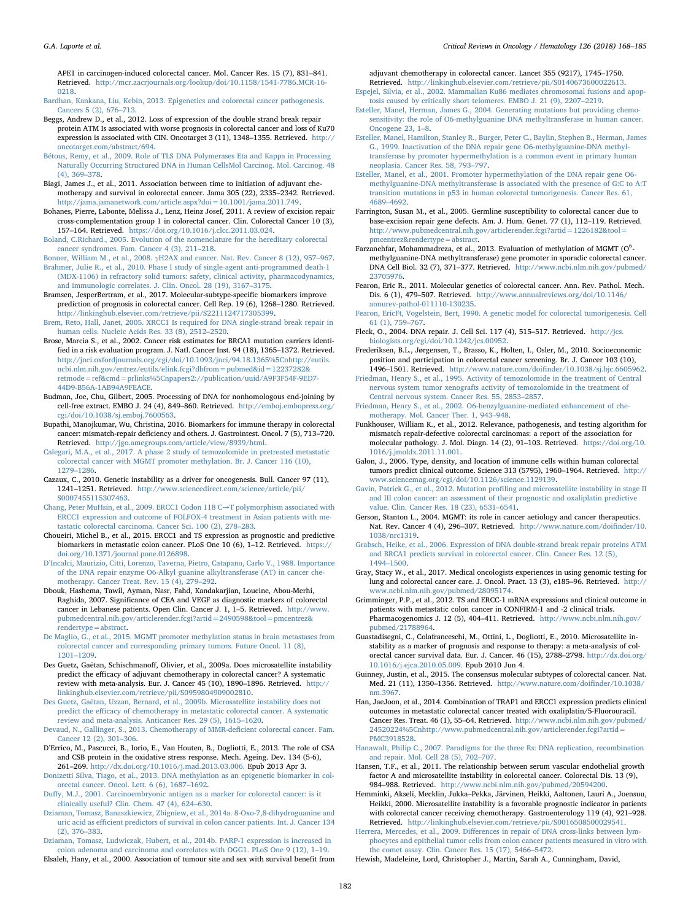APE1 in carcinogen-induced colorectal cancer. Mol. Cancer Res. 15 (7), 831–841. Retrieved. [http://mcr.aacrjournals.org/lookup/doi/10.1158/1541-7786.MCR-16-](http://mcr.aacrjournals.org/lookup/doi/10.1158/1541-7786.MCR-16-0218) [0218.](http://mcr.aacrjournals.org/lookup/doi/10.1158/1541-7786.MCR-16-0218)

<span id="page-14-10"></span>[Bardhan, Kankana, Liu, Kebin, 2013. Epigenetics and colorectal cancer pathogenesis.](http://refhub.elsevier.com/S1040-8428(17)30438-9/sbref0085) [Cancers 5 \(2\), 676](http://refhub.elsevier.com/S1040-8428(17)30438-9/sbref0085)–713.

- <span id="page-14-47"></span>Beggs, Andrew D., et al., 2012. Loss of expression of the double strand break repair protein ATM Is associated with worse prognosis in colorectal cancer and loss of Ku70 expression is associated with CIN. Oncotarget 3 (11), 1348–1355. Retrieved. [http://](http://oncotarget.com/abstract/694) [oncotarget.com/abstract/694.](http://oncotarget.com/abstract/694)
- <span id="page-14-55"></span>[Bétous, Remy, et al., 2009. Role of TLS DNA Polymerases Eta and Kappa in Processing](http://refhub.elsevier.com/S1040-8428(17)30438-9/sbref0095) [Naturally Occurring Structured DNA in Human CellsMol Carcinog. Mol. Carcinog. 48](http://refhub.elsevier.com/S1040-8428(17)30438-9/sbref0095) [\(4\), 369](http://refhub.elsevier.com/S1040-8428(17)30438-9/sbref0095)–378.
- <span id="page-14-3"></span>Biagi, James J., et al., 2011. Association between time to initiation of adjuvant chemotherapy and survival in colorectal cancer. Jama 305 (22), 2335–2342. Retrieved. <http://jama.jamanetwork.com/article.aspx?doi=10.1001/jama.2011.749>.
- <span id="page-14-41"></span>Bohanes, Pierre, Labonte, Melissa J., Lenz, Heinz Josef, 2011. A review of excision repair cross-complementation group 1 in colorectal cancer. Clin. Colorectal Cancer 10 (3), 157–164. Retrieved. <https://doi.org/10.1016/j.clcc.2011.03.024>.
- <span id="page-14-12"></span>[Boland, C.Richard., 2005. Evolution of the nomenclature for the hereditary colorectal](http://refhub.elsevier.com/S1040-8428(17)30438-9/sbref0110) [cancer syndromes. Fam. Cancer 4 \(3\), 211](http://refhub.elsevier.com/S1040-8428(17)30438-9/sbref0110)–218.
- <span id="page-14-50"></span><span id="page-14-23"></span>Bonner, William M., et al., 2008. γ[H2AX and cancer. Nat. Rev. Cancer 8 \(12\), 957](http://refhub.elsevier.com/S1040-8428(17)30438-9/sbref0115)–967. [Brahmer, Julie R., et al., 2010. Phase I study of single-agent anti-programmed death-1](http://refhub.elsevier.com/S1040-8428(17)30438-9/sbref0120) [\(MDX-1106\) in refractory solid tumors: safety, clinical activity, pharmacodynamics,](http://refhub.elsevier.com/S1040-8428(17)30438-9/sbref0120)
- <span id="page-14-4"></span>[and immunologic correlates. J. Clin. Oncol. 28 \(19\), 3167](http://refhub.elsevier.com/S1040-8428(17)30438-9/sbref0120)–3175. Bramsen, JesperBertram, et al., 2017. Molecular-subtype-specific biomarkers improve prediction of prognosis in colorectal cancer. Cell Rep. 19 (6), 1268–1280. Retrieved. <http://linkinghub.elsevier.com/retrieve/pii/S2211124717305399>.

<span id="page-14-38"></span>[Brem, Reto, Hall, Janet, 2005. XRCC1 Is required for DNA single-strand break repair in](http://refhub.elsevier.com/S1040-8428(17)30438-9/sbref0130) [human cells. Nucleic Acids Res. 33 \(8\), 2512](http://refhub.elsevier.com/S1040-8428(17)30438-9/sbref0130)–2520.

- <span id="page-14-49"></span>Brose, Marcia S., et al., 2002. Cancer risk estimates for BRCA1 mutation carriers identified in a risk evaluation program. J. Natl. Cancer Inst. 94 (18), 1365–1372. Retrieved. [http://jnci.oxfordjournals.org/cgi/doi/10.1093/jnci/94.18.1365%5Cnhttp://eutils.](http://jnci.oxfordjournals.org/cgi/doi/10.1093/jnci/94.18.1365%5Cnhttp://eutils.ncbi.nlm.nih.gov/entrez/eutils/elink.fcgi?dbfrom=pubmed%26id=12237282%26retmode=ref%26cmd=prlinks%5Cnpapers2://publication/uuid/A9F3F54F-9ED7-44D9-B56A-1AB94A9FEACE) [ncbi.nlm.nih.gov/entrez/eutils/elink.fcgi?dbfrom=pubmed&id=12237282&](http://jnci.oxfordjournals.org/cgi/doi/10.1093/jnci/94.18.1365%5Cnhttp://eutils.ncbi.nlm.nih.gov/entrez/eutils/elink.fcgi?dbfrom=pubmed%26id=12237282%26retmode=ref%26cmd=prlinks%5Cnpapers2://publication/uuid/A9F3F54F-9ED7-44D9-B56A-1AB94A9FEACE) [retmode=ref&cmd=prlinks%5Cnpapers2://publication/uuid/A9F3F54F-9ED7-](http://jnci.oxfordjournals.org/cgi/doi/10.1093/jnci/94.18.1365%5Cnhttp://eutils.ncbi.nlm.nih.gov/entrez/eutils/elink.fcgi?dbfrom=pubmed%26id=12237282%26retmode=ref%26cmd=prlinks%5Cnpapers2://publication/uuid/A9F3F54F-9ED7-44D9-B56A-1AB94A9FEACE) [44D9-B56A-1AB94A9FEACE](http://jnci.oxfordjournals.org/cgi/doi/10.1093/jnci/94.18.1365%5Cnhttp://eutils.ncbi.nlm.nih.gov/entrez/eutils/elink.fcgi?dbfrom=pubmed%26id=12237282%26retmode=ref%26cmd=prlinks%5Cnpapers2://publication/uuid/A9F3F54F-9ED7-44D9-B56A-1AB94A9FEACE).
- <span id="page-14-52"></span>Budman, Joe, Chu, Gilbert, 2005. Processing of DNA for nonhomologous end-joining by cell-free extract. EMBO J. 24 (4), 849–860. Retrieved. [http://emboj.embopress.org/](http://emboj.embopress.org/cgi/doi/10.1038/sj.emboj.7600563) [cgi/doi/10.1038/sj.emboj.7600563](http://emboj.embopress.org/cgi/doi/10.1038/sj.emboj.7600563).
- <span id="page-14-11"></span>Bupathi, Manojkumar, Wu, Christina, 2016. Biomarkers for immune therapy in colorectal cancer: mismatch-repair deficiency and others. J. Gastrointest. Oncol. 7 (5), 713–720. Retrieved. <http://jgo.amegroups.com/article/view/8939/html>.
- <span id="page-14-33"></span>[Calegari, M.A., et al., 2017. A phase 2 study of temozolomide in pretreated metastatic](http://refhub.elsevier.com/S1040-8428(17)30438-9/sbref0150) [colorectal cancer with MGMT promoter methylation. Br. J. Cancer 116 \(10\),](http://refhub.elsevier.com/S1040-8428(17)30438-9/sbref0150) 1279–[1286](http://refhub.elsevier.com/S1040-8428(17)30438-9/sbref0150).
- <span id="page-14-54"></span>Cazaux, C., 2010. Genetic instability as a driver for oncogenesis. Bull. Cancer 97 (11), 1241–1251. Retrieved. [http://www.sciencedirect.com/science/article/pii/](http://www.sciencedirect.com/science/article/pii/S0007455115307463) [S0007455115307463](http://www.sciencedirect.com/science/article/pii/S0007455115307463).
- <span id="page-14-42"></span>[Chang, Peter MuHsin, et al., 2009. ERCC1 Codon 118 C](http://refhub.elsevier.com/S1040-8428(17)30438-9/sbref0160)→T polymorphism associated with [ERCC1 expression and outcome of FOLFOX-4 treatment in Asian patients with me](http://refhub.elsevier.com/S1040-8428(17)30438-9/sbref0160)[tastatic colorectal carcinoma. Cancer Sci. 100 \(2\), 278](http://refhub.elsevier.com/S1040-8428(17)30438-9/sbref0160)–283.
- <span id="page-14-45"></span>Choueiri, Michel B., et al., 2015. ERCC1 and TS expression as prognostic and predictive biomarkers in metastatic colon cancer. PLoS One 10 (6), 1–12. Retrieved. [https://](https://doi.org/10.1371/journal.pone.0126898) [doi.org/10.1371/journal.pone.0126898.](https://doi.org/10.1371/journal.pone.0126898)
- <span id="page-14-24"></span>D'[Incalci, Maurizio, Citti, Lorenzo, Taverna, Pietro, Catapano, Carlo V., 1988. Importance](http://refhub.elsevier.com/S1040-8428(17)30438-9/sbref0170) [of the DNA repair enzyme O6-Alkyl guanine alkyltransferase \(AT\) in cancer che](http://refhub.elsevier.com/S1040-8428(17)30438-9/sbref0170)[motherapy. Cancer Treat. Rev. 15 \(4\), 279](http://refhub.elsevier.com/S1040-8428(17)30438-9/sbref0170)–292.
- <span id="page-14-5"></span>Dbouk, Hashema, Tawil, Ayman, Nasr, Fahd, Kandakarjian, Loucine, Abou-Merhi, Raghida, 2007. Significance of CEA and VEGF as diagnostic markers of colorectal cancer in Lebanese patients. Open Clin. Cancer J. 1, 1–5. Retrieved. [http://www.](http://www.pubmedcentral.nih.gov/articlerender.fcgi?artid=2490598%26tool=pmcentrez%26rendertype=abstract) [pubmedcentral.nih.gov/articlerender.fcgi?artid=2490598&tool=pmcentrez&](http://www.pubmedcentral.nih.gov/articlerender.fcgi?artid=2490598%26tool=pmcentrez%26rendertype=abstract) [rendertype=abstract.](http://www.pubmedcentral.nih.gov/articlerender.fcgi?artid=2490598%26tool=pmcentrez%26rendertype=abstract)
- <span id="page-14-31"></span>[De Maglio, G., et al., 2015. MGMT promoter methylation status in brain metastases from](http://refhub.elsevier.com/S1040-8428(17)30438-9/sbref0180) [colorectal cancer and corresponding primary tumors. Future Oncol. 11 \(8\),](http://refhub.elsevier.com/S1040-8428(17)30438-9/sbref0180) [1201](http://refhub.elsevier.com/S1040-8428(17)30438-9/sbref0180)–1209.
- <span id="page-14-18"></span>Des Guetz, Gaëtan, Schischmanoff, Olivier, et al., 2009a. Does microsatellite instability predict the efficacy of adjuvant chemotherapy in colorectal cancer? A systematic review with meta-analysis. Eur. J. Cancer 45 (10), 1890–1896. Retrieved. [http://](http://linkinghub.elsevier.com/retrieve/pii/S0959804909002810) [linkinghub.elsevier.com/retrieve/pii/S0959804909002810.](http://linkinghub.elsevier.com/retrieve/pii/S0959804909002810)
- <span id="page-14-21"></span>[Des Guetz, Gaëtan, Uzzan, Bernard, et al., 2009b. Microsatellite instability does not](http://refhub.elsevier.com/S1040-8428(17)30438-9/sbref0190) predict the effi[cacy of chemotherapy in metastatic colorectal cancer. A systematic](http://refhub.elsevier.com/S1040-8428(17)30438-9/sbref0190) [review and meta-analysis. Anticancer Res. 29 \(5\), 1615](http://refhub.elsevier.com/S1040-8428(17)30438-9/sbref0190)–1620.
- <span id="page-14-19"></span>[Devaud, N., Gallinger, S., 2013. Chemotherapy of MMR-de](http://refhub.elsevier.com/S1040-8428(17)30438-9/sbref0195)ficient colorectal cancer. Fam. [Cancer 12 \(2\), 301](http://refhub.elsevier.com/S1040-8428(17)30438-9/sbref0195)–306.
- <span id="page-14-39"></span>D'Errico, M., Pascucci, B., Iorio, E., Van Houten, B., Dogliotti, E., 2013. The role of CSA and CSB protein in the oxidative stress response. Mech. Ageing. Dev. 134 (5-6), 261–269. [http://dx.doi.org/10.1016/j.mad.2013.03.006.](http://dx.doi.org/10.1016/j.mad.2013.03.006) Epub 2013 Apr 3.
- <span id="page-14-7"></span>[Donizetti Silva, Tiago, et al., 2013. DNA methylation as an epigenetic biomarker in col](http://refhub.elsevier.com/S1040-8428(17)30438-9/sbref0205)[orectal cancer. Oncol. Lett. 6 \(6\), 1687](http://refhub.elsevier.com/S1040-8428(17)30438-9/sbref0205)–1692.
- <span id="page-14-6"></span>Duff[y, M.J., 2001. Carcinoembryonic antigen as a marker for colorectal cancer: is it](http://refhub.elsevier.com/S1040-8428(17)30438-9/sbref0210) [clinically useful? Clin. Chem. 47 \(4\), 624](http://refhub.elsevier.com/S1040-8428(17)30438-9/sbref0210)–630.
- <span id="page-14-35"></span>[Dziaman, Tomasz, Banaszkiewicz, Zbigniew, et al., 2014a. 8-Oxo-7,8-dihydroguanine and](http://refhub.elsevier.com/S1040-8428(17)30438-9/sbref0215) uric acid as effi[cient predictors of survival in colon cancer patients. Int. J. Cancer 134](http://refhub.elsevier.com/S1040-8428(17)30438-9/sbref0215) [\(2\), 376](http://refhub.elsevier.com/S1040-8428(17)30438-9/sbref0215)–383.

<span id="page-14-36"></span><span id="page-14-15"></span>[Dziaman, Tomasz, Ludwiczak, Hubert, et al., 2014b. PARP-1 expression is increased in](http://refhub.elsevier.com/S1040-8428(17)30438-9/sbref0220) colon [adenoma and carcinoma and correlates with OGG1. PLoS One 9 \(12\), 1](http://refhub.elsevier.com/S1040-8428(17)30438-9/sbref0220)–19. Elsaleh, Hany, et al., 2000. Association of tumour site and sex with survival benefit from adjuvant chemotherapy in colorectal cancer. Lancet 355 (9217), 1745–1750. Retrieved. <http://linkinghub.elsevier.com/retrieve/pii/S0140673600022613>.

- <span id="page-14-51"></span>[Espejel, Silvia, et al., 2002. Mammalian Ku86 mediates chromosomal fusions and apop](http://refhub.elsevier.com/S1040-8428(17)30438-9/sbref0230)[tosis caused by critically short telomeres. EMBO J. 21 \(9\), 2207](http://refhub.elsevier.com/S1040-8428(17)30438-9/sbref0230)–2219.
- <span id="page-14-32"></span>[Esteller, Manel, Herman, James G., 2004. Generating mutations but providing chemo](http://refhub.elsevier.com/S1040-8428(17)30438-9/sbref0235)[sensitivity: the role of O6-methylguanine DNA methyltransferase in human cancer.](http://refhub.elsevier.com/S1040-8428(17)30438-9/sbref0235) [Oncogene 23, 1](http://refhub.elsevier.com/S1040-8428(17)30438-9/sbref0235)–8.
- <span id="page-14-26"></span>[Esteller, Manel, Hamilton, Stanley R., Burger, Peter C., Baylin, Stephen B., Herman, James](http://refhub.elsevier.com/S1040-8428(17)30438-9/sbref0240) [G., 1999. Inactivation of the DNA repair gene O6-methylguanine-DNA methyl](http://refhub.elsevier.com/S1040-8428(17)30438-9/sbref0240)[transferase by promoter hypermethylation is a common event in primary human](http://refhub.elsevier.com/S1040-8428(17)30438-9/sbref0240) [neoplasia. Cancer Res. 58, 793](http://refhub.elsevier.com/S1040-8428(17)30438-9/sbref0240)–797.
- <span id="page-14-30"></span>[Esteller, Manel, et al., 2001. Promoter hypermethylation of the DNA repair gene O6](http://refhub.elsevier.com/S1040-8428(17)30438-9/sbref0245) [methylguanine-DNA methyltransferase is associated with the presence of G:C to A:T](http://refhub.elsevier.com/S1040-8428(17)30438-9/sbref0245) [transition mutations in p53 in human colorectal tumorigenesis. Cancer Res. 61,](http://refhub.elsevier.com/S1040-8428(17)30438-9/sbref0245) 4689–[4692](http://refhub.elsevier.com/S1040-8428(17)30438-9/sbref0245).
- <span id="page-14-34"></span>Farrington, Susan M., et al., 2005. Germline susceptibility to colorectal cancer due to base-excision repair gene defects. Am. J. Hum. Genet. 77 (1), 112–119. Retrieved. [http://www.pubmedcentral.nih.gov/articlerender.fcgi?artid=1226182&tool=](http://www.pubmedcentral.nih.gov/articlerender.fcgi?artid=1226182%26tool=pmcentrez%26rendertype=abstract) [pmcentrez&rendertype=abstract.](http://www.pubmedcentral.nih.gov/articlerender.fcgi?artid=1226182%26tool=pmcentrez%26rendertype=abstract)
- <span id="page-14-29"></span>Farzanehfar, Mohammadreza, et al., 2013. Evaluation of methylation of MGMT (O<sup>6</sup>methylguanine-DNA methyltransferase) gene promoter in sporadic colorectal cancer. DNA Cell Biol. 32 (7), 371–377. Retrieved. [http://www.ncbi.nlm.nih.gov/pubmed/](http://www.ncbi.nlm.nih.gov/pubmed/23705976) [23705976](http://www.ncbi.nlm.nih.gov/pubmed/23705976).
- <span id="page-14-9"></span>Fearon, Eric R., 2011. Molecular genetics of colorectal cancer. Ann. Rev. Pathol. Mech. Dis. 6 (1), 479–507. Retrieved. [http://www.annualreviews.org/doi/10.1146/](http://www.annualreviews.org/doi/10.1146/annurev-pathol-011110-130235) [annurev-pathol-011110-130235.](http://www.annualreviews.org/doi/10.1146/annurev-pathol-011110-130235)
- <span id="page-14-1"></span>[Fearon, EricFt, Vogelstein, Bert, 1990. A genetic model for colorectal tumorigenesis. Cell](http://refhub.elsevier.com/S1040-8428(17)30438-9/sbref0265) [61 \(1\), 759](http://refhub.elsevier.com/S1040-8428(17)30438-9/sbref0265)–767.
- <span id="page-14-37"></span>Fleck, O., 2004. DNA repair. J. Cell Sci. 117 (4), 515–517. Retrieved. [http://jcs.](http://jcs.biologists.org/cgi/doi/10.1242/jcs.00952) [biologists.org/cgi/doi/10.1242/jcs.00952.](http://jcs.biologists.org/cgi/doi/10.1242/jcs.00952)
- <span id="page-14-0"></span>Frederiksen, B.L., Jørgensen, T., Brasso, K., Holten, I., Osler, M., 2010. Socioeconomic position and participation in colorectal cancer screening. Br. J. Cancer 103 (10), 1496–1501. Retrieved. http://www.nature.com/doifi[nder/10.1038/sj.bjc.6605962.](http://www.nature.com/doifinder/10.1038/sj.bjc.6605962)
- <span id="page-14-27"></span>[Friedman, Henry S., et al., 1995. Activity of temozolomide in the treatment of Central](http://refhub.elsevier.com/S1040-8428(17)30438-9/sbref0280) [nervous system tumor xenografts activity of temozolomide in the treatment of](http://refhub.elsevier.com/S1040-8428(17)30438-9/sbref0280) [Central nervous system. Cancer Res. 55, 2853](http://refhub.elsevier.com/S1040-8428(17)30438-9/sbref0280)–2857.
- <span id="page-14-28"></span>[Friedman, Henry S., et al., 2002. O6-benzylguanine-mediated enhancement of che](http://refhub.elsevier.com/S1040-8428(17)30438-9/sbref0285)[motherapy. Mol. Cancer Ther. 1, 943](http://refhub.elsevier.com/S1040-8428(17)30438-9/sbref0285)–948.
- <span id="page-14-14"></span>Funkhouser, William K., et al., 2012. Relevance, pathogenesis, and testing algorithm for mismatch repair-defective colorectal carcinomas: a report of the association for molecular pathology. J. Mol. Diagn. 14 (2), 91–103. Retrieved. [https://doi.org/10.](https://doi.org/10.1016/j.jmoldx.2011.11.001) [1016/j.jmoldx.2011.11.001.](https://doi.org/10.1016/j.jmoldx.2011.11.001)
- <span id="page-14-2"></span>Galon, J., 2006. Type, density, and location of immune cells within human colorectal tumors predict clinical outcome. Science 313 (5795), 1960–1964. Retrieved. [http://](http://www.sciencemag.org/cgi/doi/10.1126/science.1129139) [www.sciencemag.org/cgi/doi/10.1126/science.1129139.](http://www.sciencemag.org/cgi/doi/10.1126/science.1129139)
- <span id="page-14-20"></span>[Gavin, Patrick G., et al., 2012. Mutation pro](http://refhub.elsevier.com/S1040-8428(17)30438-9/sbref0300)filing and microsatellite instability in stage II [and III colon cancer: an assessment of their prognostic and oxaliplatin predictive](http://refhub.elsevier.com/S1040-8428(17)30438-9/sbref0300) [value. Clin. Cancer Res. 18 \(23\), 6531](http://refhub.elsevier.com/S1040-8428(17)30438-9/sbref0300)–6541.
- <span id="page-14-25"></span>Gerson, Stanton L., 2004. MGMT: its role in cancer aetiology and cancer therapeutics. Nat. Rev. Cancer 4 (4), 296–307. Retrieved. [http://www.nature.com/doi](http://www.nature.com/doifinder/10.1038/nrc1319)finder/10. [1038/nrc1319](http://www.nature.com/doifinder/10.1038/nrc1319).
- <span id="page-14-46"></span>[Grabsch, Heike, et al., 2006. Expression of DNA double-strand break repair proteins ATM](http://refhub.elsevier.com/S1040-8428(17)30438-9/sbref0310) [and BRCA1 predicts survival in colorectal cancer. Clin. Cancer Res. 12 \(5\),](http://refhub.elsevier.com/S1040-8428(17)30438-9/sbref0310) 1494–[1500](http://refhub.elsevier.com/S1040-8428(17)30438-9/sbref0310).
- <span id="page-14-48"></span>Gray, Stacy W., et al., 2017. Medical oncologists experiences in using genomic testing for lung and colorectal cancer care. J. Oncol. Pract. 13 (3), e185–96. Retrieved. [http://](http://www.ncbi.nlm.nih.gov/pubmed/28095174) [www.ncbi.nlm.nih.gov/pubmed/28095174.](http://www.ncbi.nlm.nih.gov/pubmed/28095174)
- <span id="page-14-43"></span>Grimminger, P.P., et al., 2012. TS and ERCC-1 mRNA expressions and clinical outcome in patients with metastatic colon cancer in CONFIRM-1 and -2 clinical trials. Pharmacogenomics J. 12 (5), 404–411. Retrieved. [http://www.ncbi.nlm.nih.gov/](http://www.ncbi.nlm.nih.gov/pubmed/21788964) [pubmed/21788964](http://www.ncbi.nlm.nih.gov/pubmed/21788964).
- <span id="page-14-17"></span>Guastadisegni, C., Colafranceschi, M., Ottini, L., Dogliotti, E., 2010. Microsatellite instability as a marker of prognosis and response to therapy: a meta-analysis of colorectal cancer survival data. Eur. J. Cancer. 46 (15), 2788–2798. [http://dx.doi.org/](http://dx.doi.org/10.1016/j.ejca.2010.05.009) [10.1016/j.ejca.2010.05.009.](http://dx.doi.org/10.1016/j.ejca.2010.05.009) Epub 2010 Jun 4.
- <span id="page-14-8"></span>Guinney, Justin, et al., 2015. The consensus molecular subtypes of colorectal cancer. Nat. Med. 21 (11), 1350–1356. Retrieved. [http://www.nature.com/doi](http://www.nature.com/doifinder/10.1038/nm.3967)finder/10.1038/ [nm.3967.](http://www.nature.com/doifinder/10.1038/nm.3967)
- <span id="page-14-44"></span>Han, JaeJoon, et al., 2014. Combination of TRAP1 and ERCC1 expression predicts clinical outcomes in metastatic colorectal cancer treated with oxaliplatin/5-Fluorouracil. Cancer Res. Treat. 46 (1), 55–64. Retrieved. [http://www.ncbi.nlm.nih.gov/pubmed/](http://www.ncbi.nlm.nih.gov/pubmed/24520224%5Cnhttp://www.pubmedcentral.nih.gov/articlerender.fcgi?artid=PMC3918528) [24520224%5Cnhttp://www.pubmedcentral.nih.gov/articlerender.fcgi?artid=](http://www.ncbi.nlm.nih.gov/pubmed/24520224%5Cnhttp://www.pubmedcentral.nih.gov/articlerender.fcgi?artid=PMC3918528) [PMC3918528.](http://www.ncbi.nlm.nih.gov/pubmed/24520224%5Cnhttp://www.pubmedcentral.nih.gov/articlerender.fcgi?artid=PMC3918528)
- <span id="page-14-53"></span>[Hanawalt, Philip C., 2007. Paradigms for the three Rs: DNA replication, recombination](http://refhub.elsevier.com/S1040-8428(17)30438-9/sbref0340) [and repair. Mol. Cell 28 \(5\), 702](http://refhub.elsevier.com/S1040-8428(17)30438-9/sbref0340)–707.
- <span id="page-14-22"></span>Hansen, T.F., et al., 2011. The relationship between serum vascular endothelial growth factor A and microsatellite instability in colorectal cancer. Colorectal Dis. 13 (9), 984–988. Retrieved. <http://www.ncbi.nlm.nih.gov/pubmed/20594200>.
- <span id="page-14-16"></span>Hemminki, Akseli, Mecklin, Jukka–Pekka, Järvinen, Heikki, Aaltonen, Lauri A., Joensuu, Heikki, 2000. Microsatellite instability is a favorable prognostic indicator in patients with colorectal cancer receiving chemotherapy. Gastroenterology 119 (4), 921–928. Retrieved. <http://linkinghub.elsevier.com/retrieve/pii/S0016508500029541>.

<span id="page-14-40"></span>Herrera, Mercedes, et al., 2009. Diff[erences in repair of DNA cross-links between lym](http://refhub.elsevier.com/S1040-8428(17)30438-9/sbref0355)[phocytes and epithelial tumor cells from colon cancer patients measured in vitro with](http://refhub.elsevier.com/S1040-8428(17)30438-9/sbref0355) [the comet assay. Clin. Cancer Res. 15 \(17\), 5466](http://refhub.elsevier.com/S1040-8428(17)30438-9/sbref0355)–5472.

<span id="page-14-13"></span>Hewish, Madeleine, Lord, Christopher J., Martin, Sarah A., Cunningham, David,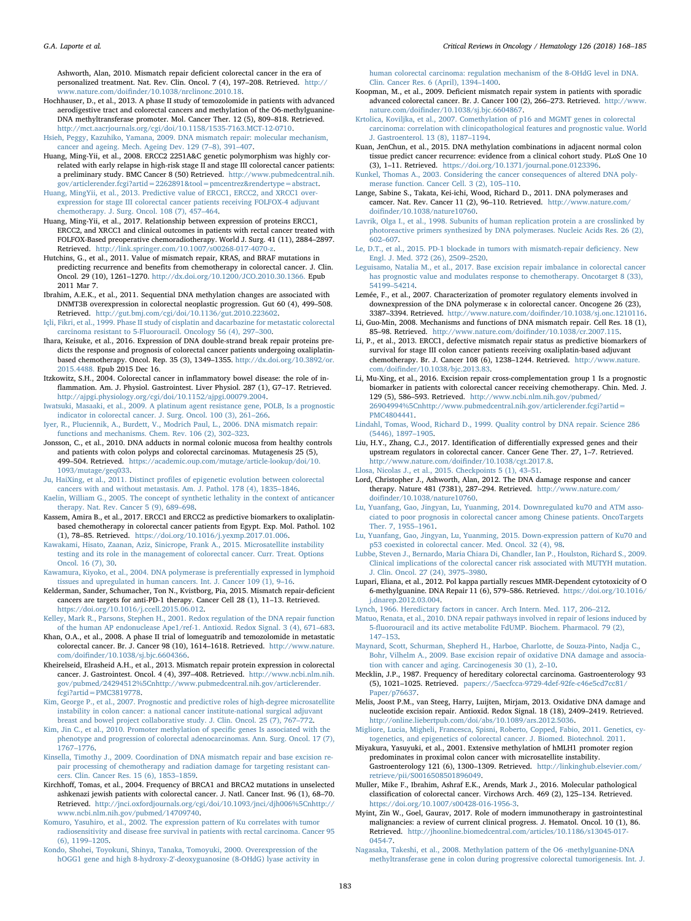Ashworth, Alan, 2010. Mismatch repair deficient colorectal cancer in the era of personalized treatment. Nat. Rev. Clin. Oncol. 7 (4), 197–208. Retrieved. [http://](http://www.nature.com/doifinder/10.1038/nrclinonc.2010.18) www.nature.com/doifi[nder/10.1038/nrclinonc.2010.18](http://www.nature.com/doifinder/10.1038/nrclinonc.2010.18).

- <span id="page-15-25"></span>Hochhauser, D., et al., 2013. A phase II study of temozolomide in patients with advanced aerodigestive tract and colorectal cancers and methylation of the O6-methylguanine-DNA methyltransferase promoter. Mol. Cancer Ther. 12 (5), 809–818. Retrieved. [http://mct.aacrjournals.org/cgi/doi/10.1158/1535-7163.MCT-12-0710.](http://mct.aacrjournals.org/cgi/doi/10.1158/1535-7163.MCT-12-0710)
- <span id="page-15-6"></span>[Hsieh, Peggy, Kazuhiko, Yamana, 2009. DNA mismatch repair: molecular mechanism,](http://refhub.elsevier.com/S1040-8428(17)30438-9/sbref0370) [cancer and ageing. Mech. Ageing Dev. 129 \(7](http://refhub.elsevier.com/S1040-8428(17)30438-9/sbref0370)–8), 391–407.
- <span id="page-15-48"></span>Huang, Ming-Yii, et al., 2008. ERCC2 2251A&C genetic polymorphism was highly correlated with early relapse in high-risk stage II and stage III colorectal cancer patients: a preliminary study. BMC Cancer 8 (50) Retrieved. [http://www.pubmedcentral.nih.](http://www.pubmedcentral.nih.gov/articlerender.fcgi?artid=2262891%26tool=pmcentrez%26rendertype=abstract) [gov/articlerender.fcgi?artid=2262891&tool=pmcentrez&rendertype=abstract](http://www.pubmedcentral.nih.gov/articlerender.fcgi?artid=2262891%26tool=pmcentrez%26rendertype=abstract).
- <span id="page-15-32"></span>[Huang, MingYii, et al., 2013. Predictive value of ERCC1, ERCC2, and XRCC1 over](http://refhub.elsevier.com/S1040-8428(17)30438-9/sbref0380)[expression for stage III colorectal cancer patients receiving FOLFOX-4 adjuvant](http://refhub.elsevier.com/S1040-8428(17)30438-9/sbref0380) [chemotherapy. J. Surg. Oncol. 108 \(7\), 457](http://refhub.elsevier.com/S1040-8428(17)30438-9/sbref0380)–464.
- <span id="page-15-42"></span>Huang, Ming-Yii, et al., 2017. Relationship between expression of proteins ERCC1, ERCC2, and XRCC1 and clinical outcomes in patients with rectal cancer treated with FOLFOX-Based preoperative chemoradiotherapy. World J. Surg. 41 (11), 2884–2897. Retrieved. [http://link.springer.com/10.1007/s00268-017-4070-z.](http://link.springer.com/10.1007/s00268-017-4070-z)
- <span id="page-15-12"></span>Hutchins, G., et al., 2011. Value of mismatch repair, KRAS, and BRAF mutations in predicting recurrence and benefits from chemotherapy in colorectal cancer. J. Clin. Oncol. 29 (10), 1261–1270. [http://dx.doi.org/10.1200/JCO.2010.30.1366.](http://dx.doi.org/10.1200/JCO.2010.30.1366) Epub [2011 Mar 7](http://dx.doi.org/10.1200/JCO.2010.30.1366).
- <span id="page-15-50"></span>Ibrahim, A.E.K., et al., 2011. Sequential DNA methylation changes are associated with DNMT3B overexpression in colorectal neoplastic progression. Gut 60 (4), 499–508. Retrieved. <http://gut.bmj.com/cgi/doi/10.1136/gut.2010.223602>.
- <span id="page-15-26"></span>[Içli, Fikri, et al., 1999. Phase II study of cisplatin and dacarbazine for metastatic colorectal](http://refhub.elsevier.com/S1040-8428(17)30438-9/sbref0400) [carcinoma resistant to 5-Fluorouracil. Oncology 56 \(4\), 297](http://refhub.elsevier.com/S1040-8428(17)30438-9/sbref0400)–300.
- <span id="page-15-47"></span>Ihara, Keisuke, et al., 2016. Expression of DNA double-strand break repair proteins predicts the response and prognosis of colorectal cancer patients undergoing oxaliplatinbased chemotherapy. Oncol. Rep. 35 (3), 1349–1355. [http://dx.doi.org/10.3892/or.](http://dx.doi.org/10.3892/or.2015.4488) 2015.4488. [Epub 2015 Dec 16.](http://dx.doi.org/10.3892/or.2015.4488)
- <span id="page-15-28"></span>Itzkowitz, S.H., 2004. Colorectal cancer in inflammatory bowel disease: the role of inflammation. Am. J. Physiol. Gastrointest. Liver Physiol. 287 (1), G7–17. Retrieved. <http://ajpgi.physiology.org/cgi/doi/10.1152/ajpgi.00079.2004>.

<span id="page-15-31"></span>[Iwatsuki, Masaaki, et al., 2009. A platinum agent resistance gene, POLB, Is a prognostic](http://refhub.elsevier.com/S1040-8428(17)30438-9/sbref0415) [indicator in colorectal cancer. J. Surg. Oncol. 100 \(3\), 261](http://refhub.elsevier.com/S1040-8428(17)30438-9/sbref0415)–266.

- <span id="page-15-4"></span>[Iyer, R., Pluciennik, A., Burdett, V., Modrich Paul, L., 2006. DNA mismatch repair:](http://refhub.elsevier.com/S1040-8428(17)30438-9/sbref0420) [functions and mechanisms. Chem. Rev. 106 \(2\), 302](http://refhub.elsevier.com/S1040-8428(17)30438-9/sbref0420)–323.
- <span id="page-15-38"></span>Jonsson, C., et al., 2010. DNA adducts in normal colonic mucosa from healthy controls and patients with colon polyps and colorectal carcinomas. Mutagenesis 25 (5), 499–504. Retrieved. [https://academic.oup.com/mutage/article-lookup/doi/10.](https://academic.oup.com/mutage/article-lookup/doi/10.1093/mutage/geq033) [1093/mutage/geq033.](https://academic.oup.com/mutage/article-lookup/doi/10.1093/mutage/geq033)
- <span id="page-15-21"></span>Ju, HaiXing, et al., 2011. Distinct profiles [of epigenetic evolution between colorectal](http://refhub.elsevier.com/S1040-8428(17)30438-9/sbref0430) [cancers with and without metastasis. Am. J. Pathol. 178 \(4\), 1835](http://refhub.elsevier.com/S1040-8428(17)30438-9/sbref0430)–1846.
- <span id="page-15-36"></span>[Kaelin, William G., 2005. The concept of synthetic lethality in the context of anticancer](http://refhub.elsevier.com/S1040-8428(17)30438-9/sbref0435) [therapy. Nat. Rev. Cancer 5 \(9\), 689](http://refhub.elsevier.com/S1040-8428(17)30438-9/sbref0435)–698.
- <span id="page-15-41"></span>Kassem, Amira B., et al., 2017. ERCC1 and ERCC2 as predictive biomarkers to oxaliplatinbased chemotherapy in colorectal cancer patients from Egypt. Exp. Mol. Pathol. 102
- <span id="page-15-1"></span>(1), 78–85. Retrieved. <https://doi.org/10.1016/j.yexmp.2017.01.006>. [Kawakami, Hisato, Zaanan, Aziz, Sinicrope, Frank A., 2015. Microsatellite instability](http://refhub.elsevier.com/S1040-8428(17)30438-9/sbref0445) [testing and its role in the management of colorectal cancer. Curr. Treat. Options](http://refhub.elsevier.com/S1040-8428(17)30438-9/sbref0445) [Oncol. 16 \(7\), 30.](http://refhub.elsevier.com/S1040-8428(17)30438-9/sbref0445)
- <span id="page-15-55"></span>[Kawamura, Kiyoko, et al., 2004. DNA polymerase is preferentially expressed in lymphoid](http://refhub.elsevier.com/S1040-8428(17)30438-9/sbref0450) [tissues and upregulated in human cancers. Int. J. Cancer 109 \(1\), 9](http://refhub.elsevier.com/S1040-8428(17)30438-9/sbref0450)–16.
- <span id="page-15-14"></span>Kelderman, Sander, Schumacher, Ton N., Kvistborg, Pia, 2015. Mismatch repair-deficient cancers are targets for anti-PD-1 therapy. Cancer Cell 28 (1), 11–13. Retrieved. [https://doi.org/10.1016/j.ccell.2015.06.012.](https://doi.org/10.1016/j.ccell.2015.06.012)

<span id="page-15-34"></span>[Kelley, Mark R., Parsons, Stephen H., 2001. Redox regulation of the DNA repair function](http://refhub.elsevier.com/S1040-8428(17)30438-9/sbref0460) [of the human AP endonuclease Ape1/ref-1. Antioxid. Redox Signal. 3 \(4\), 671](http://refhub.elsevier.com/S1040-8428(17)30438-9/sbref0460)–683.

- <span id="page-15-18"></span>Khan, O.A., et al., 2008. A phase II trial of lomeguatrib and temozolomide in metastatic colorectal cancer. Br. J. Cancer 98 (10), 1614–1618. Retrieved. [http://www.nature.](http://www.nature.com/doifinder/10.1038/sj.bjc.6604366) com/doifi[nder/10.1038/sj.bjc.6604366](http://www.nature.com/doifinder/10.1038/sj.bjc.6604366).
- <span id="page-15-7"></span>Kheirelseid, Elrasheid A.H., et al., 2013. Mismatch repair protein expression in colorectal cancer. J. Gastrointest. Oncol. 4 (4), 397–408. Retrieved. [http://www.ncbi.nlm.nih.](http://www.ncbi.nlm.nih.gov/pubmed/24294512%5Cnhttp://www.pubmedcentral.nih.gov/articlerender.fcgi?artid=PMC3819778) [gov/pubmed/24294512%5Cnhttp://www.pubmedcentral.nih.gov/articlerender.](http://www.ncbi.nlm.nih.gov/pubmed/24294512%5Cnhttp://www.pubmedcentral.nih.gov/articlerender.fcgi?artid=PMC3819778) [fcgi?artid=PMC3819778](http://www.ncbi.nlm.nih.gov/pubmed/24294512%5Cnhttp://www.pubmedcentral.nih.gov/articlerender.fcgi?artid=PMC3819778).
- <span id="page-15-13"></span>[Kim, George P., et al., 2007. Prognostic and predictive roles of high-degree microsatellite](http://refhub.elsevier.com/S1040-8428(17)30438-9/sbref0475) [instability in colon cancer: a national cancer institute-national surgical adjuvant](http://refhub.elsevier.com/S1040-8428(17)30438-9/sbref0475) [breast and bowel project collaborative study. J. Clin. Oncol. 25 \(7\), 767](http://refhub.elsevier.com/S1040-8428(17)30438-9/sbref0475)–772.
- <span id="page-15-22"></span>[Kim, Jin C., et al., 2010. Promoter methylation of speci](http://refhub.elsevier.com/S1040-8428(17)30438-9/sbref0480)fic genes Is associated with the [phenotype and progression of colorectal adenocarcinomas. Ann. Surg. Oncol. 17 \(7\),](http://refhub.elsevier.com/S1040-8428(17)30438-9/sbref0480) 1767–[1776](http://refhub.elsevier.com/S1040-8428(17)30438-9/sbref0480).
- <span id="page-15-33"></span>[Kinsella, Timothy J., 2009. Coordination of DNA mismatch repair and base excision re](http://refhub.elsevier.com/S1040-8428(17)30438-9/sbref0485)[pair processing of chemotherapy and radiation damage for targeting resistant can](http://refhub.elsevier.com/S1040-8428(17)30438-9/sbref0485)[cers. Clin. Cancer Res. 15 \(6\), 1853](http://refhub.elsevier.com/S1040-8428(17)30438-9/sbref0485)–1859.
- <span id="page-15-49"></span>Kirchhoff, Tomas, et al., 2004. Frequency of BRCA1 and BRCA2 mutations in unselected ashkenazi jewish patients with colorectal cancer. J. Natl. Cancer Inst. 96 (1), 68–70. Retrieved. [http://jnci.oxfordjournals.org/cgi/doi/10.1093/jnci/djh006%5Cnhttp://](http://jnci.oxfordjournals.org/cgi/doi/10.1093/jnci/djh006%5Cnhttp://www.ncbi.nlm.nih.gov/pubmed/14709740) [www.ncbi.nlm.nih.gov/pubmed/14709740.](http://jnci.oxfordjournals.org/cgi/doi/10.1093/jnci/djh006%5Cnhttp://www.ncbi.nlm.nih.gov/pubmed/14709740)
- <span id="page-15-45"></span>[Komuro, Yasuhiro, et al., 2002. The expression pattern of Ku correlates with tumor](http://refhub.elsevier.com/S1040-8428(17)30438-9/sbref0495) [radiosensitivity and disease free survival in patients with rectal carcinoma. Cancer 95](http://refhub.elsevier.com/S1040-8428(17)30438-9/sbref0495) [\(6\), 1199](http://refhub.elsevier.com/S1040-8428(17)30438-9/sbref0495)–1205.
- <span id="page-15-30"></span>[Kondo, Shohei, Toyokuni, Shinya, Tanaka, Tomoyuki, 2000. Overexpression of the](http://refhub.elsevier.com/S1040-8428(17)30438-9/sbref0500) [hOGG1 gene and high 8-hydroxy-2'-deoxyguanosine \(8-OHdG\) lyase activity in](http://refhub.elsevier.com/S1040-8428(17)30438-9/sbref0500)

[human colorectal carcinoma: regulation mechanism of the 8-OHdG level in DNA.](http://refhub.elsevier.com/S1040-8428(17)30438-9/sbref0500) [Clin. Cancer Res. 6 \(April\), 1394](http://refhub.elsevier.com/S1040-8428(17)30438-9/sbref0500)–1400.

- <span id="page-15-10"></span>Koopman, M., et al., 2009. Deficient mismatch repair system in patients with sporadic advanced colorectal cancer. Br. J. Cancer 100 (2), 266–273. Retrieved. [http://www.](http://www.nature.com/doifinder/10.1038/sj.bjc.6604867) nature.com/doifi[nder/10.1038/sj.bjc.6604867](http://www.nature.com/doifinder/10.1038/sj.bjc.6604867).
- <span id="page-15-23"></span>[Krtolica, Koviljka, et al., 2007. Comethylation of p16 and MGMT genes in colorectal](http://refhub.elsevier.com/S1040-8428(17)30438-9/sbref0510) [carcinoma: correlation with clinicopathological features and prognostic value. World](http://refhub.elsevier.com/S1040-8428(17)30438-9/sbref0510) [J. Gastroenterol. 13 \(8\), 1187](http://refhub.elsevier.com/S1040-8428(17)30438-9/sbref0510)–1194.
- <span id="page-15-19"></span>Kuan, JenChun, et al., 2015. DNA methylation combinations in adjacent normal colon tissue predict cancer recurrence: evidence from a clinical cohort study. PLoS One 10 (3), 1–11. Retrieved. <https://doi.org/10.1371/journal.pone.0123396>.
- <span id="page-15-51"></span>[Kunkel, Thomas A., 2003. Considering the cancer consequences of altered DNA poly](http://refhub.elsevier.com/S1040-8428(17)30438-9/sbref0520)[merase function. Cancer Cell. 3 \(2\), 105](http://refhub.elsevier.com/S1040-8428(17)30438-9/sbref0520)–110.
- <span id="page-15-53"></span>Lange, Sabine S., Takata, Kei-ichi, Wood, Richard D., 2011. DNA polymerases and camcer. Nat. Rev. Cancer 11 (2), 96–110. Retrieved. [http://www.nature.com/](http://www.nature.com/doifinder/10.1038/nature10760) doifi[nder/10.1038/nature10760](http://www.nature.com/doifinder/10.1038/nature10760).
- <span id="page-15-35"></span>[Lavrik, Olga I., et al., 1998. Subunits of human replication protein a are crosslinked by](http://refhub.elsevier.com/S1040-8428(17)30438-9/sbref0530) [photoreactive primers synthesized by DNA polymerases. Nucleic Acids Res. 26 \(2\),](http://refhub.elsevier.com/S1040-8428(17)30438-9/sbref0530)  $602 - 607$  $602 - 607$ .
- <span id="page-15-16"></span>[Le, D.T., et al., 2015. PD-1 blockade in tumors with mismatch-repair de](http://refhub.elsevier.com/S1040-8428(17)30438-9/sbref0535)ficiency. New [Engl. J. Med. 372 \(26\), 2509](http://refhub.elsevier.com/S1040-8428(17)30438-9/sbref0535)–2520.
- <span id="page-15-24"></span>[Leguisamo, Natalia M., et al., 2017. Base excision repair imbalance in colorectal cancer](http://refhub.elsevier.com/S1040-8428(17)30438-9/sbref0540) [has prognostic value and modulates response to chemotherapy. Oncotarget 8 \(33\),](http://refhub.elsevier.com/S1040-8428(17)30438-9/sbref0540) 54199–[54214.](http://refhub.elsevier.com/S1040-8428(17)30438-9/sbref0540)

<span id="page-15-54"></span>Lemée, F., et al., 2007. Characterization of promoter regulatory elements involved in downexpression of the DNA polymerase κ in colorectal cancer. Oncogene 26 (23), 3387–3394. Retrieved. http://www.nature.com/doifi[nder/10.1038/sj.onc.1210116.](http://www.nature.com/doifinder/10.1038/sj.onc.1210116)

<span id="page-15-5"></span>Li, Guo-Min, 2008. Mechanisms and functions of DNA mismatch repair. Cell Res. 18 (1), 85–98. Retrieved. [http://www.nature.com/doi](http://www.nature.com/doifinder/10.1038/cr.2007.115)finder/10.1038/cr.2007.115.

- <span id="page-15-39"></span>Li, P., et al., 2013. ERCC1, defective mismatch repair status as predictive biomarkers of survival for stage III colon cancer patients receiving oxaliplatin-based adjuvant chemotherapy. Br. J. Cancer 108 (6), 1238–1244. Retrieved. [http://www.nature.](http://www.nature.com/doifinder/10.1038/bjc.2013.83) com/doifi[nder/10.1038/bjc.2013.83](http://www.nature.com/doifinder/10.1038/bjc.2013.83).
- <span id="page-15-40"></span>Li, Mu-Xing, et al., 2016. Excision repair cross-complementation group 1 Is a prognostic biomarker in patients with colorectal cancer receiving chemotherapy. Chin. Med. J. 129 (5), 586–593. Retrieved. [http://www.ncbi.nlm.nih.gov/pubmed/](http://www.ncbi.nlm.nih.gov/pubmed/26904994%5Cnhttp://www.pubmedcentral.nih.gov/articlerender.fcgi?artid=PMC4804441) [26904994%5Cnhttp://www.pubmedcentral.nih.gov/articlerender.fcgi?artid=](http://www.ncbi.nlm.nih.gov/pubmed/26904994%5Cnhttp://www.pubmedcentral.nih.gov/articlerender.fcgi?artid=PMC4804441) [PMC4804441.](http://www.ncbi.nlm.nih.gov/pubmed/26904994%5Cnhttp://www.pubmedcentral.nih.gov/articlerender.fcgi?artid=PMC4804441)
- <span id="page-15-3"></span>[Lindahl, Tomas, Wood, Richard D., 1999. Quality control by DNA repair. Science 286](http://refhub.elsevier.com/S1040-8428(17)30438-9/sbref0565) [\(5446\), 1897](http://refhub.elsevier.com/S1040-8428(17)30438-9/sbref0565)–1905.
- <span id="page-15-44"></span>Liu, H.Y., Zhang, C.J., 2017. Identification of differentially expressed genes and their upstream regulators in colorectal cancer. Cancer Gene Ther. 27, 1–7. Retrieved. [http://www.nature.com/doi](http://www.nature.com/doifinder/10.1038/cgt.2017.8)finder/10.1038/cgt.2017.8.

<span id="page-15-15"></span>[Llosa, Nicolas J., et al., 2015. Checkpoints 5 \(1\), 43](http://refhub.elsevier.com/S1040-8428(17)30438-9/sbref0575)–51.

- <span id="page-15-52"></span>Lord, Christopher J., Ashworth, Alan, 2012. The DNA damage response and cancer therapy. Nature 481 (7381), 287–294. Retrieved. [http://www.nature.com/](http://www.nature.com/doifinder/10.1038/nature10760) doifi[nder/10.1038/nature10760](http://www.nature.com/doifinder/10.1038/nature10760).
- <span id="page-15-43"></span>[Lu, Yuanfang, Gao, Jingyan, Lu, Yuanming, 2014. Downregulated ku70 and ATM asso](http://refhub.elsevier.com/S1040-8428(17)30438-9/sbref0585)[ciated to poor prognosis in colorectal cancer among Chinese patients. OncoTargets](http://refhub.elsevier.com/S1040-8428(17)30438-9/sbref0585) [Ther. 7, 1955](http://refhub.elsevier.com/S1040-8428(17)30438-9/sbref0585)–1961.
- <span id="page-15-46"></span>[Lu, Yuanfang, Gao, Jingyan, Lu, Yuanming, 2015. Down-expression pattern of Ku70 and](http://refhub.elsevier.com/S1040-8428(17)30438-9/sbref0590) [p53 coexisted in colorectal cancer. Med. Oncol. 32 \(4\), 98](http://refhub.elsevier.com/S1040-8428(17)30438-9/sbref0590).
- <span id="page-15-29"></span>[Lubbe, Steven J., Bernardo, Maria Chiara Di, Chandler, Ian P., Houlston, Richard S., 2009.](http://refhub.elsevier.com/S1040-8428(17)30438-9/sbref0595) [Clinical implications of the colorectal cancer risk associated with MUTYH mutation.](http://refhub.elsevier.com/S1040-8428(17)30438-9/sbref0595) [J. Clin. Oncol. 27 \(24\), 3975](http://refhub.elsevier.com/S1040-8428(17)30438-9/sbref0595)–3980.
- <span id="page-15-57"></span>Lupari, Eliana, et al., 2012. Pol kappa partially rescues MMR-Dependent cytotoxicity of O 6-methylguanine. DNA Repair 11 (6), 579–586. Retrieved. [https://doi.org/10.1016/](https://doi.org/10.1016/j.dnarep.2012.03.004) [j.dnarep.2012.03.004.](https://doi.org/10.1016/j.dnarep.2012.03.004)
- <span id="page-15-8"></span>[Lynch, 1966. Heredictary factors in cancer. Arch Intern. Med. 117, 206](http://refhub.elsevier.com/S1040-8428(17)30438-9/sbref0605)–212.
- <span id="page-15-56"></span>[Matuo, Renata, et al., 2010. DNA repair pathways involved in repair of lesions induced by](http://refhub.elsevier.com/S1040-8428(17)30438-9/sbref0610) 5-fl[uorouracil and its active metabolite FdUMP. Biochem. Pharmacol. 79 \(2\),](http://refhub.elsevier.com/S1040-8428(17)30438-9/sbref0610) 147–[153](http://refhub.elsevier.com/S1040-8428(17)30438-9/sbref0610).
- <span id="page-15-27"></span>[Maynard, Scott, Schurman, Shepherd H., Harboe, Charlotte, de Souza-Pinto, Nadja C.,](http://refhub.elsevier.com/S1040-8428(17)30438-9/sbref0615) [Bohr, Vilhelm A., 2009. Base excision repair of oxidative DNA damage and associa](http://refhub.elsevier.com/S1040-8428(17)30438-9/sbref0615)[tion with cancer and aging. Carcinogenesis 30 \(1\), 2](http://refhub.elsevier.com/S1040-8428(17)30438-9/sbref0615)–10.
- <span id="page-15-9"></span>Mecklin, J.P., 1987. Frequency of hereditary colorectal carcinoma. Gastroenterology 93 (5), 1021–1025. Retrieved. [papers://5aecfcca-9729-4def-92fe-c46e5cd7cc81/](arxiv:/papers://5aecfcca-9729-4def-92fe-c46e5cd7cc81/Paper/p76637) [Paper/p76637](arxiv:/papers://5aecfcca-9729-4def-92fe-c46e5cd7cc81/Paper/p76637).
- <span id="page-15-37"></span>Melis, Joost P.M., van Steeg, Harry, Luijten, Mirjam, 2013. Oxidative DNA damage and nucleotide excision repair. Antioxid. Redox Signal. 18 (18), 2409–2419. Retrieved. [http://online.liebertpub.com/doi/abs/10.1089/ars.2012.5036.](http://online.liebertpub.com/doi/abs/10.1089/ars.2012.5036)

<span id="page-15-0"></span>[Migliore, Lucia, Migheli, Francesca, Spisni, Roberto, Copped, Fabio, 2011. Genetics, cy](http://refhub.elsevier.com/S1040-8428(17)30438-9/sbref0630)[togenetics, and epigenetics of colorectal cancer. J. Biomed. Biotechnol. 2011.](http://refhub.elsevier.com/S1040-8428(17)30438-9/sbref0630)

- <span id="page-15-11"></span>Miyakura, Yasuyuki, et al., 2001. Extensive methylation of hMLH1 promoter region predominates in proximal colon cancer with microsatellite instability. Gastroenterology 121 (6), 1300–1309. Retrieved. [http://linkinghub.elsevier.com/](http://linkinghub.elsevier.com/retrieve/pii/S0016508501896049) [retrieve/pii/S0016508501896049.](http://linkinghub.elsevier.com/retrieve/pii/S0016508501896049)
- <span id="page-15-2"></span>Muller, Mike F., Ibrahim, Ashraf E.K., Arends, Mark J., 2016. Molecular pathological classification of colorectal cancer. Virchows Arch. 469 (2), 125–134. Retrieved. [https://doi.org/10.1007/s00428-016-1956-3.](https://doi.org/10.1007/s00428-016-1956-3)
- <span id="page-15-17"></span>Myint, Zin W., Goel, Gaurav, 2017. Role of modern immunotherapy in gastrointestinal malignancies: a review of current clinical progress. J. Hematol. Oncol. 10 (1), 86. Retrieved. [http://jhoonline.biomedcentral.com/articles/10.1186/s13045-017-](http://jhoonline.biomedcentral.com/articles/10.1186/s13045-017-0454-7) [0454-7.](http://jhoonline.biomedcentral.com/articles/10.1186/s13045-017-0454-7)
- <span id="page-15-20"></span>[Nagasaka, Takeshi, et al., 2008. Methylation pattern of the O6 -methylguanine-DNA](http://refhub.elsevier.com/S1040-8428(17)30438-9/sbref0650) [methyltransferase gene in colon during progressive colorectal tumorigenesis. Int. J.](http://refhub.elsevier.com/S1040-8428(17)30438-9/sbref0650)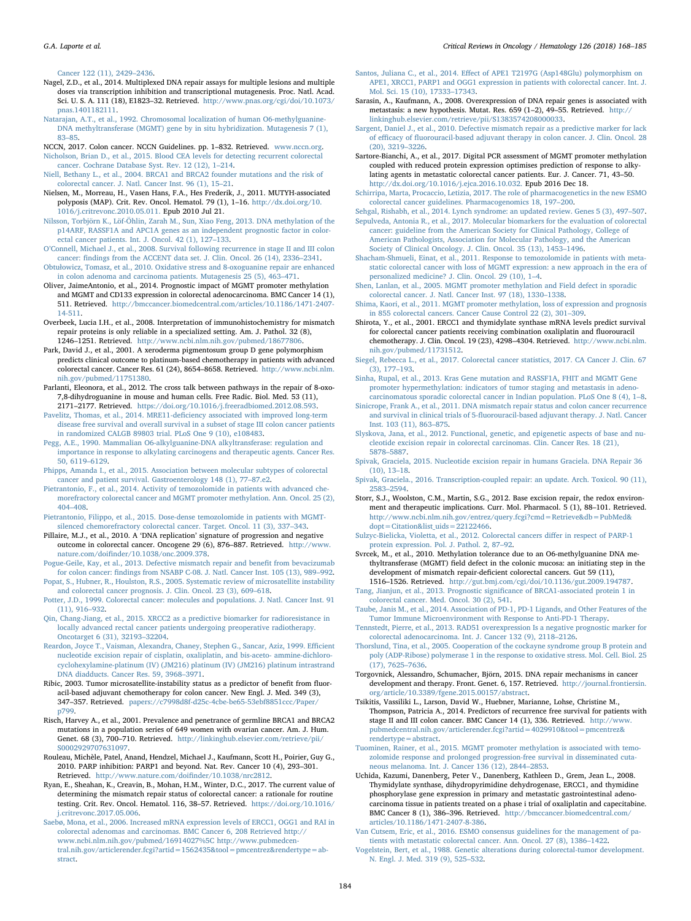[Cancer 122 \(11\), 2429](http://refhub.elsevier.com/S1040-8428(17)30438-9/sbref0650)–2436.

- <span id="page-16-11"></span>Nagel, Z.D., et al., 2014. Multiplexed DNA repair assays for multiple lesions and multiple doses via transcription inhibition and transcriptional mutagenesis. Proc. Natl. Acad. Sci. U. S. A. 111 (18), E1823–32. Retrieved. [http://www.pnas.org/cgi/doi/10.1073/](http://www.pnas.org/cgi/doi/10.1073/pnas.1401182111) [pnas.1401182111](http://www.pnas.org/cgi/doi/10.1073/pnas.1401182111).
- <span id="page-16-22"></span>[Natarajan, A.T., et al., 1992. Chromosomal localization of human O6-methylguanine-](http://refhub.elsevier.com/S1040-8428(17)30438-9/sbref0660)[DNA methyltransferase \(MGMT\) gene by in situ hybridization. Mutagenesis 7 \(1\),](http://refhub.elsevier.com/S1040-8428(17)30438-9/sbref0660) 83–[85](http://refhub.elsevier.com/S1040-8428(17)30438-9/sbref0660).
- <span id="page-16-5"></span><span id="page-16-2"></span>NCCN, 2017. Colon cancer. NCCN Guidelines. pp. 1–832. Retrieved. [www.nccn.org.](arxiv:/www.nccn.org) [Nicholson, Brian D., et al., 2015. Blood CEA levels for detecting recurrent colorectal](http://refhub.elsevier.com/S1040-8428(17)30438-9/sbref0670) [cancer. Cochrane Database Syst. Rev. 12 \(12\), 1](http://refhub.elsevier.com/S1040-8428(17)30438-9/sbref0670)–214.
- <span id="page-16-56"></span>[Niell, Bethany L., et al., 2004. BRCA1 and BRCA2 founder mutations and the risk of](http://refhub.elsevier.com/S1040-8428(17)30438-9/sbref0675) [colorectal cancer. J. Natl. Cancer Inst. 96 \(1\), 15](http://refhub.elsevier.com/S1040-8428(17)30438-9/sbref0675)–21.
- <span id="page-16-37"></span>Nielsen, M., Morreau, H., Vasen Hans, F.A., Hes Frederik, J., 2011. MUTYH-associated polyposis (MAP). Crit. Rev. Oncol. Hematol. 79 (1), 1–16. [http://dx.doi.org/10.](http://dx.doi.org/10.1016/j.critrevonc.2010.05.011) [1016/j.critrevonc.2010.05.011.](http://dx.doi.org/10.1016/j.critrevonc.2010.05.011) Epub 2010 Jul 21.
- <span id="page-16-25"></span>[Nilsson, Torbjörn K., Löf-Öhlin, Zarah M., Sun, Xiao Feng, 2013. DNA methylation of the](http://refhub.elsevier.com/S1040-8428(17)30438-9/sbref0685) [p14ARF, RASSF1A and APC1A genes as an independent prognostic factor in color](http://refhub.elsevier.com/S1040-8428(17)30438-9/sbref0685)[ectal cancer patients. Int. J. Oncol. 42 \(1\), 127](http://refhub.elsevier.com/S1040-8428(17)30438-9/sbref0685)–133.
- <span id="page-16-3"></span>O'[Connell, Michael J., et al., 2008. Survival following recurrence in stage II and III colon](http://refhub.elsevier.com/S1040-8428(17)30438-9/sbref0690) cancer: fi[ndings from the ACCENT data set. J. Clin. Oncol. 26 \(14\), 2336](http://refhub.elsevier.com/S1040-8428(17)30438-9/sbref0690)–2341.
- <span id="page-16-10"></span>Obtuł[owicz, Tomasz, et al., 2010. Oxidative stress and 8-oxoguanine repair are enhanced](http://refhub.elsevier.com/S1040-8428(17)30438-9/sbref0695) [in colon adenoma and carcinoma patients. Mutagenesis 25 \(5\), 463](http://refhub.elsevier.com/S1040-8428(17)30438-9/sbref0695)–471.
- <span id="page-16-28"></span>Oliver, JaimeAntonio, et al., 2014. Prognostic impact of MGMT promoter methylation and MGMT and CD133 expression in colorectal adenocarcinoma. BMC Cancer 14 (1), 511. Retrieved. [http://bmccancer.biomedcentral.com/articles/10.1186/1471-2407-](http://bmccancer.biomedcentral.com/articles/10.1186/1471-2407-14-511) [14-511.](http://bmccancer.biomedcentral.com/articles/10.1186/1471-2407-14-511)
- <span id="page-16-12"></span>Overbeek, Lucia I.H., et al., 2008. Interpretation of immunohistochemistry for mismatch repair proteins is only reliable in a specialized setting. Am. J. Pathol. 32 (8), 1246–1251. Retrieved. <http://www.ncbi.nlm.nih.gov/pubmed/18677806>.
- <span id="page-16-38"></span>Park, David J., et al., 2001. A xeroderma pigmentosum group D gene polymorphism predicts clinical outcome to platinum-based chemotherapy in patients with advanced colorectal cancer. Cancer Res. 61 (24), 8654–8658. Retrieved. [http://www.ncbi.nlm.](http://www.ncbi.nlm.nih.gov/pubmed/11751380) [nih.gov/pubmed/11751380.](http://www.ncbi.nlm.nih.gov/pubmed/11751380)
- <span id="page-16-45"></span>Parlanti, Eleonora, et al., 2012. The cross talk between pathways in the repair of 8-oxo-7,8-dihydroguanine in mouse and human cells. Free Radic. Biol. Med. 53 (11), 2171–2177. Retrieved. [https://doi.org/10.1016/j.freeradbiomed.2012.08.593.](https://doi.org/10.1016/j.freeradbiomed.2012.08.593)
- <span id="page-16-53"></span>Pavelitz, Thomas, et al., 2014. MRE11-defi[ciency associated with improved long-term](http://refhub.elsevier.com/S1040-8428(17)30438-9/sbref0720) [disease free survival and overall survival in a subset of stage III colon cancer patients](http://refhub.elsevier.com/S1040-8428(17)30438-9/sbref0720) [in randomized CALGB 89803 trial. PLoS One 9 \(10\), e108483](http://refhub.elsevier.com/S1040-8428(17)30438-9/sbref0720).
- <span id="page-16-21"></span>[Pegg, A.E., 1990. Mammalian O6-alkylguanine-DNA alkyltransferase: regulation and](http://refhub.elsevier.com/S1040-8428(17)30438-9/sbref0725) [importance in response to alkylating carcinogens and therapeutic agents. Cancer Res.](http://refhub.elsevier.com/S1040-8428(17)30438-9/sbref0725) [50, 6119](http://refhub.elsevier.com/S1040-8428(17)30438-9/sbref0725)–6129.
- <span id="page-16-18"></span>[Phipps, Amanda I., et al., 2015. Association between molecular subtypes of colorectal](http://refhub.elsevier.com/S1040-8428(17)30438-9/sbref0730) [cancer and patient survival. Gastroenterology 148 \(1\), 77](http://refhub.elsevier.com/S1040-8428(17)30438-9/sbref0730)–87.e2.
- <span id="page-16-31"></span>Pietrantonio, [F., et al., 2014. Activity of temozolomide in patients with advanced che](http://refhub.elsevier.com/S1040-8428(17)30438-9/sbref0735)[morefractory colorectal cancer and MGMT promoter methylation. Ann. Oncol. 25 \(2\),](http://refhub.elsevier.com/S1040-8428(17)30438-9/sbref0735) 404–[408](http://refhub.elsevier.com/S1040-8428(17)30438-9/sbref0735).
- <span id="page-16-32"></span>[Pietrantonio, Filippo, et al., 2015. Dose-dense temozolomide in patients with MGMT](http://refhub.elsevier.com/S1040-8428(17)30438-9/sbref0740)[silenced chemorefractory colorectal cancer. Target. Oncol. 11 \(3\), 337](http://refhub.elsevier.com/S1040-8428(17)30438-9/sbref0740)–343.
- <span id="page-16-58"></span>Pillaire, M.J., et al., 2010. A 'DNA replication' signature of progression and negative outcome in colorectal cancer. Oncogene 29 (6), 876–887. Retrieved. [http://www.](http://www.nature.com/doifinder/10.1038/onc.2009.378) nature.com/doifi[nder/10.1038/onc.2009.378.](http://www.nature.com/doifinder/10.1038/onc.2009.378)
- <span id="page-16-17"></span>[Pogue-Geile, Kay, et al., 2013. Defective mismatch repair and bene](http://refhub.elsevier.com/S1040-8428(17)30438-9/sbref0750)fit from bevacizumab for colon cancer: fi[ndings from NSABP C-08. J. Natl. Cancer Inst. 105 \(13\), 989](http://refhub.elsevier.com/S1040-8428(17)30438-9/sbref0750)–992.
- <span id="page-16-16"></span>[Popat, S., Hubner, R., Houlston, R.S., 2005. Systematic review of microsatellite instability](http://refhub.elsevier.com/S1040-8428(17)30438-9/sbref0755) [and colorectal cancer prognosis. J. Clin. Oncol. 23 \(3\), 609](http://refhub.elsevier.com/S1040-8428(17)30438-9/sbref0755)–618.
- <span id="page-16-35"></span>[Potter, J.D., 1999. Colorectal cancer: molecules and populations. J. Natl. Cancer Inst. 91](http://refhub.elsevier.com/S1040-8428(17)30438-9/sbref0760) [\(11\), 916](http://refhub.elsevier.com/S1040-8428(17)30438-9/sbref0760)–932.
- <span id="page-16-55"></span>[Qin, Chang-Jiang, et al., 2015. XRCC2 as a predictive biomarker for radioresistance in](http://refhub.elsevier.com/S1040-8428(17)30438-9/sbref0765) [locally advanced rectal cancer patients undergoing preoperative radiotherapy.](http://refhub.elsevier.com/S1040-8428(17)30438-9/sbref0765) [Oncotarget 6 \(31\), 32193](http://refhub.elsevier.com/S1040-8428(17)30438-9/sbref0765)–32204.
- <span id="page-16-48"></span>[Reardon, Joyce T., Vaisman, Alexandra, Chaney, Stephen G., Sancar, Aziz, 1999. E](http://refhub.elsevier.com/S1040-8428(17)30438-9/sbref0770)fficient [nucleotide excision repair of cisplatin, oxaliplatin, and bis-aceto- ammine-dichloro](http://refhub.elsevier.com/S1040-8428(17)30438-9/sbref0770)[cyclohexylamine-platinum \(IV\) \(JM216\) platinum \(IV\) \(JM216\) platinum intrastrand](http://refhub.elsevier.com/S1040-8428(17)30438-9/sbref0770) [DNA diadducts. Cancer Res. 59, 3968](http://refhub.elsevier.com/S1040-8428(17)30438-9/sbref0770)–3971.
- <span id="page-16-15"></span>Ribic, 2003. Tumor microsatellite-instability status as a predictor of benefit from fluoracil-based adjuvant chemotherapy for colon cancer. New Engl. J. Med. 349 (3), 347–357. Retrieved. [papers://c7998d8f-d25c-4cbe-be65-53ebf8851ccc/Paper/](arxiv:/papers://c7998d8f-d25c-4cbe-be65-53ebf8851ccc/Paper/p799) [p799.](arxiv:/papers://c7998d8f-d25c-4cbe-be65-53ebf8851ccc/Paper/p799)
- <span id="page-16-57"></span>Risch, Harvey A., et al., 2001. Prevalence and penetrance of germline BRCA1 and BRCA2 mutations in a population series of 649 women with ovarian cancer. Am. J. Hum. Genet. 68 (3), 700–710. Retrieved. [http://linkinghub.elsevier.com/retrieve/pii/](http://linkinghub.elsevier.com/retrieve/pii/S0002929707631097) [S0002929707631097](http://linkinghub.elsevier.com/retrieve/pii/S0002929707631097).
- <span id="page-16-34"></span>Rouleau, Michèle, Patel, Anand, Hendzel, Michael J., Kaufmann, Scott H., Poirier, Guy G., 2010. PARP inhibition: PARP1 and beyond. Nat. Rev. Cancer 10 (4), 293–301. Retrieved. [http://www.nature.com/doi](http://www.nature.com/doifinder/10.1038/nrc2812)finder/10.1038/nrc2812.
- <span id="page-16-14"></span>Ryan, E., Sheahan, K., Creavin, B., Mohan, H.M., Winter, D.C., 2017. The current value of determining the mismatch repair status of colorectal cancer: a rationale for routine testing. Crit. Rev. Oncol. Hematol. 116, 38–57. Retrieved. [https://doi.org/10.1016/](https://doi.org/10.1016/j.critrevonc.2017.05.006) [j.critrevonc.2017.05.006](https://doi.org/10.1016/j.critrevonc.2017.05.006).
- <span id="page-16-39"></span>[Saebø, Mona, et al., 2006. Increased mRNA expression levels of ERCC1, OGG1 and RAI in](http://refhub.elsevier.com/S1040-8428(17)30438-9/sbref0795) [colorectal adenomas and carcinomas. BMC Cancer 6, 208 Retrieved http://](http://refhub.elsevier.com/S1040-8428(17)30438-9/sbref0795) [www.ncbi.nlm.nih.gov/pubmed/16914027%5C http://www.pubmedcen](http://refhub.elsevier.com/S1040-8428(17)30438-9/sbref0795)[tral.nih.gov/articlerender.fcgi?artid=1562435&tool=pmcentrez&rendertype=ab](http://refhub.elsevier.com/S1040-8428(17)30438-9/sbref0795)[stract](http://refhub.elsevier.com/S1040-8428(17)30438-9/sbref0795).
- <span id="page-16-40"></span>Santos, Juliana C., et al., 2014. Eff[ect of APE1 T2197G \(Asp148Glu\) polymorphism on](http://refhub.elsevier.com/S1040-8428(17)30438-9/sbref0800) [APE1, XRCC1, PARP1 and OGG1 expression in patients with colorectal cancer. Int. J.](http://refhub.elsevier.com/S1040-8428(17)30438-9/sbref0800) [Mol. Sci. 15 \(10\), 17333](http://refhub.elsevier.com/S1040-8428(17)30438-9/sbref0800)–17343.
- <span id="page-16-47"></span>Sarasin, A., Kaufmann, A., 2008. Overexpression of DNA repair genes is associated with metastasis: a new hypothesis. Mutat. Res. 659 (1–2), 49–55. Retrieved. [http://](http://linkinghub.elsevier.com/retrieve/pii/S1383574208000033) [linkinghub.elsevier.com/retrieve/pii/S1383574208000033.](http://linkinghub.elsevier.com/retrieve/pii/S1383574208000033)
- <span id="page-16-9"></span>[Sargent, Daniel J., et al., 2010. Defective mismatch repair as a predictive marker for lack](http://refhub.elsevier.com/S1040-8428(17)30438-9/sbref0810) of efficacy of fl[uorouracil-based adjuvant therapy in colon cancer. J. Clin. Oncol. 28](http://refhub.elsevier.com/S1040-8428(17)30438-9/sbref0810) [\(20\), 3219](http://refhub.elsevier.com/S1040-8428(17)30438-9/sbref0810)–3226.
- <span id="page-16-33"></span>Sartore-Bianchi, A., et al., 2017. Digital PCR assessment of MGMT promoter methylation coupled with reduced protein expression optimises prediction of response to alkylating agents in metastatic colorectal cancer patients. Eur. J. Cancer. 71, 43–50. [http://dx.doi.org/10.1016/j.ejca.2016.10.032.](http://dx.doi.org/10.1016/j.ejca.2016.10.032) Epub 2016 Dec 18.

<span id="page-16-49"></span>[Schirripa, Marta, Procaccio, Letizia, 2017. The role of pharmacogenetics in the new ESMO](http://refhub.elsevier.com/S1040-8428(17)30438-9/sbref0820) [colorectal cancer guidelines. Pharmacogenomics 18, 197](http://refhub.elsevier.com/S1040-8428(17)30438-9/sbref0820)–200.

<span id="page-16-13"></span><span id="page-16-8"></span>[Sehgal, Rishabh, et al., 2014. Lynch syndrome: an updated review. Genes 5 \(3\), 497](http://refhub.elsevier.com/S1040-8428(17)30438-9/sbref0825)–507. [Sepulveda, Antonia R., et al., 2017. Molecular biomarkers for the evaluation of colorectal](http://refhub.elsevier.com/S1040-8428(17)30438-9/sbref0830)

- [cancer: guideline from the American Society for Clinical Pathology, College of](http://refhub.elsevier.com/S1040-8428(17)30438-9/sbref0830) [American Pathologists, Association for Molecular Pathology, and the American](http://refhub.elsevier.com/S1040-8428(17)30438-9/sbref0830) [Society of Clinical Oncology. J. Clin. Oncol. 35 \(13\), 1453](http://refhub.elsevier.com/S1040-8428(17)30438-9/sbref0830)–1496.
- <span id="page-16-30"></span>[Shacham-Shmueli, Einat, et al., 2011. Response to temozolomide in patients with meta](http://refhub.elsevier.com/S1040-8428(17)30438-9/sbref0835)[static colorectal cancer with loss of MGMT expression: a new approach in the era of](http://refhub.elsevier.com/S1040-8428(17)30438-9/sbref0835) [personalized medicine? J. Clin. Oncol. 29 \(10\), 1](http://refhub.elsevier.com/S1040-8428(17)30438-9/sbref0835)–4.
- <span id="page-16-23"></span>[Shen, Lanlan, et al., 2005. MGMT promoter methylation and Field defect in sporadic](http://refhub.elsevier.com/S1040-8428(17)30438-9/sbref0840) [colorectal cancer. J. Natl. Cancer Inst. 97 \(18\), 1330](http://refhub.elsevier.com/S1040-8428(17)30438-9/sbref0840)–1338.
- <span id="page-16-26"></span>[Shima, Kaori, et al., 2011. MGMT promoter methylation, loss of expression and prognosis](http://refhub.elsevier.com/S1040-8428(17)30438-9/sbref0845) [in 855 colorectal cancers. Cancer Cause Control 22 \(2\), 301](http://refhub.elsevier.com/S1040-8428(17)30438-9/sbref0845)–309.
- <span id="page-16-50"></span>Shirota, Y., et al., 2001. ERCC1 and thymidylate synthase mRNA levels predict survival for colorectal cancer patients receiving combination oxaliplatin and fluorouracil chemotherapy. J. Clin. Oncol. 19 (23), 4298–4304. Retrieved. [http://www.ncbi.nlm.](http://www.ncbi.nlm.nih.gov/pubmed/11731512) [nih.gov/pubmed/11731512.](http://www.ncbi.nlm.nih.gov/pubmed/11731512)
- <span id="page-16-0"></span>[Siegel, Rebecca L., et al., 2017. Colorectal cancer statistics, 2017. CA Cancer J. Clin. 67](http://refhub.elsevier.com/S1040-8428(17)30438-9/sbref0855) [\(3\), 177](http://refhub.elsevier.com/S1040-8428(17)30438-9/sbref0855)–193.
- <span id="page-16-27"></span>[Sinha, Rupal, et al., 2013. Kras Gene mutation and RASSF1A, FHIT and MGMT Gene](http://refhub.elsevier.com/S1040-8428(17)30438-9/sbref0860) [promoter hypermethylation: indicators of tumor staging and metastasis in adeno](http://refhub.elsevier.com/S1040-8428(17)30438-9/sbref0860)[carcinomatous sporadic colorectal cancer in Indian population. PLoS One 8 \(4\), 1](http://refhub.elsevier.com/S1040-8428(17)30438-9/sbref0860)–8.
- <span id="page-16-6"></span>[Sinicrope, Frank A., et al., 2011. DNA mismatch repair status and colon cancer recurrence](http://refhub.elsevier.com/S1040-8428(17)30438-9/sbref0865) and survival in clinical trials of 5-fl[uorouracil-based adjuvant therapy. J. Natl. Cancer](http://refhub.elsevier.com/S1040-8428(17)30438-9/sbref0865) [Inst. 103 \(11\), 863](http://refhub.elsevier.com/S1040-8428(17)30438-9/sbref0865)–875.
- <span id="page-16-36"></span>[Slyskova, Jana, et al., 2012. Functional, genetic, and epigenetic aspects of base and nu](http://refhub.elsevier.com/S1040-8428(17)30438-9/sbref0870)[cleotide excision repair in colorectal carcinomas. Clin. Cancer Res. 18 \(21\),](http://refhub.elsevier.com/S1040-8428(17)30438-9/sbref0870) 5878–[5887](http://refhub.elsevier.com/S1040-8428(17)30438-9/sbref0870).
- <span id="page-16-44"></span>[Spivak, Graciela, 2015. Nucleotide excision repair in humans Graciela. DNA Repair 36](http://refhub.elsevier.com/S1040-8428(17)30438-9/sbref0875) [\(10\), 13](http://refhub.elsevier.com/S1040-8428(17)30438-9/sbref0875)–18.
- <span id="page-16-43"></span>Spivak, [Graciela., 2016. Transcription-coupled repair: an update. Arch. Toxicol. 90 \(11\),](http://refhub.elsevier.com/S1040-8428(17)30438-9/sbref0880) 2583–[2594](http://refhub.elsevier.com/S1040-8428(17)30438-9/sbref0880).
- <span id="page-16-42"></span>Storr, S.J., Woolston, C.M., Martin, S.G., 2012. Base excision repair, the redox environment and therapeutic implications. Curr. Mol. Pharmacol. 5 (1), 88–101. Retrieved. [http://www.ncbi.nlm.nih.gov/entrez/query.fcgi?cmd=Retrieve&db=PubMed&](http://www.ncbi.nlm.nih.gov/entrez/query.fcgi?cmd=Retrieve%26db=PubMed%26dopt=Citation%26list_uids=22122466)  $dot = Ci$ tation&list uids = 22122466.
- <span id="page-16-41"></span>[Sulzyc-Bielicka, Violetta, et al., 2012. Colorectal cancers di](http://refhub.elsevier.com/S1040-8428(17)30438-9/sbref0890)ffer in respect of PARP-1 [protein expression. Pol. J. Pathol. 2, 87](http://refhub.elsevier.com/S1040-8428(17)30438-9/sbref0890)–92.
- <span id="page-16-24"></span>Svrcek, M., et al., 2010. Methylation tolerance due to an O6-methylguanine DNA methyltransferase (MGMT) field defect in the colonic mucosa: an initiating step in the development of mismatch repair-deficient colorectal cancers. Gut 59 (11),
- <span id="page-16-52"></span>1516–1526. Retrieved. <http://gut.bmj.com/cgi/doi/10.1136/gut.2009.194787>. [Tang, Jianjun, et al., 2013. Prognostic signi](http://refhub.elsevier.com/S1040-8428(17)30438-9/sbref0900)ficance of BRCA1-associated protein 1 in [colorectal cancer. Med. Oncol. 30 \(2\), 541.](http://refhub.elsevier.com/S1040-8428(17)30438-9/sbref0900)
- <span id="page-16-19"></span>[Taube, Janis M., et al., 2014. Association of PD-1, PD-1 Ligands, and Other Features of the](http://refhub.elsevier.com/S1040-8428(17)30438-9/sbref0905) [Tumor Immune Microenvironment with Response to Anti-PD-1 Therapy.](http://refhub.elsevier.com/S1040-8428(17)30438-9/sbref0905)
- <span id="page-16-54"></span>[Tennstedt, Pierre, et al., 2013. RAD51 overexpression Is a negative prognostic marker for](http://refhub.elsevier.com/S1040-8428(17)30438-9/sbref0910) [colorectal adenocarcinoma. Int. J. Cancer 132 \(9\), 2118](http://refhub.elsevier.com/S1040-8428(17)30438-9/sbref0910)–2126.
- <span id="page-16-46"></span>[Thorslund, Tina, et al., 2005. Cooperation of the cockayne syndrome group B protein and](http://refhub.elsevier.com/S1040-8428(17)30438-9/sbref0915) [poly \(ADP-Ribose\) polymerase 1 in the response to oxidative stress. Mol. Cell. Biol. 25](http://refhub.elsevier.com/S1040-8428(17)30438-9/sbref0915) [\(17\), 7625](http://refhub.elsevier.com/S1040-8428(17)30438-9/sbref0915)–7636.
- <span id="page-16-7"></span>Torgovnick, Alessandro, Schumacher, Björn, 2015. DNA repair mechanisms in cancer development and therapy. Front. Genet. 6, 157. Retrieved. [http://journal.frontiersin.](http://journal.frontiersin.org/article/10.3389/fgene.2015.00157/abstract) [org/article/10.3389/fgene.2015.00157/abstract](http://journal.frontiersin.org/article/10.3389/fgene.2015.00157/abstract).
- <span id="page-16-4"></span>Tsikitis, Vassiliki L., Larson, David W., Huebner, Marianne, Lohse, Christine M., Thompson, Patricia A., 2014. Predictors of recurrence free survival for patients with stage II and III colon cancer. BMC Cancer 14 (1), 336. Retrieved. [http://www.](http://www.pubmedcentral.nih.gov/articlerender.fcgi?artid=4029910%26tool=pmcentrez%26rendertype=abstract) [pubmedcentral.nih.gov/articlerender.fcgi?artid=4029910&tool=pmcentrez&](http://www.pubmedcentral.nih.gov/articlerender.fcgi?artid=4029910%26tool=pmcentrez%26rendertype=abstract) [rendertype=abstract.](http://www.pubmedcentral.nih.gov/articlerender.fcgi?artid=4029910%26tool=pmcentrez%26rendertype=abstract)
- <span id="page-16-29"></span>[Tuominen, Rainer, et al., 2015. MGMT promoter methylation is associated with temo](http://refhub.elsevier.com/S1040-8428(17)30438-9/sbref0930)[zolomide response and prolonged progression-free survival in disseminated cuta](http://refhub.elsevier.com/S1040-8428(17)30438-9/sbref0930)[neous melanoma. Int. J. Cancer 136 \(12\), 2844](http://refhub.elsevier.com/S1040-8428(17)30438-9/sbref0930)–2853.
- <span id="page-16-51"></span>Uchida, Kazumi, Danenberg, Peter V., Danenberg, Kathleen D., Grem, Jean L., 2008. Thymidylate synthase, dihydropyrimidine dehydrogenase, ERCC1, and thymidine phosphorylase gene expression in primary and metastatic gastrointestinal adenocarcinoma tissue in patients treated on a phase i trial of oxaliplatin and capecitabine. BMC Cancer 8 (1), 386–396. Retrieved. [http://bmccancer.biomedcentral.com/](http://bmccancer.biomedcentral.com/articles/10.1186/1471-2407-8-386) [articles/10.1186/1471-2407-8-386.](http://bmccancer.biomedcentral.com/articles/10.1186/1471-2407-8-386)
- <span id="page-16-20"></span>[Van Cutsem, Eric, et al., 2016. ESMO consensus guidelines for the management of pa](http://refhub.elsevier.com/S1040-8428(17)30438-9/sbref0940)[tients with metastatic colorectal cancer. Ann. Oncol. 27 \(8\), 1386](http://refhub.elsevier.com/S1040-8428(17)30438-9/sbref0940)–1422.
- <span id="page-16-1"></span>[Vogelstein, Bert, et al., 1988. Genetic alterations during colorectal-tumor development.](http://refhub.elsevier.com/S1040-8428(17)30438-9/sbref0945) [N. Engl. J. Med. 319 \(9\), 525](http://refhub.elsevier.com/S1040-8428(17)30438-9/sbref0945)–532.